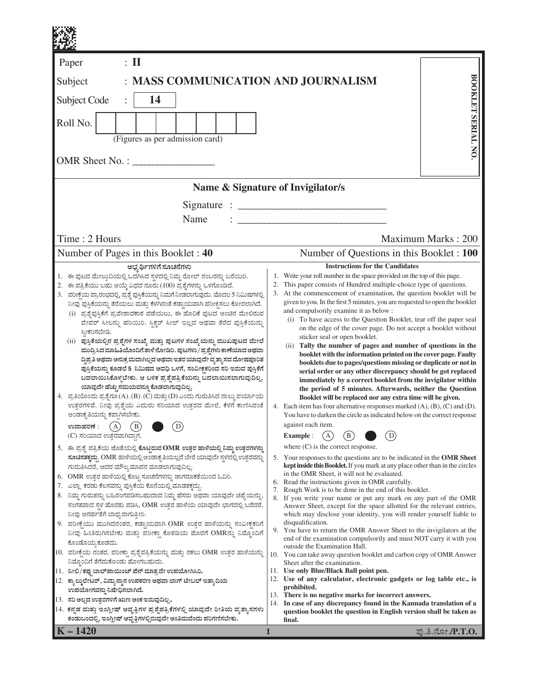| $\colon$ II<br>Paper<br>BOOKLET SERIAL NO.<br>: MASS COMMUNICATION AND JOURNALISM<br>Subject<br>14<br><b>Subject Code</b><br>Roll No.<br>(Figures as per admission card)<br>OMR Sheet No. :<br>Name & Signature of Invigilator/s<br>Signature : $\frac{1}{1}$<br>Name<br>Time: 2 Hours<br>Maximum Marks: 200<br>Number of Pages in this Booklet: 40<br>Number of Questions in this Booklet : 100<br><b>Instructions for the Candidates</b><br>ಅಭ್ಯರ್ಥಿಗಳಿಗೆ ಸೂಚನೆಗಳು<br>1. ಈ ಪುಟದ ಮೇಲ್ತುದಿಯಲ್ಲಿ ಒದಗಿಸಿದ ಸ್ಥಳದಲ್ಲಿ ನಿಮ್ಮ ರೋಲ್ ನಂಬರನ್ನು ಬರೆಯಿರಿ.<br>1. Write your roll number in the space provided on the top of this page.<br>This paper consists of Hundred multiple-choice type of questions.<br>2.<br>2. ಈ ಪತ್ರಿಕೆಯು ಬಹು ಆಯ್ಕೆ ವಿಧದ ನೂರು (100) ಪ್ರಶ್ನೆಗಳನ್ನು ಒಳಗೊಂಡಿದೆ.<br>3. At the commencement of examination, the question booklet will be<br>3. ಪರೀಕ್ಷೆಯ ಪ್ರಾರಂಭದಲ್ಲಿ, ಪ್ರಶ್ನೆ ಪುಸ್ತಿಕೆಯನ್ನು ನಿಮಗೆ ನೀಡಲಾಗುವುದು. ಮೊದಲ 5 ನಿಮಿಷಗಳಲ್ಲಿ<br>given to you. In the first 5 minutes, you are requested to open the booklet<br>ನೀವು ಪುಸ್ತಿಕೆಯನ್ನು ತೆರೆಯಲು ಮತ್ತು ಕೆಳಗಿನಂತೆ ಕಡ್ಡಾಯವಾಗಿ ಪರೀಕ್ಷಿಸಲು ಕೋರಲಾಗಿದೆ.<br>and compulsorily examine it as below :<br>(i) ಪ್ರಶ್ನೆಪುಸ್ತಿಕೆಗೆ ಪ್ರವೇಶಾವಕಾಶ ಪಡೆಯಲು, ಈ ಹೊದಿಕೆ ಪುಟದ ಅಂಚಿನ ಮೇಲಿರುವ<br>(i) To have access to the Question Booklet, tear off the paper seal<br>ಪೇಪರ್ ಸೀಲನ್ನು ಹರಿಯಿರಿ. ಸ್ಟಿಕ್ಕರ್ ಸೀಲ್ ಇಲ್ಲದ ಅಥವಾ ತೆರೆದ ಪುಸ್ತಿಕೆಯನ್ನು<br>on the edge of the cover page. Do not accept a booklet without<br>ಸ್ನೀಕರಿಸಬೇಡಿ.<br>sticker seal or open booklet.<br>(ii)  ಪುಸ್ತಿಕೆಯಲ್ಲಿನ ಪ್ರಶ್ನೆಗಳ ಸಂಖ್ಯೆ ಮತ್ತು ಪುಟಗಳ ಸಂಖ್ಯೆಯನ್ನು ಮುಖಪುಟದ ಮೇಲೆ<br>(ii) Tally the number of pages and number of questions in the<br>ಮುದ್ರಿಸಿದ ಮಾಹಿತಿಯೊಂದಿಗೆ ತಾಳೆ ನೋಡಿರಿ. ಪುಟಗಳು/ಪ್ರಶ್ನೆಗಳು ಕಾಣೆಯಾದ ಅಥವಾ<br>booklet with the information printed on the cover page. Faulty<br>ದ್ದಿಪ್ರತಿ ಅಥವಾ ಅನುಕ್ರಮವಾಗಿಲ್ಲದ ಅಥವಾ ಇತರ ಯಾವುದೇ ವ್ಯತ್ಯಾಸದ ದೋಷಪೂರಿತ<br>booklets due to pages/questions missing or duplicate or not in<br>ಪ್ರಸ್ತಿಕೆಯನ್ನು ಕೂಡಲೆ 5  ನಿಮಿಷದ ಅವಧಿ ಒಳಗೆ, ಸಂವೀಕ್ಷಕರಿಂದ ಸರಿ ಇರುವ ಪುಸ್ತಿಕೆಗೆ<br>serial order or any other discrepancy should be got replaced<br>ಬದಲಾಯಿಸಿಕೊಳ್ಳಬೇಕು. ಆ ಬಳಿಕ ಪ್ರಶ್ನೆಪತ್ರಿಕೆಯನ್ನು ಬದಲಾಯಿಸಲಾಗುವುದಿಲ್ಲ,<br>immediately by a correct booklet from the invigilator within<br>ಯಾವುದೇ ಹೆಚ್ಚು ಸಮಯವನ್ನೂ ಕೊಡಲಾಗುವುದಿಲ್ಲ.<br>the period of 5 minutes. Afterwards, neither the Question<br>4. ಪ್ರತಿಯೊಂದು ಪ್ರಶ್ನೆಗೂ (A), (B), (C) ಮತ್ತು (D) ಎಂದು ಗುರುತಿಸಿದ ನಾಲ್ಕು ಪರ್ಯಾಯ<br>Booklet will be replaced nor any extra time will be given.<br>ಉತ್ತರಗಳಿವೆ. ನೀವು ಪ್ರಶ್ನೆಯ ಎದುರು ಸರಿಯಾದ ಉತ್ತರದ ಮೇಲೆ, ಕೆಳಗೆ ಕಾಣಿಸಿದಂತೆ<br>4. Each item has four alternative responses marked (A), (B), (C) and (D).<br>You have to darken the circle as indicated below on the correct response<br>ಅಂಡಾಕೃತಿಯನ್ನು ಕಪ್ಪಾಗಿಸಬೇಕು.<br>against each item.<br>$\mathbf D$<br>A<br>B<br>ಉದಾಹರಣೆ :<br><b>Example:</b><br>$\mathbf{B}$<br>D<br>(C) ಸರಿಯಾದ ಉತ್ತರವಾಗಿದ್ದಾಗ.<br>A<br>where $(C)$ is the correct response.<br>5. ಈ ಪ್ರಶ್ನೆ ಪತ್ರಿಕೆಯ ಜೊತೆಯಲ್ಲಿ ಕೊಟ್ಟಿರುವ OMR ಉತ್ತರ ಹಾಳೆಯಲ್ಲಿ ನಿಮ್ಮ ಉತ್ತರಗಳನ್ನು<br>ಸೂಚಿಸತಕ್ಕದ್ದು. OMR ಹಾಳೆಯಲ್ಲಿ ಅಂಡಾಕೃತಿಯಲ್ಲದೆ ಬೇರೆ ಯಾವುದೇ ಸ್ಥಳದಲ್ಲಿ ಉತ್ತರವನ್ನು<br>5. Your responses to the questions are to be indicated in the OMR Sheet<br><b>kept inside this Booklet.</b> If you mark at any place other than in the circles<br>ಗುರುತಿಸಿದರೆ, ಅದರ ಮೌಲ್ಯಮಾಪನ ಮಾಡಲಾಗುವುದಿಲ್ಲ.<br>in the OMR Sheet, it will not be evaluated.<br>6. OMR ಉತ್ತರ ಹಾಳೆಯಲ್ಲಿ ಕೊಟ್ಟ ಸೂಚನೆಗಳನ್ನು ಜಾಗರೂಕತೆಯಿಂದ ಓದಿರಿ.<br>6. Read the instructions given in OMR carefully.<br>7. ಎಲ್ಲಾ ಕರಡು ಕೆಲಸವನ್ನು ಪುಸ್ತಿಕೆಯ ಕೊನೆಯಲ್ಲಿ ಮಾಡತಕ್ಕದ್ದು<br>7. Rough Work is to be done in the end of this booklet.<br>8. ನಿಮ್ಮ ಗುರುತನ್ನು ಬಹಿರಂಗಪಡಿಸಬಹುದಾದ ನಿಮ್ಮ ಹೆಸರು ಅಥವಾ ಯಾವುದೇ ಚಿಹ್ನೆಯನ್ನು,<br>8. If you write your name or put any mark on any part of the OMR<br>ಸಂಗತವಾದ ಸ್ಥಳ ಹೊರತು ಪಡಿಸಿ, OMR ಉತ್ತರ ಹಾಳೆಯ ಯಾವುದೇ ಭಾಗದಲ್ಲಿ ಬರೆದರೆ,<br>Answer Sheet, except for the space allotted for the relevant entries,<br>ನೀವು ಅನರ್ಹತೆಗೆ ಬಾಧ್ಯರಾಗುತ್ತೀರಿ.<br>which may disclose your identity, you will render yourself liable to<br>disqualification.<br>9. ಪರೀಕ್ಷೆಯು ಮುಗಿದನಂತರ, ಕಡ್ಡಾಯವಾಗಿ OMR ಉತ್ತರ ಹಾಳೆಯನ್ನು ಸಂವೀಕ್ಷಕರಿಗೆ<br>9. You have to return the OMR Answer Sheet to the invigilators at the<br>ನೀವು ಹಿಂತಿರುಗಿಸಬೇಕು ಮತ್ತು ಪರೀಕ್ಷಾ ಕೊಠಡಿಯ ಹೊರಗೆ OMRನ್ನು ನಿಮ್ಮೊಂದಿಗೆ<br>end of the examination compulsorily and must NOT carry it with you<br>ಕೊಂಡೊಯ್ಯ ಕೂಡದು.<br>outside the Examination Hall.<br>10.  ಪರೀಕ್ಷೆಯ ನಂತರ, ಪರೀಕ್ಷಾ ಪ್ರಶ್ನೆಪತ್ರಿಕೆಯನ್ನು ಮತ್ತು ನಕಲು OMR ಉತ್ತರ ಹಾಳೆಯನ್ನು<br>10. You can take away question booklet and carbon copy of OMR Answer<br>ನಿಮ್ಮೊಂದಿಗೆ ತೆಗೆದುಕೊಂಡು ಹೋಗಬಹುದು.<br>Sheet after the examination.<br>11. ನೀಲಿ/ಕಪ್ಪುಬಾಲ್ ಪಾಯಿಂಟ್ ಪೆನ್ ಮಾತ್ರವೇ ಉಪಯೋಗಿಸಿರಿ.<br>11. Use only Blue/Black Ball point pen.<br>12. Use of any calculator, electronic gadgets or log table etc., is<br>12. ಕ್ಯಾಲ್ಕುಲೇಟರ್, ವಿದ್ಯುನ್ಮಾನ ಉಪಕರಣ ಅಥವಾ ಲಾಗ್ ಟೇಬಲ್ ಇತ್ತಾದಿಯ<br>prohibited.<br>ಉಪಯೋಗವನ್ನು ನಿಷೇಧಿಸಲಾಗಿದೆ.<br>13. There is no negative marks for incorrect answers.<br>13. ಸರಿ ಅಲ್ಲದ ಉತ್ತರಗಳಿಗೆ ಋಣ ಅಂಕ ಇರುವುದಿಲ್ಲ.<br>14. In case of any discrepancy found in the Kannada translation of a<br>14. ಕನ್ನಡ ಮತ್ತು ಇಂಗ್ಲೀಷ್ ಆವೃತ್ತಿಗಳ ಪ್ರಶ್ನೆಪತ್ರಿಕೆಗಳಲ್ಲಿ ಯಾವುದೇ ರೀತಿಯ ವ್ಯತ್ಯಾಸಗಳು<br>question booklet the question in English version shall be taken as<br>ಕಂಡುಬಂದಲ್ಲಿ, ಇಂಗ್ಲೀಷ್ ಆವೃತ್ತಿಗಳಲ್ಲಿರುವುದೇ ಅಂತಿಮವೆಂದು ಪರಿಗಣಿಸಬೇಕು.<br>final.<br>$ K - 1420$<br>ಪು.ತಿ.ನೋ./P.T.O.<br>1 |  |  |
|----------------------------------------------------------------------------------------------------------------------------------------------------------------------------------------------------------------------------------------------------------------------------------------------------------------------------------------------------------------------------------------------------------------------------------------------------------------------------------------------------------------------------------------------------------------------------------------------------------------------------------------------------------------------------------------------------------------------------------------------------------------------------------------------------------------------------------------------------------------------------------------------------------------------------------------------------------------------------------------------------------------------------------------------------------------------------------------------------------------------------------------------------------------------------------------------------------------------------------------------------------------------------------------------------------------------------------------------------------------------------------------------------------------------------------------------------------------------------------------------------------------------------------------------------------------------------------------------------------------------------------------------------------------------------------------------------------------------------------------------------------------------------------------------------------------------------------------------------------------------------------------------------------------------------------------------------------------------------------------------------------------------------------------------------------------------------------------------------------------------------------------------------------------------------------------------------------------------------------------------------------------------------------------------------------------------------------------------------------------------------------------------------------------------------------------------------------------------------------------------------------------------------------------------------------------------------------------------------------------------------------------------------------------------------------------------------------------------------------------------------------------------------------------------------------------------------------------------------------------------------------------------------------------------------------------------------------------------------------------------------------------------------------------------------------------------------------------------------------------------------------------------------------------------------------------------------------------------------------------------------------------------------------------------------------------------------------------------------------------------------------------------------------------------------------------------------------------------------------------------------------------------------------------------------------------------------------------------------------------------------------------------------------------------------------------------------------------------------------------------------------------------------------------------------------------------------------------------------------------------------------------------------------------------------------------------------------------------------------------------------------------------------------------------------------------------------------------------------------------------------------------------------------------------------------------------------------------------------------------------------------------------------------------------------------------------------------------------------------------------------------------------------------------------------------------------------------------------------------------------------------------------------------------------------------------------------------------------------------------------------------------------------------------------------------------------------------------------------------------------------------------------------------------------------------------------------------------------------------------------------------------------------------------------------------------------------------------------------------------------------------------------------------------------------------------------------------------------------------------------------------------------------------------------------------------------------------------------------------------------------------------------------------------------------------------------------------------------------------------------|--|--|
|                                                                                                                                                                                                                                                                                                                                                                                                                                                                                                                                                                                                                                                                                                                                                                                                                                                                                                                                                                                                                                                                                                                                                                                                                                                                                                                                                                                                                                                                                                                                                                                                                                                                                                                                                                                                                                                                                                                                                                                                                                                                                                                                                                                                                                                                                                                                                                                                                                                                                                                                                                                                                                                                                                                                                                                                                                                                                                                                                                                                                                                                                                                                                                                                                                                                                                                                                                                                                                                                                                                                                                                                                                                                                                                                                                                                                                                                                                                                                                                                                                                                                                                                                                                                                                                                                                                                                                                                                                                                                                                                                                                                                                                                                                                                                                                                                                                                                                                                                                                                                                                                                                                                                                                                                                                                                                                                                                      |  |  |
|                                                                                                                                                                                                                                                                                                                                                                                                                                                                                                                                                                                                                                                                                                                                                                                                                                                                                                                                                                                                                                                                                                                                                                                                                                                                                                                                                                                                                                                                                                                                                                                                                                                                                                                                                                                                                                                                                                                                                                                                                                                                                                                                                                                                                                                                                                                                                                                                                                                                                                                                                                                                                                                                                                                                                                                                                                                                                                                                                                                                                                                                                                                                                                                                                                                                                                                                                                                                                                                                                                                                                                                                                                                                                                                                                                                                                                                                                                                                                                                                                                                                                                                                                                                                                                                                                                                                                                                                                                                                                                                                                                                                                                                                                                                                                                                                                                                                                                                                                                                                                                                                                                                                                                                                                                                                                                                                                                      |  |  |
|                                                                                                                                                                                                                                                                                                                                                                                                                                                                                                                                                                                                                                                                                                                                                                                                                                                                                                                                                                                                                                                                                                                                                                                                                                                                                                                                                                                                                                                                                                                                                                                                                                                                                                                                                                                                                                                                                                                                                                                                                                                                                                                                                                                                                                                                                                                                                                                                                                                                                                                                                                                                                                                                                                                                                                                                                                                                                                                                                                                                                                                                                                                                                                                                                                                                                                                                                                                                                                                                                                                                                                                                                                                                                                                                                                                                                                                                                                                                                                                                                                                                                                                                                                                                                                                                                                                                                                                                                                                                                                                                                                                                                                                                                                                                                                                                                                                                                                                                                                                                                                                                                                                                                                                                                                                                                                                                                                      |  |  |
|                                                                                                                                                                                                                                                                                                                                                                                                                                                                                                                                                                                                                                                                                                                                                                                                                                                                                                                                                                                                                                                                                                                                                                                                                                                                                                                                                                                                                                                                                                                                                                                                                                                                                                                                                                                                                                                                                                                                                                                                                                                                                                                                                                                                                                                                                                                                                                                                                                                                                                                                                                                                                                                                                                                                                                                                                                                                                                                                                                                                                                                                                                                                                                                                                                                                                                                                                                                                                                                                                                                                                                                                                                                                                                                                                                                                                                                                                                                                                                                                                                                                                                                                                                                                                                                                                                                                                                                                                                                                                                                                                                                                                                                                                                                                                                                                                                                                                                                                                                                                                                                                                                                                                                                                                                                                                                                                                                      |  |  |
|                                                                                                                                                                                                                                                                                                                                                                                                                                                                                                                                                                                                                                                                                                                                                                                                                                                                                                                                                                                                                                                                                                                                                                                                                                                                                                                                                                                                                                                                                                                                                                                                                                                                                                                                                                                                                                                                                                                                                                                                                                                                                                                                                                                                                                                                                                                                                                                                                                                                                                                                                                                                                                                                                                                                                                                                                                                                                                                                                                                                                                                                                                                                                                                                                                                                                                                                                                                                                                                                                                                                                                                                                                                                                                                                                                                                                                                                                                                                                                                                                                                                                                                                                                                                                                                                                                                                                                                                                                                                                                                                                                                                                                                                                                                                                                                                                                                                                                                                                                                                                                                                                                                                                                                                                                                                                                                                                                      |  |  |
|                                                                                                                                                                                                                                                                                                                                                                                                                                                                                                                                                                                                                                                                                                                                                                                                                                                                                                                                                                                                                                                                                                                                                                                                                                                                                                                                                                                                                                                                                                                                                                                                                                                                                                                                                                                                                                                                                                                                                                                                                                                                                                                                                                                                                                                                                                                                                                                                                                                                                                                                                                                                                                                                                                                                                                                                                                                                                                                                                                                                                                                                                                                                                                                                                                                                                                                                                                                                                                                                                                                                                                                                                                                                                                                                                                                                                                                                                                                                                                                                                                                                                                                                                                                                                                                                                                                                                                                                                                                                                                                                                                                                                                                                                                                                                                                                                                                                                                                                                                                                                                                                                                                                                                                                                                                                                                                                                                      |  |  |
|                                                                                                                                                                                                                                                                                                                                                                                                                                                                                                                                                                                                                                                                                                                                                                                                                                                                                                                                                                                                                                                                                                                                                                                                                                                                                                                                                                                                                                                                                                                                                                                                                                                                                                                                                                                                                                                                                                                                                                                                                                                                                                                                                                                                                                                                                                                                                                                                                                                                                                                                                                                                                                                                                                                                                                                                                                                                                                                                                                                                                                                                                                                                                                                                                                                                                                                                                                                                                                                                                                                                                                                                                                                                                                                                                                                                                                                                                                                                                                                                                                                                                                                                                                                                                                                                                                                                                                                                                                                                                                                                                                                                                                                                                                                                                                                                                                                                                                                                                                                                                                                                                                                                                                                                                                                                                                                                                                      |  |  |
|                                                                                                                                                                                                                                                                                                                                                                                                                                                                                                                                                                                                                                                                                                                                                                                                                                                                                                                                                                                                                                                                                                                                                                                                                                                                                                                                                                                                                                                                                                                                                                                                                                                                                                                                                                                                                                                                                                                                                                                                                                                                                                                                                                                                                                                                                                                                                                                                                                                                                                                                                                                                                                                                                                                                                                                                                                                                                                                                                                                                                                                                                                                                                                                                                                                                                                                                                                                                                                                                                                                                                                                                                                                                                                                                                                                                                                                                                                                                                                                                                                                                                                                                                                                                                                                                                                                                                                                                                                                                                                                                                                                                                                                                                                                                                                                                                                                                                                                                                                                                                                                                                                                                                                                                                                                                                                                                                                      |  |  |
|                                                                                                                                                                                                                                                                                                                                                                                                                                                                                                                                                                                                                                                                                                                                                                                                                                                                                                                                                                                                                                                                                                                                                                                                                                                                                                                                                                                                                                                                                                                                                                                                                                                                                                                                                                                                                                                                                                                                                                                                                                                                                                                                                                                                                                                                                                                                                                                                                                                                                                                                                                                                                                                                                                                                                                                                                                                                                                                                                                                                                                                                                                                                                                                                                                                                                                                                                                                                                                                                                                                                                                                                                                                                                                                                                                                                                                                                                                                                                                                                                                                                                                                                                                                                                                                                                                                                                                                                                                                                                                                                                                                                                                                                                                                                                                                                                                                                                                                                                                                                                                                                                                                                                                                                                                                                                                                                                                      |  |  |
|                                                                                                                                                                                                                                                                                                                                                                                                                                                                                                                                                                                                                                                                                                                                                                                                                                                                                                                                                                                                                                                                                                                                                                                                                                                                                                                                                                                                                                                                                                                                                                                                                                                                                                                                                                                                                                                                                                                                                                                                                                                                                                                                                                                                                                                                                                                                                                                                                                                                                                                                                                                                                                                                                                                                                                                                                                                                                                                                                                                                                                                                                                                                                                                                                                                                                                                                                                                                                                                                                                                                                                                                                                                                                                                                                                                                                                                                                                                                                                                                                                                                                                                                                                                                                                                                                                                                                                                                                                                                                                                                                                                                                                                                                                                                                                                                                                                                                                                                                                                                                                                                                                                                                                                                                                                                                                                                                                      |  |  |
|                                                                                                                                                                                                                                                                                                                                                                                                                                                                                                                                                                                                                                                                                                                                                                                                                                                                                                                                                                                                                                                                                                                                                                                                                                                                                                                                                                                                                                                                                                                                                                                                                                                                                                                                                                                                                                                                                                                                                                                                                                                                                                                                                                                                                                                                                                                                                                                                                                                                                                                                                                                                                                                                                                                                                                                                                                                                                                                                                                                                                                                                                                                                                                                                                                                                                                                                                                                                                                                                                                                                                                                                                                                                                                                                                                                                                                                                                                                                                                                                                                                                                                                                                                                                                                                                                                                                                                                                                                                                                                                                                                                                                                                                                                                                                                                                                                                                                                                                                                                                                                                                                                                                                                                                                                                                                                                                                                      |  |  |
|                                                                                                                                                                                                                                                                                                                                                                                                                                                                                                                                                                                                                                                                                                                                                                                                                                                                                                                                                                                                                                                                                                                                                                                                                                                                                                                                                                                                                                                                                                                                                                                                                                                                                                                                                                                                                                                                                                                                                                                                                                                                                                                                                                                                                                                                                                                                                                                                                                                                                                                                                                                                                                                                                                                                                                                                                                                                                                                                                                                                                                                                                                                                                                                                                                                                                                                                                                                                                                                                                                                                                                                                                                                                                                                                                                                                                                                                                                                                                                                                                                                                                                                                                                                                                                                                                                                                                                                                                                                                                                                                                                                                                                                                                                                                                                                                                                                                                                                                                                                                                                                                                                                                                                                                                                                                                                                                                                      |  |  |
|                                                                                                                                                                                                                                                                                                                                                                                                                                                                                                                                                                                                                                                                                                                                                                                                                                                                                                                                                                                                                                                                                                                                                                                                                                                                                                                                                                                                                                                                                                                                                                                                                                                                                                                                                                                                                                                                                                                                                                                                                                                                                                                                                                                                                                                                                                                                                                                                                                                                                                                                                                                                                                                                                                                                                                                                                                                                                                                                                                                                                                                                                                                                                                                                                                                                                                                                                                                                                                                                                                                                                                                                                                                                                                                                                                                                                                                                                                                                                                                                                                                                                                                                                                                                                                                                                                                                                                                                                                                                                                                                                                                                                                                                                                                                                                                                                                                                                                                                                                                                                                                                                                                                                                                                                                                                                                                                                                      |  |  |
|                                                                                                                                                                                                                                                                                                                                                                                                                                                                                                                                                                                                                                                                                                                                                                                                                                                                                                                                                                                                                                                                                                                                                                                                                                                                                                                                                                                                                                                                                                                                                                                                                                                                                                                                                                                                                                                                                                                                                                                                                                                                                                                                                                                                                                                                                                                                                                                                                                                                                                                                                                                                                                                                                                                                                                                                                                                                                                                                                                                                                                                                                                                                                                                                                                                                                                                                                                                                                                                                                                                                                                                                                                                                                                                                                                                                                                                                                                                                                                                                                                                                                                                                                                                                                                                                                                                                                                                                                                                                                                                                                                                                                                                                                                                                                                                                                                                                                                                                                                                                                                                                                                                                                                                                                                                                                                                                                                      |  |  |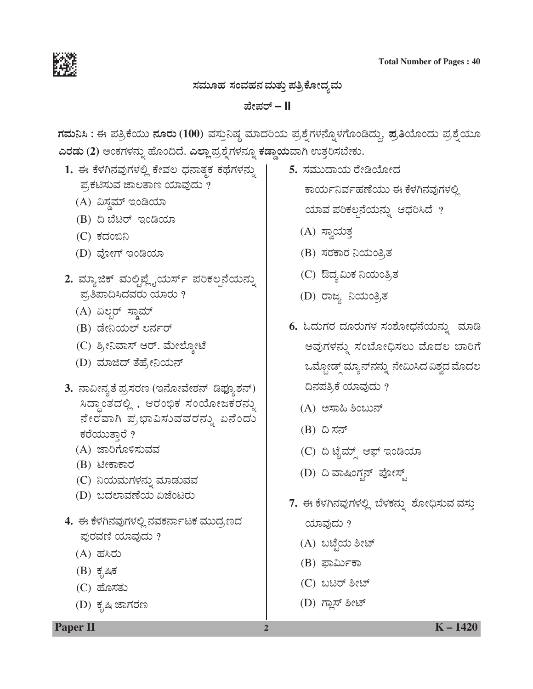

ಸಮೂಹ ಸಂವಹನ ಮತ್ತು ಪತ್ರಿಕೋದ್ಯಮ

ಪೇಪರ್ – II

ಗಮನಿಸಿ : ಈ ಪತ್ರಿಕೆಯು ನೂರು (100) ವಸ್ತುನಿಷ್ಠ ಮಾದರಿಯ ಪ್ರಶ್ನೆಗಳನ್ನೊಳಗೊಂಡಿದ್ದು, ಪ್ರತಿಯೊಂದು ಪ್ರಶ್ನೆಯೂ ಎರಡು (2) ಅಂಕಗಳನ್ನು ಹೊಂದಿದೆ. ಎಲ್ಲಾ ಪ್ರಶ್ನೆಗಳನ್ನೂ ಕಡ್ಡಾಯವಾಗಿ ಉತ್ತರಿಸಬೇಕು.

- 1. ಈ ಕೆಳಗಿನವುಗಳಲ್ಲಿ ಕೇವಲ ಧನಾತ್ಮಕ ಕಥೆಗಳನ್ನು ಪ್ರಕಟಿಸುವ ಜಾಲತಾಣ ಯಾವುದು ?
	- (A) ವಿಸ್ಡಮ್ ಇಂಡಿಯಾ
	- $(B)$   $\Omega$   $\tilde{\Omega}$   $\tilde{\Omega}$   $\tilde{\Omega}$   $\tilde{\Omega}$   $\tilde{\Omega}$   $\Omega$   $\tilde{\Omega}$   $\Omega$
	- (C) ಕದಂಬಿನಿ
	- (D) ವೋಗ್ ಇಂಡಿಯಾ
- 2. ಮ್ಯಾಜಿಕ್ ಮಲ್ಲಿಪ್ಲೈಯರ್ಸ್ ಪರಿಕಲ್ಪನೆಯನ್ನು ಪ್ರತಿಪಾದಿಸಿದವರು ಯಾರು ?
	- (A) ವಿಲ್ಲರ್ ಸ್ವಾಮ್
	- (B) ಡೇನಿಯಲ್ ಲರ್ನರ್
	- (C) ಶ್ರೀನಿವಾಸ್ ಆರ್. ಮೇಲ್ನೋಟೆ
	- (D) ಮಾಜಿದ್ ತೆಹ್ರೇನಿಯನ್
- 3. ನಾವೀನ್ಯತೆ ಪ್ರಸರಣ (ಇನೋವೇಶನ್ ಡಿಫ್ಯೂಶನ್) ಸಿದ್ಧಾಂತದಲ್ಲಿ , ಆರಂಭಿಕ ಸಂಯೋಜಕರನ್ನು ನೇರವಾಗಿ ಪ್ರಭಾವಿಸುವವರನ್ನು ಏನೆಂದು ಕರೆಯುತ್ತಾರೆ ?
	- (A) ಜಾರಿಗೊಳಿಸುವವ
	- (B) ಟೀಕಾಕಾರ
	- (C) ನಿಯಮಗಳನ್ನು ಮಾಡುವವ
	- (D) ಬದಲಾವಣೆಯ ಏಜೆಂಟರು
- 4. ಈ ಕೆಳಗಿನವುಗಳಲ್ಲಿ ನವಕರ್ನಾಟಕ ಮುದ,ಣದ ಪುರವಣಿ ಯಾವುದು ?
	- (A) ಹಸಿರು
	- $(B)$  ಕೃಷಿಕ
	- $(C)$  ಹೊಸತು
	- (D) ಕೃಷಿ ಜಾಗರಣ

5. ಸಮುದಾಯ ರೇಡಿಯೋದ

ಕಾರ್ಯನಿರ್ವಹಣೆಯು ಈ ಕೆಳಗಿನವುಗಳಲ್ಲಿ

ಯಾವ ಪರಿಕಲ್ಪನೆಯನ್ನು ಆಧರಿಸಿದೆ ?

- (A) ಸ್ವಾಯತ್ತ
- (B) ಸರಕಾರ ನಿಯಂತ್ರಿತ
- (C) ಔದ್ಯಮಿಕ ನಿಯಂತ್ರಿತ
- (D) ರಾಜ್ಯ ನಿಯಂತ್ರಿತ
- 6. ಓದುಗರ ದೂರುಗಳ ಸಂಶೋಧನೆಯನ್ನು ಮಾಡಿ ಅವುಗಳನ್ನು ಸಂಬೋಧಿಸಲು ಮೊದಲ ಬಾರಿಗೆ ಒಮ್ಗೋಡ್ಸ್ ಮ್ಯಾನ್ನನ್ನು ನೇಮಿಸಿದ ವಿಶ್ವದ ಮೊದಲ ದಿನಪತ್ರಿಕೆ ಯಾವುದು ?
	- (A) ಅಸಾಹಿ ಶಿಂಬುನ್
	- (B) ದಿ ಸನ್
	- (C) ದಿ ಟೈಮ್ಸ್ ಆಫ್ ಇಂಡಿಯಾ
	- (D) ದಿ ವಾಷಿಂಗ್ಟನ್ ಪೋಸ್ಟ್
- 7. ಈ ಕೆಳಗಿನವುಗಳಲ್ಲಿ ಬೆಳಕನ್ನು ಶೋಧಿಸುವ ವಸ್ತು

ಯಾವುದು ?

- (A) ಬಟ್ಟೆಯ ಶೀಟ್
- (B) ಫಾರ್ಮಿಕಾ
- (C) ಬಟರ್ ಶೀಟ್
- (D) ಗ್ಲಾಸ್ ಶೀಟ್

 $\overline{2}$ 

**Paper II** 

 $K - 1420$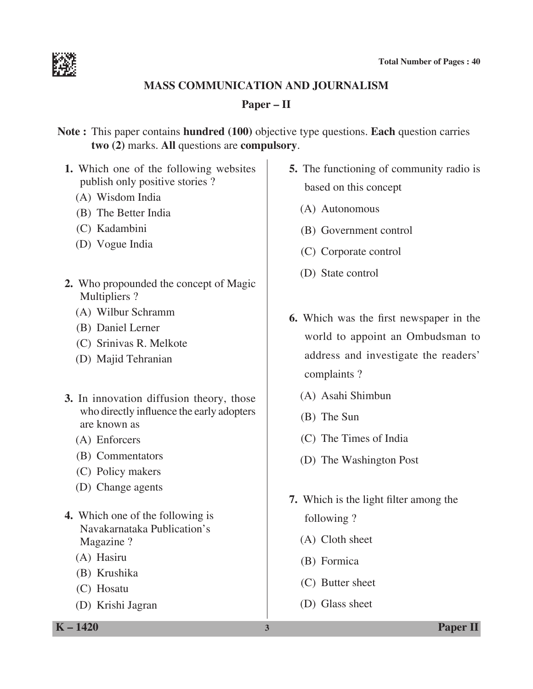

#### **Mass communication and Journalism**

# **Paper – II**

**Note :** This paper contains **hundred (100)** objective type questions. **Each** question carries **two (2)** marks. **All** questions are **compulsory**.

- **1.** Which one of the following websites publish only positive stories ?
	- (A) Wisdom India
	- (B) The Better India
	- (C) Kadambini
	- (D) Vogue India
- **2.** Who propounded the concept of Magic Multipliers ?
	- (A) Wilbur Schramm
	- (B) Daniel Lerner
	- (C) Srinivas R. Melkote
	- (D) Majid Tehranian
- **3.** In innovation diffusion theory, those who directly influence the early adopters are known as
	- (A) Enforcers
	- (B) Commentators
	- (C) Policy makers
	- (D) Change agents
- **4.** Which one of the following is Navakarnataka Publication's Magazine ?
	- (A) Hasiru
	- (B) Krushika
	- (C) Hosatu
	- (D) Krishi Jagran
- **5.** The functioning of community radio is based on this concept
	- (A) Autonomous
	- (B) Government control
	- (C) Corporate control
	- (D) State control
- **6.** Which was the first newspaper in the world to appoint an Ombudsman to address and investigate the readers' complaints ?
	- (A) Asahi Shimbun
	- (B) The Sun
	- (C) The Times of India
	- (D) The Washington Post
- **7.** Which is the light filter among the following ?
	- (A) Cloth sheet
	- (B) Formica
	- (C) Butter sheet
	- (D) Glass sheet

**K – 1420 3 Paper II**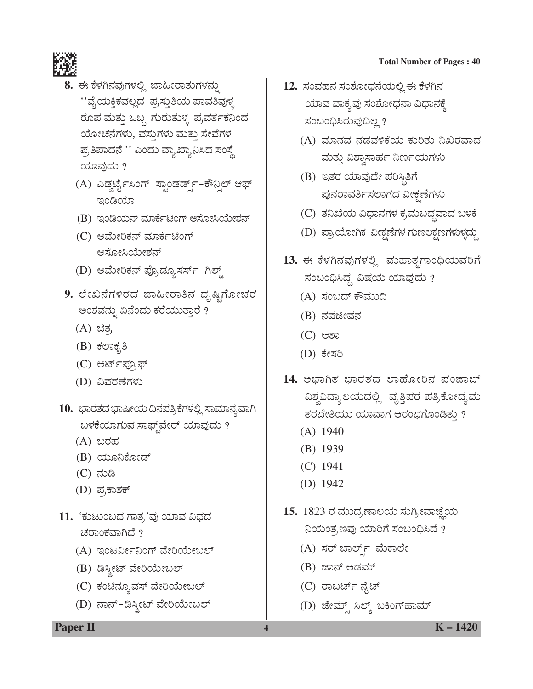

- 8. ಈ ಕೆಳಗಿನವುಗಳಲ್ಲಿ ಜಾಹೀರಾತುಗಳನ್ನು ''ವೈಯಕ್ತಿಕವಲ್ಲದ ಪ್ರಸ್ತುತಿಯ ಪಾವತಿವುಳ್ಳ ರೂಪ ಮತ್ತು ಒಬ್ಬ ಗುರುತುಳ್ಳ ಪ್ರವರ್ತಕನಿಂದ ಯೋಚನೆಗಳು, ವಸ್ತುಗಳು ಮತ್ತು ಸೇವೆಗಳ ಪ್ರತಿಪಾದನೆ '' ಎಂದು ವ್ಯಾಖ್ಯಾನಿಸಿದ ಸಂಸ್ಥೆ ಯಾವುದು ?
	- (A) ಎಡ್ವರ್ಟೈಸಿಂಗ್ ಸ್ಪಾಂಡರ್ಡ್ಸ್-ಕೌನ್ಸಿಲ್ ಆಫ್ ಇಂಡಿಯಾ
	- (B) ಇಂಡಿಯನ್ ಮಾರ್ಕೆಟಿಂಗ್ ಆಸೋಸಿಯೇಶನ್
	- (C) ಅಮೇರಿಕನ್ ಮಾರ್ಕೆಟಿಂಗ್ ಅಸೋಸಿಯೇಶನ್
	- (D) ಅಮೇರಿಕನ್ ಪ್ರೊಡ್ಯೂಸರ್ಸ್ ಗಿಲ್ಡ್
- 9. ಲೇಖನೆಗಳಿರದ ಜಾಹೀರಾತಿನ ದೃಷ್ಟಿಗೋಚರ ಅಂಶವನ್ನು ಏನೆಂದು ಕರೆಯುತ್ತಾರೆ ?
	- (A) ಚಿತ್ರ
	- (B) ಕಲಾಕೃತಿ
	- (C) ಆರ್ಟ್*ಪ್ರೂಫ್*
	- (D) ವಿವರಣೆಗಳು
- 10. ಭಾರತದ ಭಾಷೀಯ ದಿನಪತ್ರಿಕೆಗಳಲ್ಲಿ ಸಾಮಾನ್ಯವಾಗಿ ಬಳಕೆಯಾಗುವ ಸಾಫ್ಟ್**ವೇರ್ ಯಾವುದು** ?
	- (A) ಬರಹ
	- (B) ಯೂನಿಕೋಡ್
	- (C) ನುಡಿ
	- (D) ಪ್ರಕಾಶಕ್
- 11. 'ಕುಟುಂಬದ ಗಾತ್ರ'ವು ಯಾವ ವಿಧದ ಚರಾಂಕವಾಗಿದೆ ?
	- (A) ಇಂಟರ್ವೀನಿಂಗ್ ವೇರಿಯೇಬಲ್
	- (B) ಡಿಸ್ಕೀಟ್ ವೇರಿಯೇಬಲ್
	- (C) ಕಂಟಿನ್ಯೂವಸ್ ವೇರಿಯೇಬಲ್
	- (D) ನಾನ್-ಡಿಸ್ಕೀಟ್ ವೇರಿಯೇಬಲ್

- 12. ಸಂವಹನ ಸಂಶೋಧನೆಯಲ್ಲಿ ಈ ಕೆಳಗಿನ ಯಾವ ವಾಕ್ಯವು ಸಂಶೋಧನಾ ವಿಧಾನಕ್ಕೆ ಸಂಬಂಧಿಸಿರುವುದಿಲ್ಲ?
	- (A) ಮಾನವ ನಡವಳಿಕೆಯ ಕುರಿತು ನಿಖರವಾದ ಮತ್ತು ವಿಶ್ವಾಸಾರ್ಹ ನಿರ್ಣಯಗಳು
	- (B) ಇತರ ಯಾವುದೇ ಪರಿಸ್ಥಿತಿಗೆ ಪುನರಾವರ್ತಿಸಲಾಗದ ವೀಕೃಣೆಗಳು
	- (C) ತನಿಖೆಯ ವಿಧಾನಗಳ ಕ್ರಮಬದ್ಧವಾದ ಬಳಕೆ
	- (D) ಪ್ರಾಯೋಗಿಕ ವೀಕ್ಷಣೆಗಳ ಗುಣಲಕ್ಷಣಗಳುಳ್ಳದ್ದು
- 13. ಈ ಕೆಳಗಿನವುಗಳಲ್ಲಿ ಮಹಾತ್ಮಗಾಂಧಿಯವರಿಗೆ ಸಂಬಂಧಿಸಿದ್ದ ವಿಷಯ ಯಾವುದು ?
	- (A) ಸಂಬದ್ ಕೌಮುದಿ
	- (B) ನವಜೀವನ
	- (C) ಆಶಾ
	- (D) ಕೇಸರಿ
- 14. ಅಭಾಗಿತ ಭಾರತದ ಲಾಹೋರಿನ ಪಂಜಾಬ್ ವಿಶ್ವವಿದ್ಯಾಲಯದಲ್ಲಿ ವೃತ್ತಿಪರ ಪತ್ರಿಕೋದ್ಯಮ ತರಬೇತಿಯು ಯಾವಾಗ ಆರಂಭಗೊಂಡಿತ್ತು ?
	- $(A)$  1940
	- $(B)$  1939
	- $(C)$  1941
	- $(D)$  1942
- 15. 1823 ರ ಮುದ್ರಣಾಲಯ ಸುಗ್ರೀವಾಜ್ಞೆಯ ನಿಯಂತ್ರಣವು ಯಾರಿಗೆ ಸಂಬಂಧಿಸಿದೆ ?
	- (A) ಸರ್ ಚಾರ್ಲ್ಸ್ ಮೆಕಾಲೇ
	- (B) ಜಾನ್ ಆಡಮ್
	- (C) ರಾಬರ್ಟ್ ನೈಟ್

 $\overline{\mathbf{4}}$ 

(D) ಜೇಮ್ಸ್ ಸಿಲ್ಕ್ ಬಕಿಂಗ್**ಹಾಮ್** 

**Paper II** 

 $K - 1420$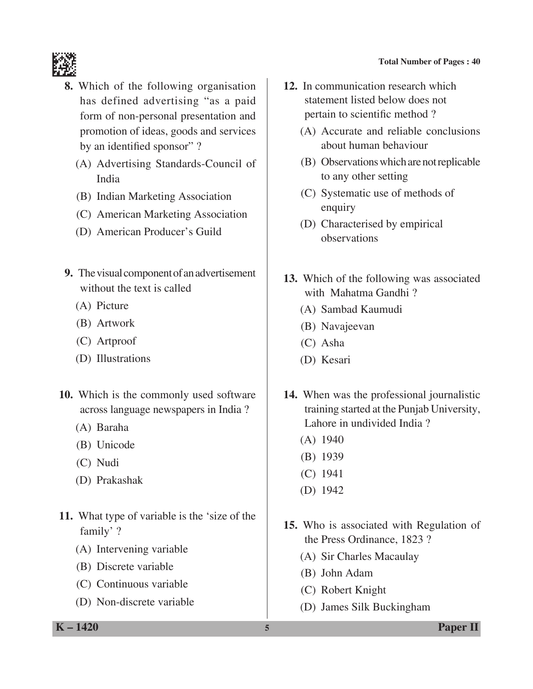

- **8.** Which of the following organisation has defined advertising "as a paid form of non-personal presentation and promotion of ideas, goods and services by an identified sponsor"?
	- (A) Advertising Standards-Council of India
	- (B) Indian Marketing Association
	- (C) American Marketing Association
	- (D) American Producer's Guild
- **9.** The visual component of an advertisement without the text is called
	- (A) Picture
	- (B) Artwork
	- (C) Artproof
	- (D) Illustrations
- **10.** Which is the commonly used software across language newspapers in India ?
	- (A) Baraha
	- (B) Unicode
	- (C) Nudi
	- (D) Prakashak
- **11.** What type of variable is the 'size of the family' ?
	- (A) Intervening variable
	- (B) Discrete variable
	- (C) Continuous variable
	- (D) Non-discrete variable
- **12.** In communication research which statement listed below does not pertain to scientific method ?
	- (A) Accurate and reliable conclusions about human behaviour
	- (B) Observations which are not replicable to any other setting
	- (C) Systematic use of methods of enquiry
	- (D) Characterised by empirical observations
- **13.** Which of the following was associated with Mahatma Gandhi ?
	- (A) Sambad Kaumudi
	- (B) Navajeevan
	- (C) Asha
	- (D) Kesari
- **14.** When was the professional journalistic training started at the Punjab University, Lahore in undivided India ?
	- (A) 1940
	- (B) 1939
	- (C) 1941
	- (D) 1942
- **15.** Who is associated with Regulation of the Press Ordinance, 1823 ?
	- (A) Sir Charles Macaulay
	- (B) John Adam
	- (C) Robert Knight
	- (D) James Silk Buckingham

**K – 1420 5 Paper II**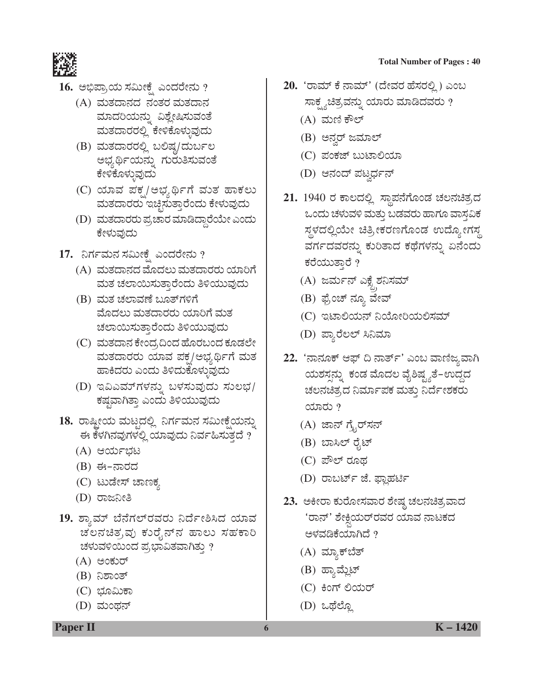

- <u>16. ಅಭಿಪ್ರಾಯ ಸಮೀಕ್ಷೆ</u> ಎಂದರೇನು ?
	- (A) ಮತದಾನದ ನಂತರ ಮತದಾನ ಮಾದರಿಯನ್ನು ವಿಶ್ಲೇಷಿಸುವಂತೆ ಮತದಾರರಲ್ಲಿ ಕೇಳಿಕೊಳ್ಳುವುದು
	- (B) ಮತದಾರರಲ್ಲಿ ಬಲಿಷ್ಗ/ದುರ್ಬಲ ಅಭ್ಯರ್ಥಿಯನ್ನು ಗುರುತಿಸುವಂತೆ ಕೇಳಿಕೊಳ್ಳುವುದು
	- $(C)$  ಯಾವ ಪಕ್ಸ/ಅಭ್ಯರ್ಥಿಗೆ ಮುತ ಹಾಕಲು ಮತದಾರರು ಇಚ್ಛಿಸುತ್ತಾರೆಂದು ಕೇಳುವುದು
	- (D) ಮತದಾರರು ಪ್ರಚಾರ ಮಾಡಿದ್ದಾರೆಯೇ ಎಂದು ಕೇಳುವುದು
- 17. ನಿರ್ಗಮನ ಸಮೀಕ್ಷೆ ಎಂದರೇನು ?
	- (A) ಮತದಾನದ ಮೊದಲು ಮತದಾರರು ಯಾರಿಗೆ ಮತ ಚಲಾಯಿಸುತ್ತಾರೆಂದು ತಿಳಿಯುವುದು
	- (B) ಮತ ಚಲಾವಣೆ ಬೂತ್ಗಳಿಗೆ ಮೊದಲು ಮತದಾರರು ಯಾರಿಗೆ ಮತ ಚಲಾಯಿಸುತ್ತಾರೆಂದು ತಿಳಿಯುವುದು
	- (C) ಮತದಾನ ಕೇಂದ್ರದಿಂದ ಹೊರಬಂದ ಕೂಡಲೇ ಮತದಾರರು ಯಾವ ಪಕ್ಷ/ಅಭ್ಯರ್ಥಿಗೆ ಮತ ಹಾಕಿದರು ಎಂದು ತಿಳಿದುಕೊಳ್ಳುವುದು
	- (D) ಇವಿಎಮ್ಗಳನ್ನು ಬಳಸುವುದು ಸುಲಭ/ ಕಷ್ಣವಾಗಿತ್ತಾ ಎಂದು ತಿಳಿಯುವುದು
- 18. ರಾಷ್ಟೀಯ ಮಟ್ಟದಲ್ಲಿ ನಿರ್ಗಮನ ಸಮೀಕ್ಷೆಯನ್ನು ಈ ಕೆಳಗಿನವುಗಳಲ್ಲಿ ಯಾವುದು ನಿರ್ವಹಿಸುತ್ತದೆ ?
	- $(A)$  ಆರ್ಯಭಟ
	- (B) ಈ-ನಾರದ
	- (C) ಟುಡೇಸ್ ಚಾಣಕ್ಕ
	- (D) ರಾಜನೀತಿ
- 19. ಶ್ಯಾಮ್ ಬೆನೆಗಲ್**ರವರು ನಿರ್ದೇಶಿಸಿದ** ಯಾವ ಚಲನಚಿತ್ರವು ಕುರೈನ್ನ ಹಾಲು ಸಹಕಾರಿ ಚಳುವಳಿಯಿಂದ ಪ್ರಭಾವಿತವಾಗಿತ್ತು ?
	- $(A)$  ಅಂಕುರ್
	- (B) ನಿಶಾಂತ್
	- (C) ಭೂಮಿಕಾ
	- (D) ಮಂಥನ್
- **Total Number of Pages : 40**
- 20. 'ರಾಮ್ ಕೆ ನಾಮ್' (ದೇವರ ಹೆಸರಲ್ಲಿ) ಎಂಬ ಸಾಕ್ಷ್ಯಚಿತ್ರವನ್ನು ಯಾರು ಮಾಡಿದವರು ?
	- $(A)$  ಮಣಿ ಕೌಲ್
	- (B) ಅನ್ವರ್ ಜಮಾಲ್
	- (C) ಪಂಕಜ್ ಬುಟಾಲಿಯಾ
	- (D) ಆನಂದ್ ಪಟ್ವರ್ಧನ್
- 21. 1940 ರ ಕಾಲದಲ್ಲಿ ಸ್ಥಾಪನೆಗೊಂಡ ಚಲನಚಿತ್ರದ ಒಂದು ಚಳುವಳಿ ಮತ್ತು ಬಡವರು ಹಾಗೂ ವಾಸ್ತವಿಕ ಸ್ಥಳದಲ್ಲಿಯೇ ಚಿತ್ರೀಕರಣಗೊಂಡ ಉದ್ಯೋಗಸ್ತ ವರ್ಗದವರನ್ನು ಕುರಿತಾದ ಕಥೆಗಳನ್ನು ಏನೆಂದು ಕರೆಯುತ್ತಾರೆ ?
	- (A) ಜರ್ಮನ್ ಎಕ್ಸೈಶನಿಸಮ್ ³ ،<br>ز
	- (B) ಫ್ರೆಂಚ್ ನ್ಯೂ ವೇವ್
	- (C) ಇಟಾಲಿಯನ್ ನಿಯೋರಿಯಲಿಸಮ್
	- (D) ಪ್ಯಾರೆಲಲ್ ಸಿನಿಮಾ
- 22. 'ನಾನೂಕ್ ಆಫ್ ದಿ ನಾರ್ತ್' ಎಂಬ ವಾಣಿಜ್ಯವಾಗಿ ಯಶಸ್ಸನ್ನು ಕಂಡ ಮೊದಲ ವೈಶಿಷ್ಟ್ಯತೆ–ಉದ್ದದ ಚಲನಚಿತ್ರದ ನಿರ್ಮಾಪಕ ಮತ್ತು ನಿರ್ದೇಶಕರು  $\alpha$ 
	- $(A)$  ಜಾನ್ ಗ್ರೈರ್ಸನ್
	- (B) ಬಾಸಿಲ್ ರೈಟ್
	- (C) ಪೌಲ್ ರೂಥ
	- (D) ರಾಬರ್ಟ್ ಜೆ. ಫ್ಲಾಹರ್ಟಿ
- 23. ಅಕೀರಾ ಕುರೋಸವಾರ ಶೇಷ್ಗ ಚಲನಚಿತ್ರವಾದ 'ರಾನ್' ಶೇಕ್ಷಿಯರ್ರವರ ಯಾವ ನಾಟಕದ ³ ಅಳವಡಿಕೆಯಾಗಿದೆ ?
	- (A) ಮ್ಯಾಕ್**ಬೆ**ತ್
	- (B) ಹ್ಯಾಮ್ಲೆಟ್
	- (C) ಕಿಂಗ್ ಲಿಯರ್
	- (D) ಒಥೆಲ್ಲೊ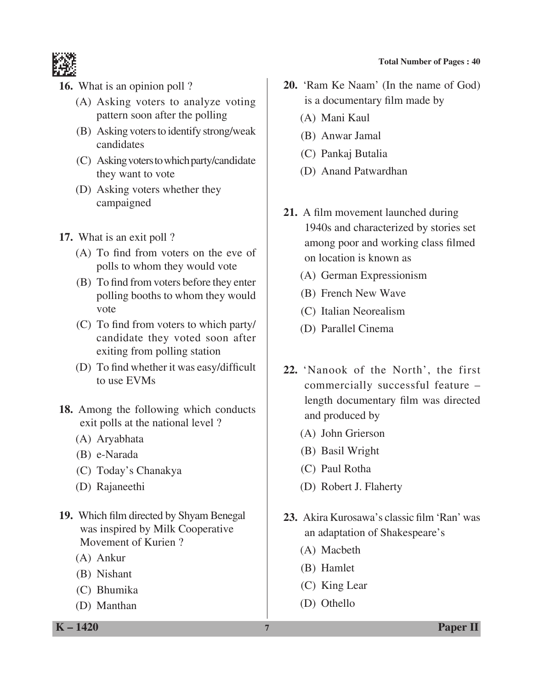

- **16.** What is an opinion poll ?
	- (A) Asking voters to analyze voting pattern soon after the polling
	- (B) Asking voters to identify strong/weak candidates
	- (C) Asking voters to which party/candidate they want to vote
	- (D) Asking voters whether they campaigned
- **17.** What is an exit poll ?
	- (A) To find from voters on the eve of polls to whom they would vote
	- (B) To find from voters before they enter polling booths to whom they would vote
	- (C) To find from voters to which party/ candidate they voted soon after exiting from polling station
	- (D) To find whether it was easy/difficult to use EVMs
- **18.** Among the following which conducts exit polls at the national level ?
	- (A) Aryabhata
	- (B) e-Narada
	- (C) Today's Chanakya
	- (D) Rajaneethi
- **19.** Which film directed by Shyam Benegal was inspired by Milk Cooperative Movement of Kurien ?
	- (A) Ankur
	- (B) Nishant
	- (C) Bhumika
	- (D) Manthan

**20.** 'Ram Ke Naam' (In the name of God) is a documentary film made by

- (A) Mani Kaul
- (B) Anwar Jamal
- (C) Pankaj Butalia
- (D) Anand Patwardhan
- **21.** A film movement launched during 1940s and characterized by stories set among poor and working class filmed on location is known as
	- (A) German Expressionism
	- (B) French New Wave
	- (C) Italian Neorealism
	- (D) Parallel Cinema
- **22.** 'Nanook of the North', the first commercially successful feature – length documentary film was directed and produced by
	- (A) John Grierson
	- (B) Basil Wright
	- (C) Paul Rotha
	- (D) Robert J. Flaherty
- **23.** Akira Kurosawa's classic film 'Ran' was an adaptation of Shakespeare's
	- (A) Macbeth
	- (B) Hamlet
	- (C) King Lear
	- (D) Othello

**K – 1420 7 Paper II**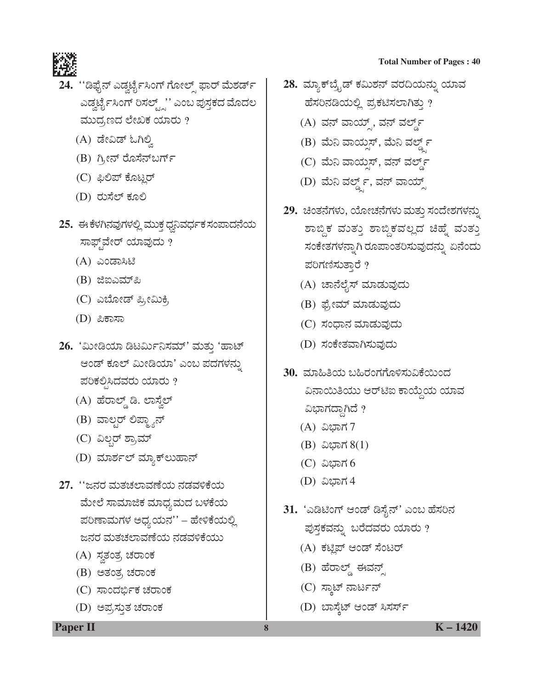

- 24. ''ಡಿಫೈನ್ ಎಡ್ವರ್ಟೈಸಿಂಗ್ ಗೋಲ್ಸ್ ಫಾರ್ ಮೆಶರ್ಡ್ ಎಡ್ವರ್ಟೈಸಿಂಗ್ ರಿಸಲ್ಟ್ಸ್'' ಎಂಬ ಪುಸ್ತಕದ ಮೊದಲ ಮುದ್ರಣದ ಲೇಖಕ ಯಾರು ?
	- (A) ಡೇವಿಡ್ ಓಗಿಲ್ತಿ
	- (B) ಗ್ರೀನ್ ರೊಸೆನ್ಬರ್ಗ್
	- (C) ಫಿಲಿಪ್ ಕೊಟ್ಜರ್
	- (D) ರುಸೆಲ್ ಕೂಲಿ
- 25. ಈ ಕೆಳಗಿನವುಗಳಲ್ಲಿ ಮುಕ್ತ ಧ್ವನಿವರ್ಧಕ ಸಂಪಾದನೆಯ ಸಾಫ್ಟ್¤ೇರ್ ಯಾವುದು ?
	- (A) ಎಂಡಾಸಿಟಿ
	- (B) ಜಿಐಎಮ್*ಪಿ*
	- (C) ಎಬೋಡ್ ಪ್ರೀಮಿಕಿ,
	- (D) ಪಿಕಾಸಾ
- 26. 'ಮೀಡಿಯಾ ಡಿಟರ್ಮಿನಿಸಮ್' ಮತ್ತು 'ಹಾಟ್ ಆಂಡ್ ಕೂಲ್ ಮೀಡಿಯಾ' ಎಂಬ ಪದಗಳನ್ನು ಪರಿಕಲ್ಪಿಸಿದವರು ಯಾರು ?
	- (A) ಹೆರಾಲ್ಡ್ ಡಿ. ಲಾಸ್ವೆಲ್
	- (B) ವಾಲ್ಸರ್ ಲಿಪ್ಲ್ಯಾನ್
	- (C) ವಿಲ್ಲರ್ ಶ್ರಾಮ್
	- (D) ಮಾರ್ಶಲ್ ಮ್ಯಾಕ್ ಲುಹಾನ್
- 27. ''ಜನರ ಮತಚಲಾವಣೆಯ ನಡವಳಿಕೆಯ ಮೇಲೆ ಸಾಮಾಜಿಕ ಮಾಧ್ಯಮದ ಬಳಕೆಯ ಪರಿಣಾಮಗಳ ಅಧ್ಯಯನ'' – ಹೇಳಿಕೆಯಲ್ಲಿ ಜನರ ಮತಚಲಾವಣೆಯ ನಡವಳಿಕೆಯು
	- (A) ಸ್ವತಂತ್ರ ಚರಾಂಕ
	- (B) ಅತಂತ್ರ ಚರಾಂಕ
	- (C) ಸಾಂದರ್ಭಿಕ ಚರಾಂಕ
	- (D) ಅಪ್ರಸ್ತುತ ಚರಾಂಕ

28. ಮ್ಯಾಕ್ ಬ್ರೈಡ್ ಕಮಿಶನ್ ವರದಿಯನ್ನು ಯಾವ ಹೆಸರಿನಡಿಯಲ್ಲಿ ಪ್ರಕಟಿಸಲಾಗಿತ್ತು ?

**Total Number of Pages: 40** 

- (A) ವನ್ ವಾಯ್ಸ್, ವನ್ ವರ್ಲ್ಡ್
- (B) ಮೆನಿ ವಾಯ್ಸಸ್, ಮೆನಿ ವರ್ಲ್ಡ್ ೯
- (C) ಮೆನಿ ವಾಯ್ಸಸ್, ವನ್ ವರ್ಲ್ಡ್
- (D) ಮೆನಿ ವರ್ಲ್ಡ್, ವನ್ ವಾಯ್ಡ್
- 29. ಚಿಂತನೆಗಳು, ಯೋಚನೆಗಳು ಮತ್ತು ಸಂದೇಶಗಳನ್ನು ಶಾಬ್ದಿಕ ಮುತ್ತು ಶಾಬ್ದಿಕವಲ್ಲದ ಚಿಹ್ನೆ ಮುತ್ತು ಸಂಕೇತಗಳನ್ನಾಗಿ ರೂಪಾಂತರಿಸುವುದನ್ನು ಏನೆಂದು ಪರಿಗಣಿಸುತಾರೆ ?
	- (A) ಚಾನೆಲೈಸ್ ಮಾಡುವುದು
	- (B) ಫ್ರೇಮ್ ಮಾಡುವುದು
	- (C) ಸಂಧಾನ ಮಾಡುವುದು
	- (D) ಸಂಕೇತವಾಗಿಸುವುದು
- 30. ಮಾಹಿತಿಯ ಬಹಿರಂಗಗೊಳಿಸುವಿಕೆಯಿಂದ ವಿನಾಯಿತಿಯು ಆರ್ಟಿಐ ಕಾಯ್ದೆಯ ಯಾವ ವಿಭಾಗದ್ದಾಗಿದೆ ?
	- (A) ವಿಭಾಗ 7
	- (B) ವಿಭಾಗ  $8(1)$
	- (C) ವಿಭಾಗ 6
	- (D) ವಿಭಾಗ 4
- 31. 'ಎಡಿಟಿಂಗ್ ಆಂಡ್ ಡಿಸೈನ್' ಎಂಬ ಹೆಸರಿನ ಪುಸ್ತಕವನ್ನು ಬರೆದವರು ಯಾರು ?
	- (A) ಕಟ್ಟಿಪ್ ಆಂಡ್ ಸೆಂಟರ್
	- (B) ಹೆರಾಲ್ಡ್ ಈವನ್
	- (C) ಸ್ಕಾಟ್ ನಾರ್ಟನ್

8

(D) ಬಾಸ್ಕೆಟ್ ಆಂಡ್ ಸಿಸರ್ಸ್

**Paper II** 

 $K - 1420$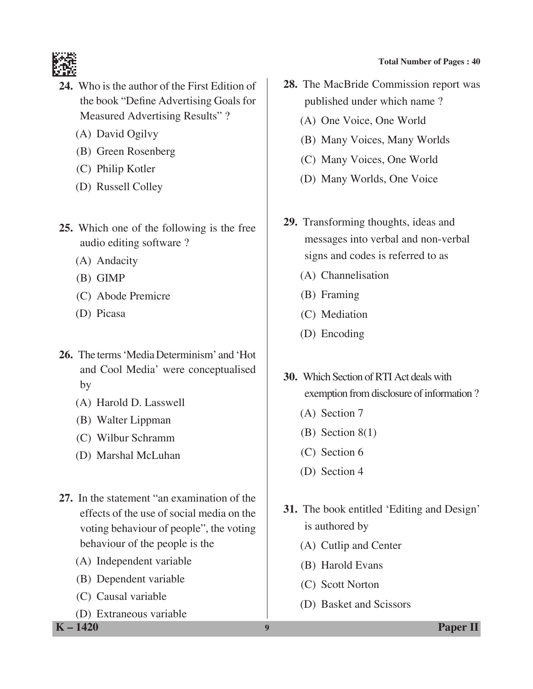

- **24.** Who is the author of the First Edition of the book "Define Advertising Goals for Measured Advertising Results" ?
	- (A) David Ogilvy
	- (B) Green Rosenberg
	- (C) Philip Kotler
	- (D) Russell Colley
- **25.** Which one of the following is the free audio editing software ?
	- (A) Andacity
	- (B) GIMP
	- (C) Abode Premicre
	- (D) Picasa
- **26.** The terms 'Media Determinism' and 'Hot and Cool Media' were conceptualised by
	- (A) Harold D. Lasswell
	- (B) Walter Lippman
	- (C) Wilbur Schramm
	- (D) Marshal McLuhan
- **27.** In the statement "an examination of the effects of the use of social media on the voting behaviour of people", the voting behaviour of the people is the
	- (A) Independent variable
	- (B) Dependent variable
	- (C) Causal variable
	- (D) Extraneous variable

**K – 1420 9 Paper II**

- **Total Number of Pages : 40**
- **28.** The MacBride Commission report was published under which name ?
	- (A) One Voice, One World
	- (B) Many Voices, Many Worlds
	- (C) Many Voices, One World
	- (D) Many Worlds, One Voice
- **29.** Transforming thoughts, ideas and messages into verbal and non-verbal signs and codes is referred to as
	- (A) Channelisation
	- (B) Framing
	- (C) Mediation
	- (D) Encoding
- **30.** Which section of RTI Act deals with exemption from disclosure of information ?
	- (A) Section 7
	- (B) Section 8(1)
	- (C) Section 6
	- (D) Section 4
- **31.** The book entitled 'Editing and Design' is authored by
	- (A) Cutlip and Center
	- (B) Harold Evans
	- (C) Scott Norton
	- (D) Basket and Scissors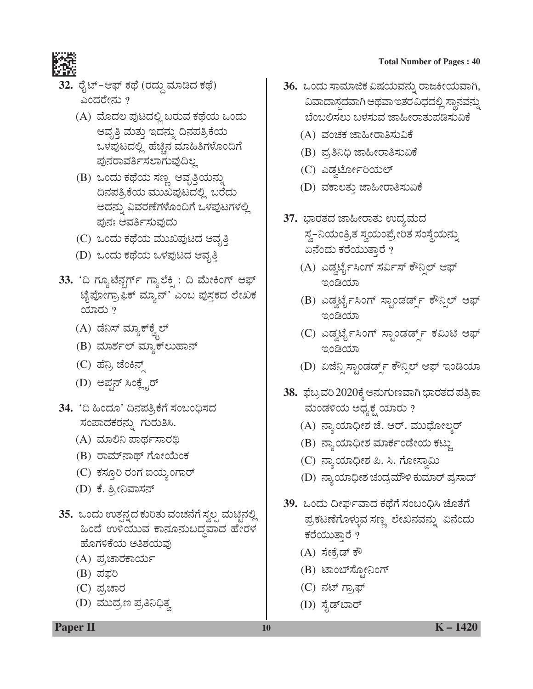

- 32. ರೈಟ್–ಆಫ್ ಕಥೆ (ರದ್ದು ಮಾಡಿದ ಕಥೆ) ಎಂದರೇನು ?
	- (A) ಮೊದಲ ಪುಟದಲ್ಲಿ ಬರುವ ಕಥೆಯ ಒಂದು ಆವೃತ್ತಿ ಮತ್ತು ಇದನ್ನು ದಿನಪತ್ರಿಕೆಯ ಒಳಪುಟದಲ್ಲಿ ಹೆಚ್ಚಿನ ಮಾಹಿತಿಗಳೊಂದಿಗೆ ಪುನರಾವರ್ತಿಸಲಾಗುವುದಿಲ್ಲ
	- (B) ಒಂದು ಕಥೆಯ ಸಣ್ಣ ಆವೃತ್ತಿಯನ್ನು ದಿನಪತ್ರಿಕೆಯ ಮುಖಪುಟದಲ್ಲಿ ಬರೆದು ಅದನ್ನು ವಿವರಣೆಗಳೊಂದಿಗೆ ಒಳಪುಟಗಳಲ್ಲಿ ಪುನಃ ಆವರ್ತಿಸುವುದು
	- (C) ಒಂದು ಕಥೆಯ ಮುಖಪುಟದ ಆವೃತ್ತಿ
	- (D) ಒಂದು ಕಥೆಯ ಒಳಪುಟದ ಆವೃತ್ತಿ
- 33. 'ದಿ ಗ್ಯೂಟೆನ್ಗರ್ಗ್ ಗ್ಯಾಲೆಕ್ಷಿ : ದಿ ಮೇಕಿಂಗ್ ಆಫ್ ಟೈಪೋಗ್ರಾಫಿಕ್ ಮ್ಯಾನ್' ಎಂಬ ಪುಸ್ತಕದ ಲೇಖಕ  $\alpha$  $\alpha$  $\beta$ 
	- (A) ಡೆನಿಸ್ ಮ್ಯಾಕ್**ಕ್ವೆಲ್**
	- (B) ಮಾರ್ಶಲ್ ಮ್ಯಾಕ್ ಲುಹಾನ್
	- (C) ಹೆನ್ರಿ ಜೆಂಕಿನ್
	- (D) ಅಪ್ಷನ್ ಸಿಂಕ್ಲೈರ್
- 34. 'ದಿ ಹಿಂದೂ' ದಿನಪತ್ರಿಕೆಗೆ ಸಂಬಂಧಿಸದ ಸಂಪಾದಕರನ್ನು ಗುರುತಿಸಿ.
	- (A) ಮಾಲಿನಿ ಪಾರ್ಥಸಾರಥಿ
	- (B) ರಾಮ್ನಾಥ್ ಗೋಯೆಂಕ
	- (C) ಕಸ್ತೂರಿ ರಂಗ ಐಯ್ಯಂಗಾರ್
	- (D) ಕೆ. ಶ್ರೀನಿವಾಸನ್
- **35.** ಒಂದು ಉತ್ಪನ್ನದ ಕುರಿತು ವಂಚನೆಗೆ ಸ್ವಲ್ಪ ಮಟ್ಟಿನಲ್ಲಿ ಹಿಂದೆ ಉಳಿಯುವ ಕಾನೂನುಬದ್ಧವಾದ ಹೇರಳ ಹೊಗಳಿಕೆಯ ಅತಿಶಯವು
	- (A) ಪ್ರಚಾರಕಾರ್ಯ
	- $(B)$  ಪಫರಿ
	- $(C)$  ಪ್ರಚಾರ
	- (D) ಮುದ್ರಣ ಪ್ರತಿನಿಧಿತ್ವ
- 36. ಒಂದು ಸಾಮಾಜಿಕ ವಿಷಯವನ್ನು ರಾಜಕೀಯವಾಗಿ, ವಿವಾದಾಸ್ಪದವಾಗಿ ಅಥವಾ ಇತರ ವಿಧದಲ್ಲಿ ಸ್ಥಾನವನ್ನು ಬೆಂಬಲಿಸಲು ಬಳಸುವ ಜಾಹೀರಾತುಪಡಿಸುವಿಕೆ
	- (A) ವಂಚಕ ಜಾಹೀರಾತಿಸುವಿಕೆ
	- (B) ಪ್ರತಿನಿಧಿ ಜಾಹೀರಾತಿಸುವಿಕೆ
	- (C) ಎಡ್ಜರ್ಟೋರಿಯಲ್
	- (D) ವಕಾಲತು ಜಾಹೀರಾತಿಸುವಿಕೆ
- 37. ಭಾರತದ ಜಾಹೀರಾತು ಉದ್ಯಮದ ಸ್ವ–ನಿಯಂತ್ರಿತ ಸ್ವಯಂಪ್ರೇರಿತ ಸಂಸ್ಥೆಯನ್ನು ಏನೆಂದು ಕರೆಯುತ್ತಾರೆ ?
	- (A) ಎಡ್ವರ್ಟೈಸಿಂಗ್ ಸರ್ವಿಸ್ ಕೌನ್ಸಿಲ್ ಆಫ್ ಇಂಡಿಯಾ
	- (B) ಎಡ್ವರ್ಟೈಸಿಂಗ್ ಸ್ಟಾಂಡರ್ಡ್ಸ್ ಕೌನ್ಸಿಲ್ ಆಫ್ ಇಂಡಿಯಾ
	- (C) ಎಡ್ವರ್ಟೈಸಿಂಗ್ ಸ್ಟಾಂಡರ್ಡ್ಸ್ ಕಮಿಟಿ ಆಫ್ poco
	- (D) ಏಜೆನ್ಷಿ ಸ್ಟಾಂಡರ್ಡ್ಸ್ ಕೌನ್ಸಿಲ್ ಆಫ್ ಇಂಡಿಯಾ
- 38. ಫೆಬ್ರವರಿ 2020ಕ್ಕೆ ಅನುಗುಣವಾಗಿ ಭಾರತದ ಪತ್ರಿಕಾ ಮಂಡಳಿಯ ಅಧ್ಯಕ್ಷ ಯಾರು ?
	- (A) ನ್ಯಾಯಾಧೀಶ ಜೆ. ಆರ್. ಮುಧೋಲ್ಕರ್
	- (B) ನ್ಯಾಯಾಧೀಶ ಮಾರ್ಕಂಡೇಯ ಕಟ್ಟು
	- (C) ನ್ಯಾಯಾಧೀಶ ಪಿ. ಸಿ. ಗೋಸ್ವಾಮಿ
	- (D) ನ್ಯಾಯಾಧೀಶ ಚಂದ್ರಮೌಳಿ ಕುಮಾರ್ ಪ್ರಸಾದ್
- 39. ಒಂದು ದೀರ್ಘವಾದ ಕಥೆಗೆ ಸಂಬಂಧಿಸಿ ಜೊತೆಗೆ ಪ್ರಕಟಣೆಗೊಳ್ಳುವ ಸಣ್ಣ ಲೇಖನವನ್ನು ಏನೆಂದು ಕರೆಯುತ್ತಾರೆ ?
	- (A) ಸೇಕೆ,ಡ್ ಕೌ
	- (B) ಟಾಂಬ್ಸೋನಿಂಗ್
	- (C) ನಟ್ ಗ್ರಾಫ್
	- (D) ಸೈಡ್**ಬಾ**ರ್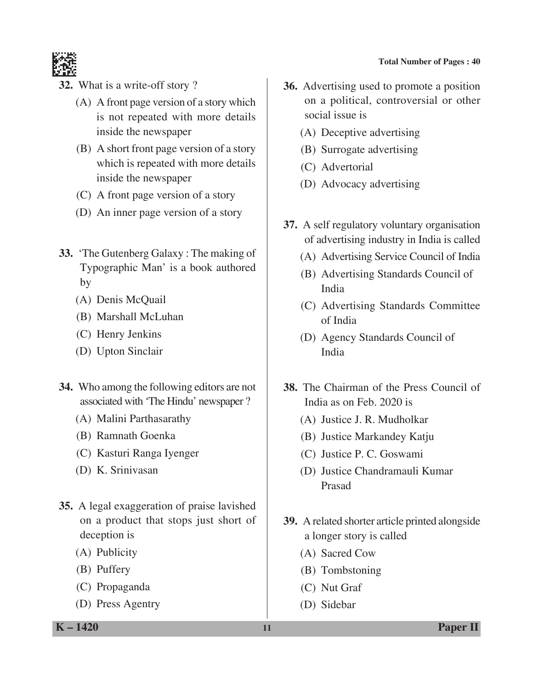

- **32.** What is a write-off story ?
	- (A) A front page version of a story which is not repeated with more details inside the newspaper
	- (B) A short front page version of a story which is repeated with more details inside the newspaper
	- (C) A front page version of a story
	- (D) An inner page version of a story
- **33.** 'The Gutenberg Galaxy : The making of Typographic Man' is a book authored by
	- (A) Denis McQuail
	- (B) Marshall McLuhan
	- (C) Henry Jenkins
	- (D) Upton Sinclair
- **34.** Who among the following editors are not associated with 'The Hindu' newspaper ?
	- (A) Malini Parthasarathy
	- (B) Ramnath Goenka
	- (C) Kasturi Ranga Iyenger
	- (D) K. Srinivasan
- **35.** A legal exaggeration of praise lavished on a product that stops just short of deception is
	- (A) Publicity
	- (B) Puffery
	- (C) Propaganda
	- (D) Press Agentry
- **36.** Advertising used to promote a position on a political, controversial or other social issue is
	- (A) Deceptive advertising
	- (B) Surrogate advertising
	- (C) Advertorial
	- (D) Advocacy advertising
- **37.** A self regulatory voluntary organisation of advertising industry in India is called
	- (A) Advertising Service Council of India
	- (B) Advertising Standards Council of India
	- (C) Advertising Standards Committee of India
	- (D) Agency Standards Council of India
- **38.** The Chairman of the Press Council of India as on Feb. 2020 is
	- (A) Justice J. R. Mudholkar
	- (B) Justice Markandey Katju
	- (C) Justice P. C. Goswami
	- (D) Justice Chandramauli Kumar Prasad
- **39.** A related shorter article printed alongside a longer story is called
	- (A) Sacred Cow
	- (B) Tombstoning
	- (C) Nut Graf
	- (D) Sidebar

**K – 1420 11 Paper II**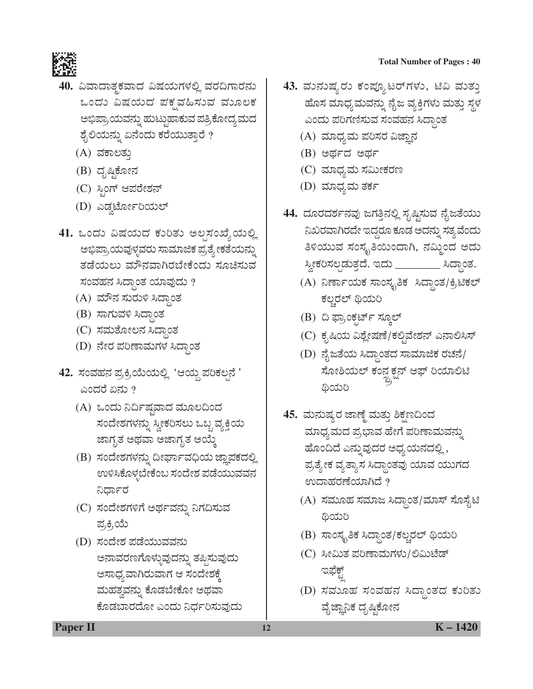- <mark>40.</mark> ವಿವಾದಾತ್ಮಕವಾದ ವಿಷಯಗಳಲ್ಲಿ ವರದಿಗಾರನು ಒಂದು ವಿಷಯದ ಪಕ್ಷವಹಿಸುವ ಮೂಲಕ ಅಭಿಪ್ರಾಯವನ್ನು ಹುಟ್ಟುಹಾಕುವ ಪತ್ರಿಕೋದ್ಯಮದ ಶೈಲಿಯನ್ನು ಏನೆಂದು ಕರೆಯುತ್ತಾರೆ ?
	- (A) ವಕಾಲತು
	- (B) ದೃಷ್ಠಿಕೋನ
	- (C) ಸ್ಪಿಂಗ್ ಆಪರೇಶನ್
	- (D) ಎಡ್ವರ್ಟೋರಿಯಲ್
- 41. ಒಂದು ವಿಷಯದ ಕುರಿತು ಅಲ್ಪಸಂಖ್ಯೆಯಲ್ಲಿ ಅಭಿಪ್ರಾಯವುಳ್ಳವರು ಸಾಮಾಜಿಕ ಪ್ರತ್ಯೇಕತೆಯನ್ನು ತಡೆಯಲು ಮೌನವಾಗಿರಬೇಕೆಂದು ಸೂಚಿಸುವ ಸಂವಹನ ಸಿದ್ಧಾಂತ ಯಾವುದು ?
	- (A) ಮೌನ ಸುರುಳಿ ಸಿದ್ಧಾಂತ
	- (B) ಸಾಗುವಳಿ ಸಿದ್ಧಾಂತ
	- (C) ಸಮತೋಲನ ಸಿದ್ಧಾಂತ
	- (D) ನೇರ ಪರಿಣಾಮಗಳ ಸಿದ್ಧಾಂತ
- 42. ಸಂವಹನ ಪ್ರಕ್ರಿಯೆಯಲ್ಲಿ 'ಆಯ್ದ ಪರಿಕಲ್ಪನೆ ' ಎಂದರೆ ಏನು  $\overline{?}$ 
	- (A) ಒಂದು ನಿರ್ದಿಷ್ಠವಾದ ಮೂಲದಿಂದ ಸಂದೇಶಗಳನ್ನು ಸ್ವೀಕರಿಸಲು ಒಬ್ಬ ವ್ಯಕ್ತಿಯ ಜಾಗೃತ ಅಥವಾ ಅಜಾಗೃತ ಆಯ್ಕೆ
	- (B) ಸಂದೇಶಗಳನ್ನು ದೀರ್ಘಾವಧಿಯ ಜ್ಞಾಪಕದಲ್ಲಿ ಉಳಿಸಿಕೊಳ್ಳಬೇಕೆಂಬ ಸಂದೇಶ ಪಡೆಯುವವನ ನಿರ್ಧಾರ
	- (C) ಸಂದೇಶಗಳಿಗೆ ಅರ್ಥವನ್ನು ನಿಗದಿಸುವ ಪ್ರಕ್ರಿಯೆ
	- (D) ಸಂದೇಶ ಪಡೆಯುವವನು ಅನಾವರಣಗೊಳ್ಳುವುದನ್ನು ತಪ್ಪಿಸುವುದು ಅಸಾಧ್ಯವಾಗಿರುವಾಗ ಆ ಸಂದೇಶಕ್ಕೆ ಮಹತ್ವವನ್ನು ಕೊಡಬೇಕೋ ಅಥವಾ ಕೊಡಬಾರದೋ ಎಂದು ನಿರ್ಧರಿಸುವುದು

- 43. ಮನುಷ್ಯರು ಕಂಪ್ಯೂಟರ್**ಗಳು, ಟಿವಿ ಮತ್ತು** ಹೊಸ ಮಾಧ್ಯಮವನ್ನು ನೈಜ ವ್ಯಕ್ತಿಗಳು ಮತ್ತು ಸ್ಥಳ ಎಂದು ಪರಿಗಣಿಸುವ ಸಂವಹನ ಸಿದ್ಧಾಂತ
	- (A) ಮಾಧ್ಯಮ ಪರಿಸರ ವಿಜ್ಞಾನ
	- $(B)$  ಅರ್ಥದ ಅರ್ಥ
	- (C) ಮಾಧ್ಯಮ ಸಮೀಕರಣ
	- (D) ಮಾಧ್ಯಮ ತರ್ಕ
- 44. ದೂರದರ್ಶನವು ಜಗತ್ತಿನಲ್ಲಿ ಸೃಷ್ಟಿಸುವ ನೈಜತೆಯು ನಿಖರವಾಗಿರದೇ ಇದ್ದರೂ ಕೂಡ ಅದನ್ನು ಸತ್ಯವೆಂದು ತಿಳಿಯುವ ಸಂಸ್ಕೃತಿಯಿಂದಾಗಿ, ನಮ್ಮಿಂದ ಅದು ಸ್ವೀಕರಿಸಲ್ಪಡುತ್ತದೆ. ಇದು \_\_\_\_\_\_\_\_\_ ಸಿದ್ಧಾಂತ.
	- (A) ನಿರ್ಣಾಯಕ ಸಾಂಸ್ಕೃತಿಕ ಸಿದ್ಧಾಂತ/ಕ್ರಿಟಿಕಲ್ ಕಲ್ಚರಲ್ ಥಿಯರಿ
	- (B) ದಿ ಫ್ರಾಂಕ್ಷರ್ಟ್ ಸ್ಕೂಲ್
	- (C) ಕೃಷಿಯ ವಿಶ್ಲೇಷಣೆ/ಕಲ್ಚಿವೇಶನ್ ಎನಾಲಿಸಿಸ್
	- (D) ನೈಜತೆಯ ಸಿದ್ಧಾಂತದ ಸಾಮಾಜಿಕ ರಚನೆ/ ಸೋಶಿಯಲ್ ಕಂನ್ನ ಕ್ಷನ್ ಆಫ್ ರಿಯಾಲಿಟಿ<br>ಜಿ. ಎ Å ಥಿಯರಿ
- <mark>45.</mark> ಮನುಷ್ಯರ ಜಾಣ್ಣೆ ಮತ್ತು ಶಿಕ್ಷಣದಿಂದ ಮಾಧ್ಯಮದ ಪ್ರಭಾವ ಹೇಗೆ ಪರಿಣಾಮವನ್ನು ಹೊಂದಿದೆ ಎನ್ನುವುದರ ಅಧ್ಯಯನದಲ್ಲಿ, ಪ್ರತ್ಯೇಕ ವ್ಯತ್ಯಾಸ ಸಿದ್ಧಾಂತವು ಯಾವ ಯುಗದ ಉದಾಹರಣೆಯಾಗಿದೆ ?
	- (A) ಸಮೂಹ ಸಮಾಜ ಸಿದ್ಧಾಂತ/ಮಾಸ್ ಸೊಸೈಟಿ **@**ಯರಿ
	- (B) ಸಾಂಸ್ಕೃತಿಕ ಸಿದ್ಧಾಂತ/ಕಲ್ಚರಲ್ ಥಿಯರಿ
	- (C) ಸೀಮಿತ ಪರಿಣಾಮಗಳು/ಲಿಮಿಟೆಡ್ ಇಫೆಕ್ಟ್
	- (D) ಸಮೂಹ ಸಂವಹನ ಸಿದ್ಧಾಂತದ ಕುರಿತು ವೈಜ್ಞಾನಿಕ ದೃಷ್ತಿಕೋನ

**Paper II 12 K** – 1420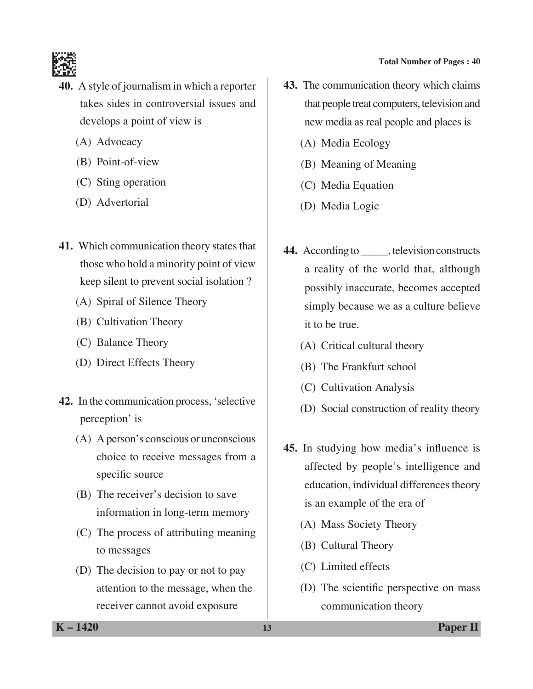

- **40.** A style of journalism in which a reporter takes sides in controversial issues and develops a point of view is
	- (A) Advocacy
	- (B) Point-of-view
	- (C) Sting operation
	- (D) Advertorial
- **41.** Which communication theory states that those who hold a minority point of view keep silent to prevent social isolation ?
	- (A) Spiral of Silence Theory
	- (B) Cultivation Theory
	- (C) Balance Theory
	- (D) Direct Effects Theory
- **42.** In the communication process, 'selective perception' is
	- (A) A person's conscious or unconscious choice to receive messages from a specific source
	- (B) The receiver's decision to save information in long-term memory
	- (C) The process of attributing meaning to messages
	- (D) The decision to pay or not to pay attention to the message, when the receiver cannot avoid exposure
- **43.** The communication theory which claims that people treat computers, television and new media as real people and places is
	- (A) Media Ecology
	- (B) Meaning of Meaning
	- (C) Media Equation
	- (D) Media Logic
- **44.** According to \_\_\_\_\_, television constructs a reality of the world that, although possibly inaccurate, becomes accepted simply because we as a culture believe it to be true.
	- (A) Critical cultural theory
	- (B) The Frankfurt school
	- (C) Cultivation Analysis
	- (D) Social construction of reality theory
- **45.** In studying how media's influence is affected by people's intelligence and education, individual differences theory is an example of the era of
	- (A) Mass Society Theory
	- (B) Cultural Theory
	- (C) Limited effects
	- (D) The scientific perspective on mass communication theory

**K – 1420 13 Paper II**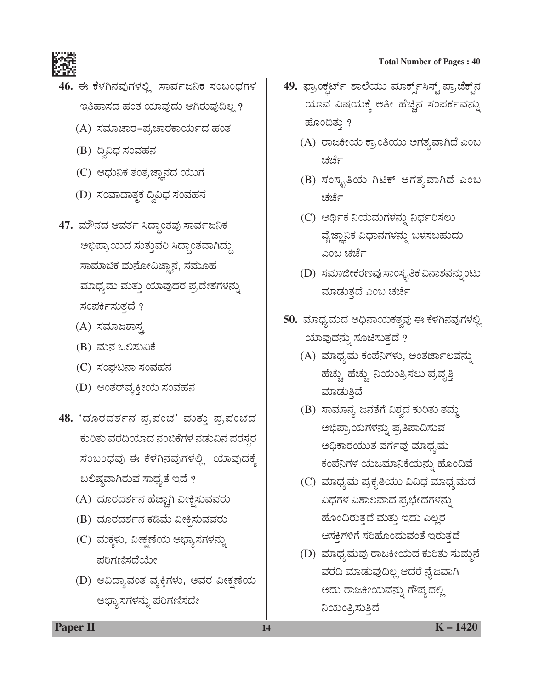

- 46. ಈ ಕೆಳಗಿನವುಗಳಲ್ಲಿ ಸಾರ್ವಜನಿಕ ಸಂಬಂಧಗಳ ಇತಿಹಾಸದ ಹಂತ ಯಾವುದು ಆಗಿರುವುದಿಲ್ಲ ?
	- (A) ಸಮಾಚಾರ-ಪ್ರಚಾರಕಾರ್ಯದ ಹಂತ
	- (B) ದ್ವಿವಿಧ ಸಂವಹನ
	- (C) ಆಧುನಿಕ ತಂತ್ರಜ್ಞಾನದ ಯುಗ
	- (D) ಸಂವಾದಾತ್ಮಕ ದ್ವಿವಿಧ ಸಂವಹನ
- 47. ಮೌನದ ಆವರ್ತ ಸಿದ್ಧಾಂತವು ಸಾರ್ವಜನಿಕ ಅಭಿಪ್ರಾಯದ ಸುತ್ತುವರಿ ಸಿದ್ಧಾಂತವಾಗಿದ್ದು ಸಾಮಾಜಿಕ ಮನೋವಿಜ್ಞಾನ, ಸಮೂಹ ಮಾಧ್ಯಮ ಮತ್ತು ಯಾವುದರ ಪ್ರದೇಶಗಳನ್ನು ಸಂಪರ್ಕಿಸುತದೆ ?
	- (A) ಸಮಾಜಶಾಸ
	- (B) ಮನ ಒಲಿಸುವಿಕೆ
	- (C) ಸಂಘಟನಾ ಸಂವಹನ
	- (D) ಅಂತರ್**ವ್ಯಕ್ತೀಯ ಸಂವಹ**ನ
- 48. 'ದೂರದರ್ಶನ ಪ್ರಪಂಚ' ಮತ್ತು ಪ್ರಪಂಚದ ಕುರಿತು ವರದಿಯಾದ ನಂಬಿಕೆಗಳ ನಡುವಿನ ಪರಸರ ಸಂಬಂಧವು ಈ ಕೆಳಗಿನವುಗಳಲ್ಲಿ ಯಾವುದಕ್ಕೆ ಬಲಿಷ್ಠವಾಗಿರುವ ಸಾಧ್ಯತೆ ಇದೆ ?
	- (A) ದೂರದರ್ಶನ ಹೆಚ್ಚಾಗಿ ವೀಕ್ಷಿಸುವವರು
	- (B) ದೂರದರ್ಶನ ಕಡಿಮೆ ವೀಕ್ಷಿಸುವವರು
	- (C) ಮಕ್ಕಳು, ವೀಕ್ಷಣೆಯ ಅಭ್ಯಾಸಗಳನ್ನು ಪರಿಗಣಿಸದೆಯೇ
	- (D) ಅವಿದ್ಯಾವಂತ ವ್ಯಕ್ತಿಗಳು, ಅವರ ವೀಕ್ಷಣೆಯ ಅಭ್ಯಾಸಗಳನ್ನು ಪರಿಗಣಿಸದೇ
- 49. ಫ್ರಾಂಕ್ಷರ್ಟ್ ಶಾಲೆಯು ಮಾರ್ಕ್ಸ್ಸಿಸ್ಟ್ ಪ್ರಾಜೆಕ್ಟ್**ನ** ಯಾವ ವಿಷಯಕ್ಕೆ ಅತೀ ಹೆಚ್ಚಿನ ಸಂಪರ್ಕವನ್ನು ಹೊಂದಿತ್ತು ?
	- (A) ರಾಜಕೀಯ ಕ್ರಾಂತಿಯು ಅಗತ್ಯವಾಗಿದೆ ಎಂಬ ಚರ್ಚ
	- (B) ಸಂಸ್ಕೃತಿಯ ಗಿಟಿಕ್ ಅಗತ್ಯವಾಗಿದೆ ಎಂಬ ಚರ್ಚ
	- (C) ಆರ್ಥಿಕ ನಿಯಮಗಳನ್ನು ನಿರ್ಧರಿಸಲು ವೈಜ್ಞಾನಿಕ ವಿಧಾನಗಳನ್ನು ಬಳಸಬಹುದು ಎಂಬ ಚರ್ಚೆ
	- $(D)$  ಸಮಾಜೀಕರಣವು ಸಾಂಸ್ಕೃತಿಕ ವಿನಾಶವನ್ನುಂಟು ಮಾಡುತ್ತದೆ ಎಂಬ ಚರ್ಚೆ
- 50. ಮಾಧ್ಯಮದ ಅಧಿನಾಯಕತ್ವವು ಈ ಕೆಳಗಿನವುಗಳಲ್ಲಿ ಯಾವುದನ್ನು ಸೂಚಿಸುತ್ತದೆ  $\emph{?}$ 
	- (A) ಮಾಧ್ಯಮ ಕಂಪೆನಿಗಳು, ಅಂತರ್ಜಾಲವನ್ನು ಹೆಚ್ಚು ಹೆಚ್ಚು ನಿಯಂತ್ರಿಸಲು ಪ್ರವೃತ್ತಿ ಮಾಡುತಿವೆ
	- (B) ಸಾಮಾನ್ಯ ಜನತೆಗೆ ವಿಶ್ವದ ಕುರಿತು ತಮ್ಮ ಅಭಿಪ್ರಾಯಗಳನ್ನು ಪ್ರತಿಪಾದಿಸುವ ಅಧಿಕಾರಯುತ ವರ್ಗವು ಮಾಧ್ಯಮ ಕಂಪೆನಿಗಳ ಯಜಮಾನಿಕೆಯನ್ನು ಹೊಂದಿವೆ
	- (C) ಮಾಧ್ಯಮ ಪ್ರಕೃತಿಯು ವಿವಿಧ ಮಾಧ್ಯಮದ ವಿಧಗಳ ವಿಶಾಲವಾದ ಪ್ರಭೇದಗಳನ್ನು ಹೊಂದಿರುತ್ತದೆ ಮತ್ತು ಇದು ಎಲ್ಲರ ಆಸಕಿಗಳಿಗೆ ಸರಿಹೊಂದುವಂತೆ ಇರುತದೆ
	- (D) ಮಾಧ್ಯಮವು ರಾಜಕೀಯದ ಕುರಿತು ಸುಮ್ಮನೆ ವರದಿ ಮಾಡುವುದಿಲ್ಲ ಆದರೆ ನೈಜವಾಗಿ ಅದು ರಾಜಕೀಯವನ್ನು ಗೌಪ್ಯದಲ್ಲಿ ನಿಯಂತ್ರಿಸುತ್ತಿದೆ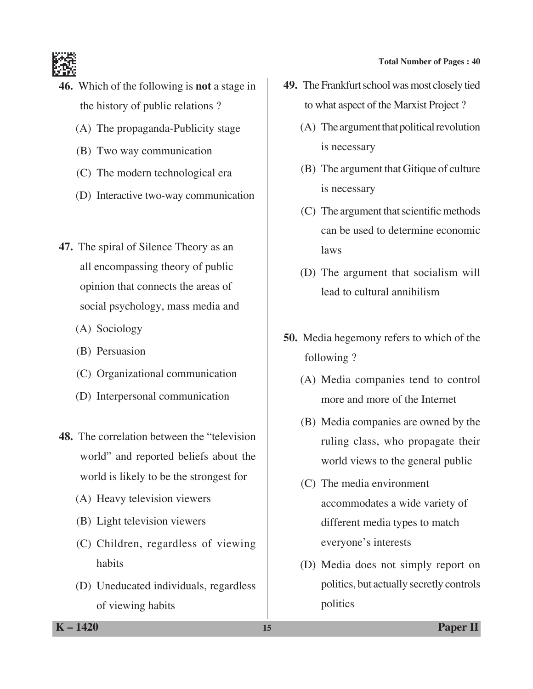

- **46.** Which of the following is **not** a stage in the history of public relations ?
	- (A) The propaganda-Publicity stage
	- (B) Two way communication
	- (C) The modern technological era
	- (D) Interactive two-way communication
- **47.** The spiral of Silence Theory as an all encompassing theory of public opinion that connects the areas of social psychology, mass media and
	- (A) Sociology
	- (B) Persuasion
	- (C) Organizational communication
	- (D) Interpersonal communication
- **48.** The correlation between the "television world" and reported beliefs about the world is likely to be the strongest for
	- (A) Heavy television viewers
	- (B) Light television viewers
	- (C) Children, regardless of viewing habits
	- (D) Uneducated individuals, regardless of viewing habits
- **49.** The Frankfurt school was most closely tied to what aspect of the Marxist Project ?
	- (A) The argument that political revolution is necessary
	- (B) The argument that Gitique of culture is necessary
	- (C) The argument that scientific methods can be used to determine economic laws
	- (D) The argument that socialism will lead to cultural annihilism
- **50.** Media hegemony refers to which of the following ?
	- (A) Media companies tend to control more and more of the Internet
	- (B) Media companies are owned by the ruling class, who propagate their world views to the general public
	- (C) The media environment accommodates a wide variety of different media types to match everyone's interests
	- (D) Media does not simply report on politics, but actually secretly controls politics

**K – 1420 15 Paper II**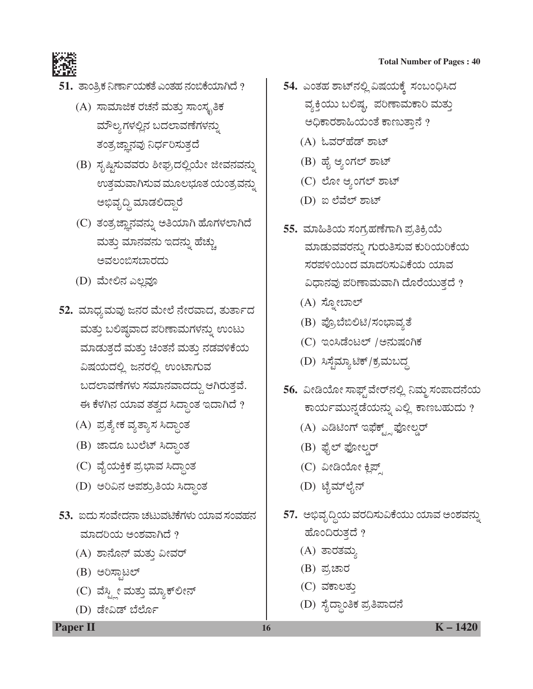



- $51.$  ತಾಂತ್ರಿಕ ನಿರ್ಣಾಯಕತೆ ಎಂತಹ ನಂಬಿಕೆಯಾಗಿದೆ ?
	- (A) ಸಾಮಾಜಿಕ ರಚನೆ ಮತ್ತು ಸಾಂಸ್ಕೃತಿಕ ಮೌಲ್ಯಗಳಲ್ಲಿನ ಬದಲಾವಣೆಗಳನ್ನು ತಂತ್ರಜ್ಞಾನವು ನಿರ್ಧರಿಸುತ್ತದೆ
	- (B) ಸೃಷ್ತಿಸುವವರು ಶೀಘ್ರದಲ್ಲಿಯೇ ಜೀವನವನ್ನು ಉತ್ತಮವಾಗಿಸುವ ಮೂಲಭೂತ ಯಂತ್ರವನ್ನು ಅಭಿವೃದ್ಧಿ ಮಾಡಲಿದ್ದಾರೆ
	- (C) ತಂತ್ರಜ್ಞಾನವನ್ನು ಅತಿಯಾಗಿ ಹೊಗಳಲಾಗಿದೆ ಮತ್ತು ಮಾನವನು ಇದನ್ನು ಹೆಚ್ಚು ಅವಲಂಬಿಸಬಾರದು
	- (D) ಮೇಲಿನ ಎಲ್ಲವೂ
- 52. ಮಾಧ್ಯಮವು ಜನರ ಮೇಲೆ ನೇರವಾದ, ತುರ್ತಾದ ಮತ್ತು ಬಲಿಷ್ಠವಾದ ಪರಿಣಾಮಗಳನ್ನು ಉಂಟು ಮಾಡುತ್ತದೆ ಮತ್ತು ಚಿಂತನೆ ಮತ್ತು ನಡವಳಿಕೆಯ ವಿಷಯದಲ್ಲಿ ಜನರಲ್ಲಿ ಉಂಟಾಗುವ ಬದಲಾವಣೆಗಳು ಸಮಾನವಾದದ್ದು ಆಗಿರುತ್ತವೆ. ಈ ಕೆಳಗಿನ ಯಾವ ತತ್ವದ ಸಿದ್ಧಾಂತ ಇದಾಗಿದೆ ?
	- (A) ಪ್ರತ್ಯೇಕ ವ್ಯತ್ಯಾಸ ಸಿದ್ಧಾಂತ
	- (B) ಜಾದೂ ಬುಲೆಟ್ ಸಿದ್ಧಾಂತ
	- (C) ವೈಯಕ್ತಿಕ ಪ್ರಭಾವ ಸಿದ್ಧಾಂತ
	- (D) ಅರಿವಿನ ಅಪಶ್ರುತಿಯ ಸಿದ್ಧಾಂತ
- 53. ಐದು ಸಂವೇದನಾ ಚಟುವಟಿಕೆಗಳು ಯಾವ ಸಂವಹನ ಮಾದರಿಯ ಅಂಶವಾಗಿದೆ ?
	- (A) ಶಾನೊನ್ ಮತ್ತು ವೀವರ್
	- (B) ಅರಿಸ್ಪಾಟಲ್
	- (C) ವೆಸ್ಟ್ಲೀ ಮತ್ತು ಮ್ಯಾಕ್ಲೀನ್
	- (D) ಡೇವಿಡ್ ಬೆರ್ಲೊ

54. ಎಂತಹ ಶಾಟ್ನಲ್ಲಿ ವಿಷಯಕ್ಕೆ ಸಂಬಂಧಿಸಿದ ವ್ಯಕ್ತಿಯು ಬಲಿಷ್ಯ, ಪರಿಣಾಮಕಾರಿ ಮತ್ತು ಅಧಿಕಾರಶಾಹಿಯಂತೆ ಕಾಣುತ್ತಾನೆ ?

- (A) ಓವರ್**ಹೆಡ್** ಶಾಟ್
- (B) ಹೈ ಆ್ಯಂಗಲ್ ಶಾಟ್
- (C) ಲೋ ಆ್ಯಂಗಲ್ ಶಾಟ್
- (D) ಐ ಲೆವೆಲ್ ಶಾಟ್
- 55. ಮಾಹಿತಿಯ ಸಂಗ್ರಹಣೆಗಾಗಿ ಪ್ರತಿಕ್ರಿಯೆ ಮಾಡುವವರನ್ನು ಗುರುತಿಸುವ ಕುರಿಯರಿಕೆಯ ಸರಪಳಿಯಿಂದ ಮಾದರಿಸುವಿಕೆಯ ಯಾವ ವಿಧಾನವು ಪರಿಣಾಮವಾಗಿ ದೊರೆಯುತದೆ ?
	- (A) ಸ್ನೋಬಾಲ್
	- (B) ಪ್ರೊಬೆಬಿಲಿಟಿ/ಸಂಭಾವ್ಯತೆ
	- (C) ಇಂಸಿಡೆಂಟಲ್ /ಅನುಷಂಗಿಕ
	- (D) ಸಿಸ್ತೆಮ್ಯಾಟಿಕ್/ಕ್ರಮಬದ್ಧ
- 56. ವೀಡಿಯೋ ಸಾಫ್ಟ್ ವೇರ್ನಲ್ಲಿ ನಿಮ್ಮ ಸಂಪಾದನೆಯ ಕಾರ್ಯಮುನ್ನಡೆಯನ್ನು ಎಲ್ಲಿ ಕಾಣಬಹುದು ?
	- (A) ಎಡಿಟಿಂಗ್ ಇಫೆಕ್ಟ್ಸ್ ಫೋಲ್ಡರ್
	- (B) ಫೈಲ್ ಫೋಲ್ಡರ್
	- (C) ವೀಡಿಯೋ ಕ್ಲಿಪ್
	- (D) ಟೈಮ್ಲೈನ್
- 57. ಅಭಿವೃದ್ಧಿಯ ವರದಿಸುವಿಕೆಯು ಯಾವ ಅಂಶವನ್ನು ಹೊಂದಿರುತ್ತದೆ ?
	- (A) ತಾರತಮ್ಮ
	- (B) ಪ್ರಚಾರ
	- (C) ವಕಾಲತು
	- (D) ಸೈದ್ಧಾಂತಿಕ ಪ್ರತಿಪಾದನೆ

**Paper II** 

 $K - 1420$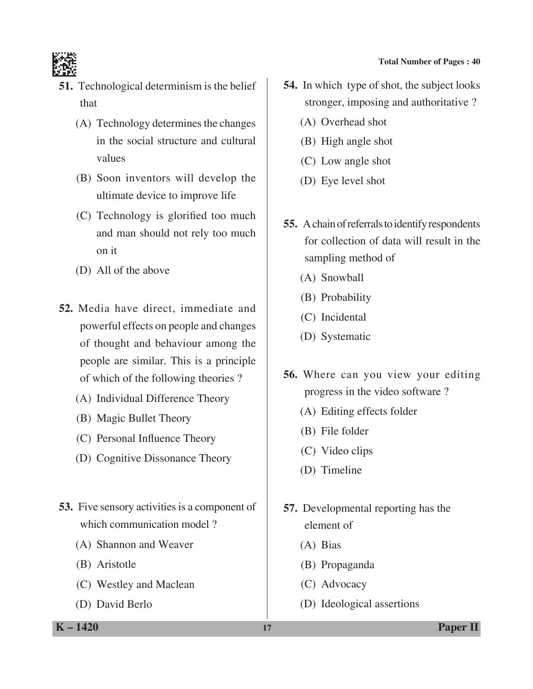

- **51.** Technological determinism is the belief that
	- (A) Technology determines the changes in the social structure and cultural values
	- (B) Soon inventors will develop the ultimate device to improve life
	- (C) Technology is glorified too much and man should not rely too much on it
	- (D) All of the above
- **52.** Media have direct, immediate and powerful effects on people and changes of thought and behaviour among the people are similar. This is a principle of which of the following theories ?
	- (A) Individual Difference Theory
	- (B) Magic Bullet Theory
	- (C) Personal Influence Theory
	- (D) Cognitive Dissonance Theory
- **53.** Five sensory activities is a component of which communication model ?
	- (A) Shannon and Weaver
	- (B) Aristotle
	- (C) Westley and Maclean
	- (D) David Berlo
- **54.** In which type of shot, the subject looks stronger, imposing and authoritative ?
	- (A) Overhead shot
	- (B) High angle shot
	- (C) Low angle shot
	- (D) Eye level shot
- **55.** A chain of referrals to identify respondents for collection of data will result in the sampling method of
	- (A) Snowball
	- (B) Probability
	- (C) Incidental
	- (D) Systematic
- **56.** Where can you view your editing progress in the video software ?
	- (A) Editing effects folder
	- (B) File folder
	- (C) Video clips
	- (D) Timeline
- **57.** Developmental reporting has the element of
	- (A) Bias
	- (B) Propaganda
	- (C) Advocacy
	- (D) Ideological assertions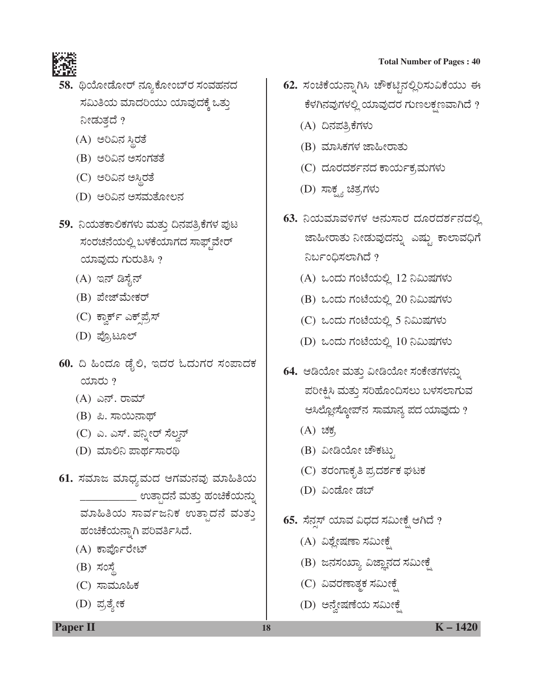

- 58. ಥಿಯೋಡೋರ್ ನ್ಯೂಕೋಂಬ್**ರ** ಸಂವಹನದ ಸಮಿತಿಯ ಮಾದರಿಯು ಯಾವುದಕ್ಕೆ ಒತ್ತು ನೀಡುತ್ತದೆ ?
	- (A) ಅರಿವಿನ ಸ್ಥಿರತೆ
	- (B) ಅರಿವಿನ ಅಸಂಗತತೆ
	- (C) ಅರಿವಿನ ಅಸ್ಥಿರತೆ
	- (D) ಅರಿವಿನ ಅಸಮತೋಲನ
- 59. ನಿಯತಕಾಲಿಕಗಳು ಮತ್ತು ದಿನಪತ್ರಿಕೆಗಳ ಪುಟ ಸಂರಚನೆಯಲ್ಲಿ ಬಳಕೆಯಾಗದ ಸಾಫ್ತ್ ವೇರ್ ಯಾವುದು ಗುರುತಿಸಿ ?
	- (A) ಇನ್ ಡಿಸೈನ್
	- (B) ಪೇಜ್*ಮೇ*ಕರ್
	- (C) ಕ್ವಾರ್ಕ್ ಎಕ್<sub>್ರ</sub> ಪ್ರಸ್
	- (D) ಪ್ರೊಟೂಲ್
- $60.$  ದಿ ಹಿಂದೂ ಡೈಲಿ, ಇದರ ಓದುಗರ ಸಂಪಾದಕ ಯಾರು  $?$ 
	- (A) ಎನ್. ರಾಮ್
	- (B) ಪಿ. ಸಾಯಿನಾಥ್
	- (C) ಎ. ಎಸ್. ಪನ್ನೀರ್ ಸೆಲ್ವನ್
	- (D) ಮಾಲಿನಿ ಪಾರ್ಥಸಾರಥಿ
- 61. ಸಮಾಜ ಮಾಧ್ಯಮದ ಆಗಮನವು ಮಾಹಿತಿಯ \_\_\_\_\_ ಉತ್ತಾದನೆ ಮತ್ತು ಹಂಚಿಕೆಯನ್ನು ಮಾಹಿತಿಯ ಸಾರ್ವಜನಿಕ ಉತ್ಪಾದನೆ ಮತ್ತು ಹಂಚಿಕೆಯನ್ನಾಗಿ ಪರಿವರ್ತಿಸಿದೆ.
	- (A) ಕಾರ್ಪೊರೇಟ್
	- $(B)$  ಸಂಸ್ಥೆ
	- (C) ಸಾಮೂಹಿಕ
	- (D) ಪ್ರತ್ಯೇಕ

- 62. ಸಂಚಿಕೆಯನ್ನಾಗಿಸಿ ಚೌಕಟ್ಟಿನಲ್ಲಿರಿಸುವಿಕೆಯು ಈ ಕೆಳಗಿನವುಗಳಲ್ಲಿ ಯಾವುದರ ಗುಣಲಕ್ಷಣವಾಗಿದೆ ?
	- (A) ದಿನಪತ್ರಿಕೆಗಳು
	- (B) ಮಾಸಿಕಗಳ ಜಾಹೀರಾತು
	- (C) ದೂರದರ್ಶನದ ಕಾರ್ಯಕ,ಮಗಳು
	- (D) ಸಾಕ್ಷ್ಯ ಚಿತ್ರಗಳು
- **63.** ನಿಯಮಾವಳಿಗಳ ಅನುಸಾರ ದೂರದರ್ಶನದಲ್ಲಿ ಜಾಹೀರಾತು ನೀಡುವುದನ್ನು ಎಷ್ಟು ಕಾಲಾವಧಿಗೆ ನಿರ್ಬಂಧಿಸಲಾಗಿದೆ ?
	- $(A)$  ಒಂದು ಗಂಟೆಯಲ್ಲಿ 12 ನಿಮಿಷಗಳು
	- (B) ಒಂದು ಗಂಟೆಯಲ್ಲಿ 20 ನಿಮಿಷಗಳು
	- (C) ಒಂದು ಗಂಟೆಯಲ್ಲಿ 5 ನಿಮಿಷಗಳು
	- (D) ಒಂದು ಗಂಟೆಯಲ್ಲಿ 10 ನಿಮಿಷಗಳು
- 64. ಆಡಿಯೋ ಮತ್ತು ವೀಡಿಯೋ ಸಂಕೇತಗಳನ್ನು ಪರೀಕ್ಷಿಸಿ ಮತ್ತು ಸರಿಹೊಂದಿಸಲು ಬಳಸಲಾಗುವ ಆಸಿಲ್ಲೋಸ್ಕೋಪ್ $\lambda$  ಸಾಮಾನ್ಯ ಪದ ಯಾವುದು ?
	- $(A)$  ಚಕ,
	- (B) ವೀಡಿಯೋ ಚೌಕಟ್ಟು
	- (C) ತರಂಗಾಕೃತಿ ಪ್ರದರ್ಶಕ ಘಟಕ
	- (D) ವಿಂಡೋ ಡಬ್
- **65.** ಸೆನ್ಸಸ್ ಯಾವ ವಿಧದ ಸಮೀಕೈ ಆಗಿದೆ ?
	- (A) ವಿಶ್ಲೇಷಣಾ ಸಮೀಕ್ಷೆ
	- (B) ಜನಸಂಖ್ಯಾ ವಿಜ್ಞಾನದ ಸಮೀಕ್ಷೆ
	- (C) ವಿವರಣಾತ್ಮಕ ಸಮೀಕೈ
	- (D) ಅನ್ನೇಷಣೆಯ ಸಮೀಕೈ

**Paper II 18 K** – 1420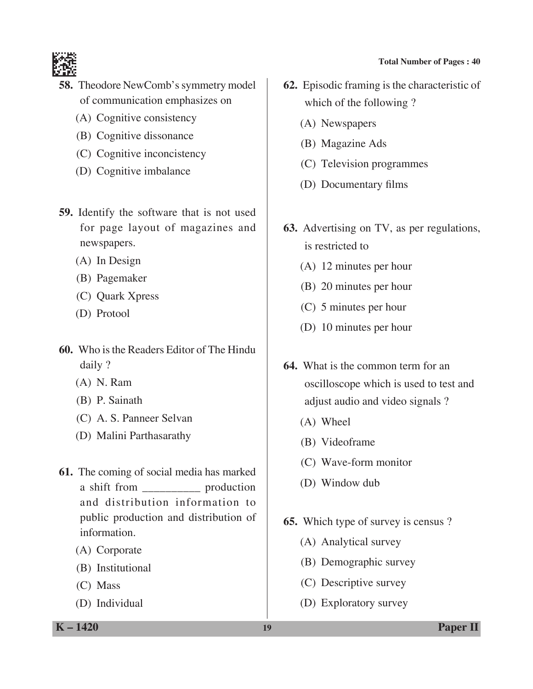

- **58.** Theodore NewComb's symmetry model of communication emphasizes on
	- (A) Cognitive consistency
	- (B) Cognitive dissonance
	- (C) Cognitive inconcistency
	- (D) Cognitive imbalance
- **59.** Identify the software that is not used for page layout of magazines and newspapers.
	- (A) In Design
	- (B) Pagemaker
	- (C) Quark Xpress
	- (D) Protool
- **60.** Who is the Readers Editor of The Hindu daily ?
	- (A) N. Ram
	- (B) P. Sainath
	- (C) A. S. Panneer Selvan
	- (D) Malini Parthasarathy
- **61.** The coming of social media has marked a shift from \_\_\_\_\_\_\_\_\_\_ production and distribution information to public production and distribution of information.
	- (A) Corporate
	- (B) Institutional
	- (C) Mass
	- (D) Individual
- **62.** Episodic framing is the characteristic of which of the following ?
	- (A) Newspapers
	- (B) Magazine Ads
	- (C) Television programmes
	- (D) Documentary films
- **63.** Advertising on TV, as per regulations, is restricted to
	- (A) 12 minutes per hour
	- (B) 20 minutes per hour
	- (C) 5 minutes per hour
	- (D) 10 minutes per hour
- **64.** What is the common term for an oscilloscope which is used to test and adjust audio and video signals ?
	- (A) Wheel
	- (B) Videoframe
	- (C) Wave-form monitor
	- (D) Window dub
- **65.** Which type of survey is census ?
	- (A) Analytical survey
	- (B) Demographic survey
	- (C) Descriptive survey
	- (D) Exploratory survey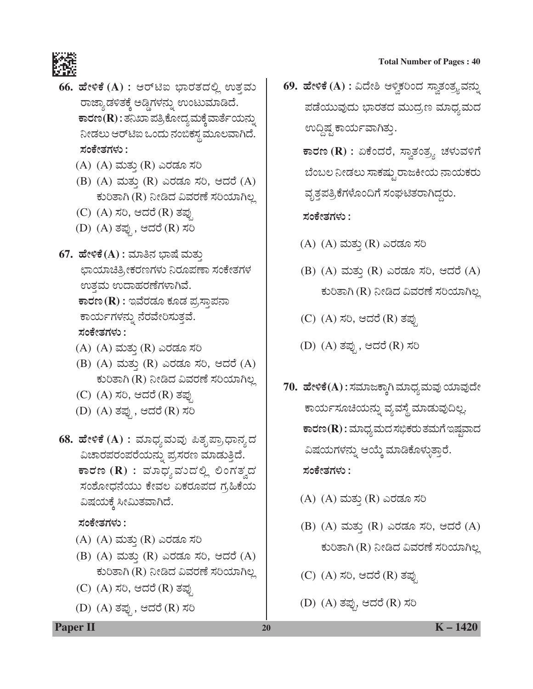

- **66. ಹೇಳಿಕೆ (A) :** ಆರ್ಟಿಐ ಭಾರತದಲ್ಲಿ ಉತ್ತವು ರಾಜ್ಯಾಡಳಿತಕ್ಕೆ ಅಡ್ಡಿಗಳನ್ನು ಉಂಟುಮಾಡಿದೆ.  $\overline{\textbf{F}}$ ಾರಣ $(\textbf{R})$  : ತನಿಖಾ ಪತ್ರಿಕೋದ್ಯ ಮಕ್ಕೆ ವಾರ್ತೆಯನ್ನು ನೀಡಲು ಆರ್ಟಿಐ ಒಂದು ನಂಬಿಕಸ್ಥ ಮೂಲವಾಗಿದೆ. **ÓÜíPæàñÜWÜÙÜá :**
	- (A) (A) ಮತ್ತು (R) ಎರಡೂ ಸರಿ
	- (B) (A) ಮತ್ತು (R) ಎರಡೂ ಸರಿ, ಆದರೆ (A) ಕುರಿತಾಗಿ (R) ನೀಡಿದ ವಿವರಣೆ ಸರಿಯಾಗಿಲ್ಲ
	- (C) (A) ಸರಿ, ಆದರೆ (R) ತಪ್ಪು
	- (D) (A) ತಪ್ಪು, ಆದರೆ (R) ಸರಿ
- $67.$  ಹೇಳಿಕೆ $(A)$ : ಮಾತಿನ ಭಾಷೆ ಮತ್ತು ಛಾಯಾಚಿತ್ರೀಕರಣಗಳು ನಿರೂಪಣಾ ಸಂಕೇತಗಳ ಉತ್ತಮ ಉದಾಹರಣೆಗಳಾಗಿವೆ.  $\overline{\textbf{F}}$ ವರಡೂ ಕೂಡ ಪ್ರಸ್ತಾಪನಾ ಕಾರ್ಯಗಳನ್ನು ನೆರವೇರಿಸುತ್ತವೆ. **ÓÜíPæàñÜWÜÙÜá :**
	- (A) (A) ಮತ್ತು (R) ಎರಡೂ ಸರಿ
	- (B)  $(A)$  ಮತ್ತು  $(R)$  ಎರಡೂ ಸರಿ, ಆದರೆ  $(A)$ ಕುರಿತಾಗಿ (R) ನೀಡಿದ ವಿವರಣೆ ಸರಿಯಾಗಿಲ್ಲ
	- (C) (A) ಸರಿ, ಆದರೆ (R) ತಪು
	- (D) (A) ತಪ್ಪು, ಆದರೆ (R) ಸರಿ
- **68. ಹೇಳಿಕೆ (A) :** ಮಾಧ್ಯಮವು ಪಿತೃಪ್ರಾಧಾನ್ಯದ ವಿಚಾರಪರಂಪರೆಯನ್ನು ಪ್ರಸರಣ ಮಾಡುತ್ತಿದೆ.  $\overline{\mathbf{F}}$ ಾರಣ ( $\mathbf{R}$ ) : ಮಾಧ್ಯಮುದಲ್ಲಿ ಲಿಂಗತ್ವದ ಸಂಶೋಧನೆಯು ಕೇವಲ ಏಕರೂಪದ ಗ್ರಹಿಕೆಯ ವಿಷಯಕ್ಕೆ ಸೀಮಿತವಾಗಿದೆ.

#### **ÓÜíPæàñÜWÜÙÜá :**

- (A) (A) ಮತ್ತು (R) ಎರಡೂ ಸರಿ
- (B) (A) ಮತ್ತು (R) ಎರಡೂ ಸರಿ, ಆದರೆ (A) ಕುರಿತಾಗಿ (R) ನೀಡಿದ ವಿವರಣೆ ಸರಿಯಾಗಿಲ್ಲ
- (C) (A) ಸರಿ, ಆದರೆ (R) ತಪ್ಪು
- (D) (A) ತಪ್ಪು, ಆದರೆ (R) ಸರಿ

**69. ಹೇಳಿಕೆ (A) :** ವಿದೇಶಿ ಆಳ್ವಿಕರಿಂದ ಸ್ವಾತಂತ್ರ್ಯವನ್ನು ಪಡೆಯುವುದು ಭಾರತದ ಮುದ್ರಣ ಮಾಧ್ಯಮದ ಉದ್ದಿಷ್ಟ ಕಾರ್ಯವಾಗಿತ್ತು.

 $\overline{\texttt{F}}$ ರಣ ( $\textbf{R})$  : ಏಕೆಂದರೆ, ಸ್ವಾತಂತ್ರ್ಯ ಚಳುವಳಿಗೆ ಬೆಂಬಲ ನೀಡಲು ಸಾಕಷ್ಟು ರಾಜಕೀಯ ನಾಯಕರು ವೃತ್ತಪತ್ರಿಕೆಗಳೊಂದಿಗೆ ಸಂಘಟಿತರಾಗಿದ್ದರು.

#### ಸಂಕೇತಗಳು :

- (A) (A) ಮತ್ತು (R) ಎರಡೂ ಸರಿ
- (B) (A) ಮತ್ತು (R) ಎರಡೂ ಸರಿ, ಆದರೆ (A) ಕುರಿತಾಗಿ (R) ನೀಡಿದ ವಿವರಣೆ ಸರಿಯಾಗಿಲ್ಲ
- (C) (A) ಸರಿ, ಆದರೆ (R) ತಪ್ಪು
- (D) (A) ತಪ್ಪು, ಆದರೆ (R) ಸರಿ
- 70. ಹೇಳಿಕೆ(A) : ಸಮಾಜಕ್ಕಾಗಿ ಮಾಧ್ಯಮವು ಯಾವುದೇ ಕಾರ್ಯಸೂಚಿಯನ್ನು ವ್ಯವಸ್ಥೆ ಮಾಡುವುದಿಲ್ಲ.  $\overline{\textbf{F}}$ ಾರಣ $(\textbf{R})$  : ಮಾಧ್ಯ ಮದ ಸಭಿಕರು ತಮಗೆ ಇಷ್ಷವಾದ ವಿಷಯಗಳನ್ನು ಆಯ್ಕೆ ಮಾಡಿಕೊಳ್ಳುತ್ತಾರೆ. **ÓÜíPæàñÜWÜÙÜá :**
	- (A) (A) ಮತ್ತು (R) ಎರಡೂ ಸರಿ
	- (B)  $(A)$  ಮತ್ತು  $(R)$  ಎರಡೂ ಸರಿ, ಆದರೆ  $(A)$ ಕುರಿತಾಗಿ (R) ನೀಡಿದ ವಿವರಣೆ ಸರಿಯಾಗಿಲ್ಲ
	- (C) (A) ಸರಿ, ಆದರೆ (R) ತಪು
	- (D) (A) ತಪ್ಪು, ಆದರೆ (R) ಸರಿ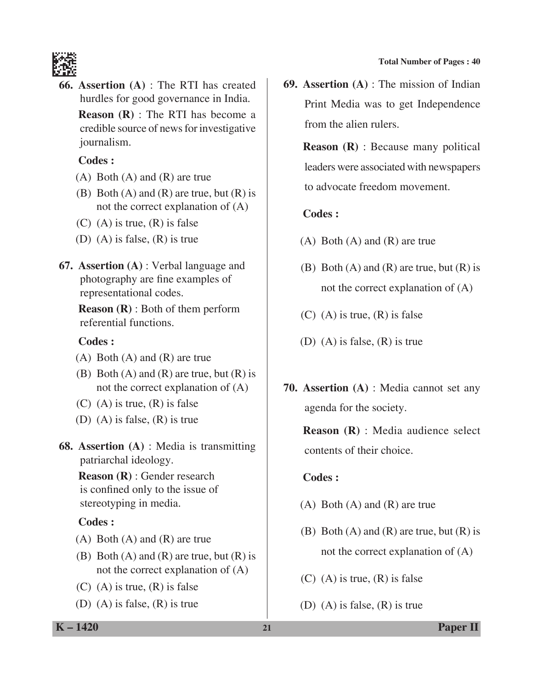

**66. Assertion (A)** : The RTI has created hurdles for good governance in India.

 **Reason (R)** : The RTI has become a credible source of news for investigative journalism.

#### **Codes :**

- (A) Both (A) and (R) are true
- (B) Both  $(A)$  and  $(R)$  are true, but  $(R)$  is not the correct explanation of (A)
- $(C)$  (A) is true,  $(R)$  is false
- (D) (A) is false, (R) is true
- **67. Assertion (A)** : Verbal language and photography are fine examples of representational codes.

 **Reason (R)** : Both of them perform referential functions.

## **Codes :**

- (A) Both (A) and (R) are true
- (B) Both  $(A)$  and  $(R)$  are true, but  $(R)$  is not the correct explanation of (A)
- $(C)$  (A) is true,  $(R)$  is false
- (D) (A) is false, (R) is true
- **68. Assertion (A)** : Media is transmitting patriarchal ideology.

 **Reason (R)** : Gender research is confined only to the issue of stereotyping in media.

# **Codes :**

- (A) Both (A) and (R) are true
- (B) Both  $(A)$  and  $(R)$  are true, but  $(R)$  is not the correct explanation of (A)
- $(C)$  (A) is true,  $(R)$  is false
- (D) (A) is false, (R) is true

**69. Assertion (A)** : The mission of Indian Print Media was to get Independence from the alien rulers.

 **Reason (R)** : Because many political leaders were associated with newspapers to advocate freedom movement.

# **Codes :**

- $(A)$  Both  $(A)$  and  $(R)$  are true
- (B) Both  $(A)$  and  $(R)$  are true, but  $(R)$  is not the correct explanation of (A)
- $(C)$  (A) is true,  $(R)$  is false
- (D) (A) is false, (R) is true
- **70. Assertion (A)** : Media cannot set any agenda for the society.

 **Reason (R)** : Media audience select contents of their choice.

# **Codes :**

- (A) Both (A) and (R) are true
- (B) Both  $(A)$  and  $(R)$  are true, but  $(R)$  is not the correct explanation of (A)
- $(C)$  (A) is true,  $(R)$  is false
- (D) (A) is false, (R) is true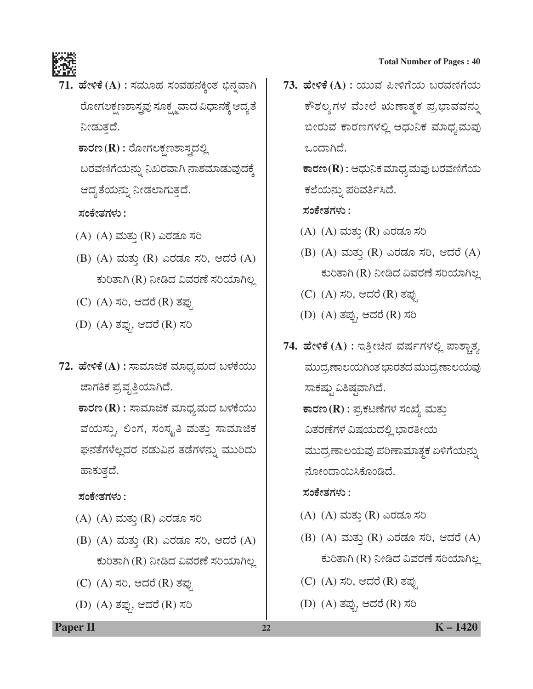

71. ಹೇಳಿಕೆ (A) : ಸಮೂಹ ಸಂವಹನಕ್ಕಿಂತ ಭಿನ್ನವಾಗಿ ಹೋಗಲಕ್ಷಣಶಾಸ್ತ್ರವು ಸೂಕ್ಷ್ಮವಾದ ವಿಧಾನಕ್ಕೆ ಆದ್ಯತೆ ನೀಡುತ್ತದೆ.  $\overline{\textbf{F}}$ ವಣ (**R**) : ರೋಗಲಕ್ಷಣಶಾಸ್ತ್ರದಲ್ಲಿ

ಬರವಣಿಗೆಯನ್ನು ನಿಖರವಾಗಿ ನಾಶಮಾಡುವುದಕ್ಕೆ ಆದ್ಯತೆಯನ್ನು ನೀಡಲಾಗುತ್ತದೆ.

**ÓÜíPæàñÜWÜÙÜá :**

- (A) (A) ಮತ್ತು (R) ಎರಡೂ ಸರಿ
- (B) (A) ಮತ್ತು (R) ಎರಡೂ ಸರಿ, ಆದರೆ (A) ಕುರಿತಾಗಿ (R) ನೀಡಿದ ವಿವರಣೆ ಸರಿಯಾಗಿಲ್ಲ
- (C) (A) ಸರಿ, ಆದರೆ (R) ತಪ್ಪು
- (D) (A) ತಪ್ಪು, ಆದರೆ (R) ಸರಿ
- 72. ಹೇಳಿಕೆ (A) : ಸಾಮಾಜಿಕ ಮಾಧ್ಯಮದ ಬಳಕೆಯು ಜಾಗತಿಕ ಪ್ರವೃತ್ತಿಯಾಗಿದೆ.  $\overline{\textbf{F}}$ ರಣ (R) : ಸಾಮಾಜಿಕ ಮಾಧ್ಯಮದ ಬಳಕೆಯು ವಯಸ್ಸು, ಲಿಂಗ, ಸಂಸ್ಕೃತಿ ಮತ್ತು ಸಾಮಾಜಿಕ ಘನತೆಗಳೆಲ್ಲದರ ನಡುವಿನ ತಡೆಗಳನ್ನು ಮುರಿದು ಹಾಕುತ್ತದೆ.

ಸಂಕೇತಗಳು :

- (A) (A) ಮತ್ತು (R) ಎರಡೂ ಸರಿ
- (B) (A) ಮತ್ತು (R) ಎರಡೂ ಸರಿ, ಆದರೆ (A) ಕುರಿತಾಗಿ (R) ನೀಡಿದ ವಿವರಣೆ ಸರಿಯಾಗಿಲ್ಲ
- (C) (A) ಸರಿ, ಆದರೆ (R) ತಪ್ಪು
- (D) (A) ತಪು, ಆದರೆ (R) ಸರಿ

**73. ಹೇಳಿಕೆ (A) : ಯುವ ಪೀಳಿಗೆಯ ಬರವಣಿಗೆಯ** ಕೌಶಲ್ಯಗಳ ಮೇಲೆ ಋಣಾತ್ಮಕ ಪ್ರಭಾವವನ್ನು ಬೀರುವ ಕಾರಣಗಳಲ್ಲಿ ಆಧುನಿಕ ಮಾಧ್ಯಮವು ಒಂದಾಗಿದೆ.

> $\overline{\textbf{F}}$ ಾರಣ $(\textbf{R})$  : ಆಧುನಿಕ ಮಾಧ್ಯಮವು ಬರವಣಿಗೆಯ ಕಲೆಯನ್ನು ಪರಿವರ್ತಿಸಿದೆ.

ಸಂಕೇತಗಳು :

- (A) (A) ಮತ್ತು (R) ಎರಡೂ ಸರಿ
- (B) (A) ಮತ್ತು (R) ಎರಡೂ ಸರಿ, ಆದರೆ (A) ಕುರಿತಾಗಿ (R) ನೀಡಿದ ವಿವರಣೆ ಸರಿಯಾಗಿಲ್ಲ
- (C) (A) ಸರಿ, ಆದರೆ (R) ತಪ್ಪು
- (D) (A) ತಪು, ಆದರೆ (R) ಸರಿ
- 74. ಹೇಳಿಕೆ (A) : ಇತ್ತೀಚಿನ ವರ್ಷಗಳಲ್ಲಿ ಪಾಶ್ಚಾತ್ಯ ಮುದ್ರಣಾಲಯಗಿಂತ ಭಾರತದ ಮುದ್ರಣಾಲಯವು ಸಾಕಷ್ಟು ವಿಶಿಷ್ಠವಾಗಿದೆ.  $\overline{\textbf{F}}$ ರಣ (R) : ಪ್ರಕಟಣೆಗಳ ಸಂಖ್ಯೆ ಮತ್ತು ವಿತರಣೆಗಳ ವಿಷಯದಲ್ಲಿ ಭಾರತೀಯ ಮುದ್ರಣಾಲಯವು ಪರಿಣಾಮಾತ್ಮಕ ಏಳಿಗೆಯನ್ನು ನೋಂದಾಯಿಸಿಕೊಂಡಿದೆ.

#### **ÓÜíPæàñÜWÜÙÜá :**

- (A) (A) ಮತ್ತು (R) ಎರಡೂ ಸರಿ
- (B) (A) ಮತ್ತು (R) ಎರಡೂ ಸರಿ, ಆದರೆ (A) ಕುರಿತಾಗಿ (R) ನೀಡಿದ ವಿವರಣೆ ಸರಿಯಾಗಿಲ್ಲ
- (C) (A) ಸರಿ, ಆದರೆ (R) ತಪ್ಪು
- (D) (A) ತಪ್ಪು, ಆದರೆ (R) ಸರಿ

**Paper II 22 K** – 1420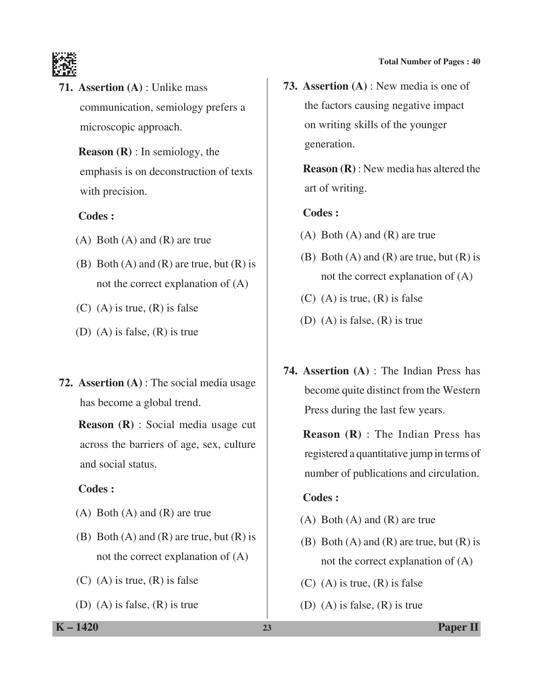

**71. Assertion (A)** : Unlike mass communication, semiology prefers a microscopic approach.

> **Reason (R)** : In semiology, the emphasis is on deconstruction of texts with precision.

## **Codes :**

- (A) Both (A) and (R) are true
- (B) Both  $(A)$  and  $(R)$  are true, but  $(R)$  is not the correct explanation of (A)
- $(C)$  (A) is true,  $(R)$  is false
- (D) (A) is false, (R) is true
- **72. Assertion (A)** : The social media usage has become a global trend.

 **Reason (R)** : Social media usage cut across the barriers of age, sex, culture and social status.

# **Codes :**

- (A) Both (A) and (R) are true
- (B) Both  $(A)$  and  $(R)$  are true, but  $(R)$  is not the correct explanation of (A)
- $(C)$  (A) is true,  $(R)$  is false
- (D) (A) is false, (R) is true

**73. Assertion (A)** : New media is one of the factors causing negative impact on writing skills of the younger generation.

> **Reason (R)** : New media has altered the art of writing.

## **Codes :**

- (A) Both (A) and (R) are true
- (B) Both  $(A)$  and  $(R)$  are true, but  $(R)$  is not the correct explanation of (A)
- $(C)$  (A) is true,  $(R)$  is false
- (D) (A) is false, (R) is true
- **74. Assertion (A)** : The Indian Press has become quite distinct from the Western Press during the last few years.

 **Reason (R)** : The Indian Press has registered a quantitative jump in terms of number of publications and circulation.

# **Codes :**

- (A) Both (A) and (R) are true
- (B) Both  $(A)$  and  $(R)$  are true, but  $(R)$  is not the correct explanation of (A)
- $(C)$  (A) is true,  $(R)$  is false
- (D) (A) is false, (R) is true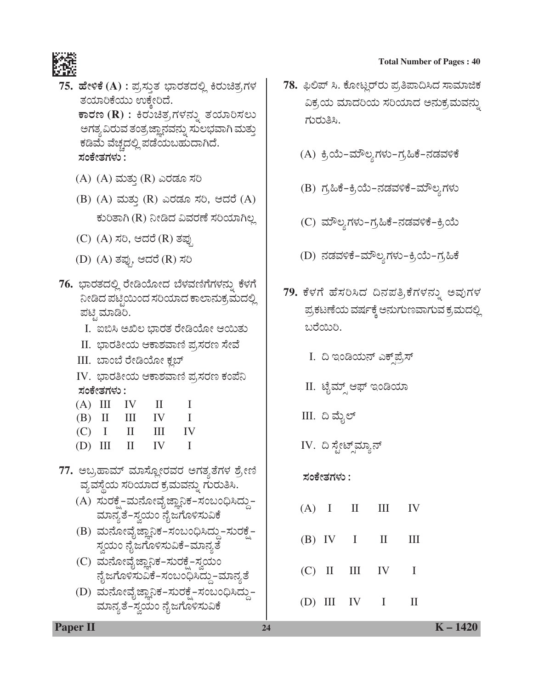



- ${\bf 75.}$  ಹೇಳಿಕೆ (A) : ಪ್ರಸ್ತುತ ಭಾರತದಲ್ಲಿ ಕಿರುಚಿತ್ರಗಳ ತಯಾರಿಕೆಯು ಉಕ್ತೇರಿದೆ.  $\overline{P}$ ಕಾರಣ (R) : ಕಿರುಚಿತ್ರಗಳನ್ನು ತಯಾರಿಸಲು ಅಗತ್ಯ ವಿರುವ ತಂತ್ರ ಜ್ಞಾನವನ್ನು ಸುಲಭವಾಗಿ ಮತ್ತು ಕಡಿಮೆ ವೆಚ್ಚದಲ್ಲಿ ಪಡೆಯಬಹುದಾಗಿದೆ. ಸಂಕೇತಗಳು :
	- (A) (A) ಮತ್ತು (R) ಎರಡೂ ಸರಿ
	- (B) (A) ಮತ್ತು (R) ಎರಡೂ ಸರಿ, ಆದರೆ (A) ಕುರಿತಾಗಿ (R) ನೀಡಿದ ವಿವರಣೆ ಸರಿಯಾಗಿಲ್ಲ
	- (C) (A) ಸರಿ, ಆದರೆ (R) ತಪು
	- (D) (A) ತಪು, ಆದರೆ (R) ಸರಿ
- 76. ಭಾರತದಲ್ಲಿ ರೇಡಿಯೋದ ಬೆಳವಣಿಗೆಗಳನ್ನು ಕೆಳಗೆ ನೀಡಿದ ಪಟ್ಟಿಯಿಂದ ಸರಿಯಾದ ಕಾಲಾನುಕ್ರಮದಲ್ಲಿ ಪಟ್ಟಿ ಮಾಡಿರಿ.
	- I. ಐಬಿಸಿ ಅಖಿಲ ಭಾರತ ರೇಡಿಯೋ ಆಯಿತು
	- II. ಭಾರತೀಯ ಆಕಾಶವಾಣಿ ಪ್ರಸರಣ ಸೇವೆ
	- III. ಬಾಂಬೆ ರೇಡಿಯೋ ಕ್ಲಬ್
	- IV. ಭಾರತೀಯ ಆಕಾಶವಾಣಿ ಪ್ರಸರಣ ಕಂಪೆನಿ **ÓÜíPæàñÜWÜÙÜá :**
	- $(A)$  III IV II I  $(B)$  II III IV I  $(C)$  I II III IV  $(D)$  III II IV I
- 77. ಅಬ್ರಹಾಮ್ ಮಾಸ್ದೋರವರ ಅಗತ್ತತೆಗಳ ಶ್ರೇಣಿ ವ್ಯವಸ್ಥೆಯ ಸರಿಯಾದ ಕ್ರಮವನ್ನು ಗುರುತಿಸಿ.
	- (A) ಸುರಕ್ಷೆ–ಮನೋವೈಜ್ಞಾನಿಕ–ಸಂಬಂಧಿಸಿದ್ದು– ಮಾನ್ಯತೆ–ಸ್ವಯಂ ನೈಜಗೊಳಿಸುವಿಕೆ
	- (B) ಮನೋವೈಜ್ಞಾನಿಕ-ಸಂಬಂಧಿಸಿದ್ದು-ಸುರಕ್ಷೆ-ಸ್ತಯಂ ನೈಜಗೊಳಿಸುವಿಕೆ–ಮಾನ್ಯತೆ
	- (C) ಮನೋವೈಜ್ಞಾನಿಕ-ಸುರಕ್ಷೆ–ಸ್ವಯಂ ನೈಜಗೊಳಿಸುವಿಕೆ–ಸಂಬಂಧಿಸಿದ್ದು–ಮಾನ್ಯತೆ
	- (D) ಮನೋವೈಜ್ಞಾನಿಕ-ಸುರಕ್ಷೆ-ಸಂಬಂಧಿಸಿದ್ದು-ಮಾನ್ಯತೆ–ಸ್ತಯಂ ನೈಜಗೊಳಿಸುವಿಕೆ

**78.** ಫಿಲಿಪ್ ಸಿ. ಕೋಟ್ಜರ್**ರು ಪ್ರತಿಪಾದಿಸಿದ ಸಾಮಾಜಿ**ಕ ವಿಕ್ರಯ ಮಾದರಿಯ ಸರಿಯಾದ ಅನುಕ್ರಮವನ್ನು ಗುರುತಿಸಿ.

- (A) ಕ್ರಿಯೆ-ಮೌಲ್ಯಗಳು-ಗ್ರಹಿಕೆ-ನಡವಳಿಕೆ
- (B) ಗ್ರಹಿಕೆ–ಕ್ರಿಯೆ–ನಡವಳಿಕೆ–ಮೌಲ್ಯಗಳು
- (C) ಮೌಲ್ಯಗಳು-ಗ್ರಹಿಕೆ-ನಡವಳಿಕೆ-ಕ್ರಿಯೆ
- (D) ನಡವಳಿಕೆ–ಮೌಲ್ಯಗಳು–ಕ್ರಿಯೆ–ಗ್ರಹಿಕೆ
- 79. ಕೆಳಗೆ ಹೆಸರಿಸಿದ ದಿನಪತ್ರಿಕೆಗಳನ್ನು ಅವುಗಳ ಪ್ರಕಟಣೆಯ ವರ್ಷಕ್ಕೆ ಅನುಗುಣವಾಗುವ ಕ್ರಮದಲ್ಲಿ ಬರೆಯಿರಿ.
	- I. ದಿ ಇಂಡಿಯನ್ ಎಕ್ ಪ್ರೆಸ್
	- II. ಟೈಮ್ಸ್ ಆಫ್ ಇಂಡಿಯಾ
	- III. ದಿ ಮೈಲ್
	- IV. ದಿ ಸ್ಪೇಟ್ ಮ್ಯಾನ್

# ಸಂಕೇತಗಳು :

 $(A)$  I II III IV  $(B)$  IV I II III  $(C)$  II III IV I (D) III IV I II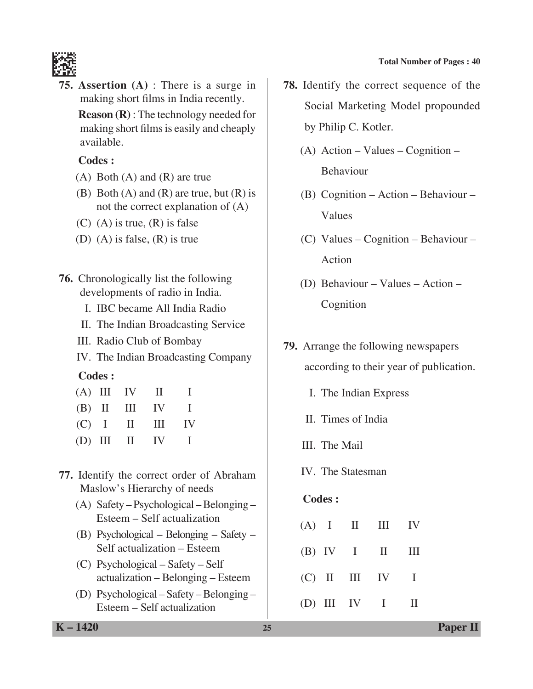

**75. Assertion (A)** : There is a surge in making short films in India recently.

 **Reason (R)** : The technology needed for making short films is easily and cheaply available.

#### **Codes :**

- (A) Both (A) and (R) are true
- (B) Both  $(A)$  and  $(R)$  are true, but  $(R)$  is not the correct explanation of (A)
- $(C)$  (A) is true,  $(R)$  is false
- (D) (A) is false, (R) is true
- **76.** Chronologically list the following developments of radio in India.
	- I. IBC became All India Radio
	- II. The Indian Broadcasting Service
	- III. Radio Club of Bombay
	- IV. The Indian Broadcasting Company

#### **Codes :**

|  | $(A)$ III IV II |                   | $\mathbf{L}$ |
|--|-----------------|-------------------|--------------|
|  |                 | $(B)$ II III IV I |              |
|  |                 | $(C)$ I II III    | IV           |
|  |                 | $(D)$ III II IV I |              |

## **77.** Identify the correct order of Abraham Maslow's Hierarchy of needs

- (A) Safety Psychological Belonging Esteem – Self actualization
- (B) Psychological Belonging Safety Self actualization – Esteem
- (C) Psychological Safety Self actualization – Belonging – Esteem
- (D) Psychological Safety Belonging Esteem – Self actualization

**78.** Identify the correct sequence of the Social Marketing Model propounded by Philip C. Kotler.

- (A) Action Values Cognition Behaviour
- (B) Cognition Action Behaviour Values
- (C) Values Cognition Behaviour Action
- (D) Behaviour Values Action Cognition
- **79.** Arrange the following newspapers according to their year of publication.
	- I. The Indian Express
	- II. Times of India
	- III. The Mail
	- IV. The Statesman

#### **Codes :**

|  | $(A)$ I II III IV |  |
|--|-------------------|--|
|  | $(B)$ IV I II III |  |
|  | $(C)$ II III IV I |  |
|  | (D) III IV I II   |  |

**K – 1420 25 Paper II**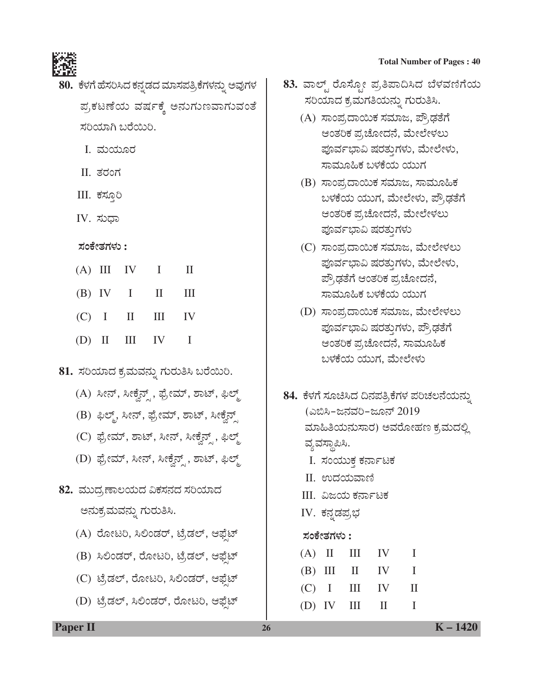

- 80. ಕೆಳಗೆ ಹೆಸರಿಸಿದ ಕನ್ನಡದ ಮಾಸಪತ್ರಿ ಕೆಗಳನ್ನು ಅವುಗಳ ಪ್ರಕಟಣೆಯ ವರ್ಷಕ್ಕೆ ಅನುಗುಣವಾಗುವಂತೆ ಸರಿಯಾಗಿ ಬರೆಯಿರಿ.
	- I. ಮಯೂರ
	- II. ತರಂಗ
	- III. ಕಸ್ತೂರಿ
	- $IV.$  ಸುಧಾ

#### **ÓÜíPæàñÜWÜÙÜá :**

|  | $(A)$ III IV I II |  |
|--|-------------------|--|
|  | $(B)$ IV I II III |  |
|  | $(C)$ I II III IV |  |
|  | $(D)$ II III IV I |  |

# 81. ಸರಿಯಾದ ಕ್ರಮವನ್ನು ಗುರುತಿಸಿ ಬರೆಯಿರಿ.

- (A) ಸೀನ್, ಸೀಕ್ಕೆನ್ , ಫ್ರೇಮ್, ಶಾಟ್, ಫಿಲ್ಮ್
- (B) ಫಿಲ್ಮ್, ಸೀನ್, ಫ್ರೇಮ್, ಶಾಟ್, ಸೀಕ್ವೆನ್ಸ್
- (C) ಫ್ರೇಮ್, ಶಾಟ್, ಸೀನ್, ಸೀಕ್ವೆನ್ಸ್, ಫಿಲ್ಮ್
- (D) ಫೈಂಮ್, ಸೀನ್, ಸೀಕ್ವೆನ್<sub>,</sub> ಶಾಟ್, ಫಿಲ್ಮ್
- 82. ಮುದ,ಣಾಲಯದ ವಿಕಸನದ ಸರಿಯಾದ ಅನುಕ್ರಮವನ್ನು ಗುರುತಿಸಿ.
	- (A) ರೋಟರಿ, ಸಿಲಿಂಡರ್, ಟ್ರೆಡಲ್, ಆಫ್ಷೆಟ್
	- (B) ಸಿಲಿಂಡರ್, ರೋಟರಿ, ಟ್ರೆಡಲ್, ಆಫ್ಷೆಟ್
	- (C) ಟೆ,ಡಲ್, ರೋಟರಿ, ಸಿಲಿಂಡರ್, ಆಫೆಟ್
	- (D) ಟೈಡಲ್, ಸಿಲಿಂಡರ್, ರೋಟರಿ, ಆಫೈಟ್
- ${\bf 83.}$  ವಾಲ್ಟ್ ರೊಸ್ಪೋ ಪ್ರತಿಪಾದಿಸಿದ ಬೆಳವಣಿಗೆಯ ಸರಿಯಾದ ಕ್ರಮಗತಿಯನ್ನು ಗುರುತಿಸಿ.
	- (A) ಸಾಂಪ್ರದಾಯಿಕ ಸಮಾಜ, ಪೌ,ಢತೆಗೆ ಆಂತರಿಕ ಪ್ರಚೋದನೆ, ಮೇಲೇಳಲು ಪೂರ್ವಭಾವಿ ಷರತ್ತುಗಳು, ಮೇಲೇಳು, ಸಾಮೂಹಿಕ ಬಳಕೆಯ ಯುಗ
	- (B) ಸಾಂಪ,ದಾಯಿಕ ಸಮಾಜ, ಸಾಮೂಹಿಕ ಬಳಕೆಯ ಯುಗ, ಮೇಲೇಳು, ಪೌ,ಢತೆಗೆ ಆಂತರಿಕ ಪ್ರಚೋದನೆ, ಮೇಲೇಳಲು ಪೂರ್ವಭಾವಿ ಷರತ್ತುಗಳು
	- (C) ಸಾಂಪ,ದಾಯಿಕ ಸಮಾಜ, ಮೇಲೇಳಲು ಪೂರ್ವಭಾವಿ ಷರತ್ತುಗಳು, ಮೇಲೇಳು, ಪ್ರೌಢತೆಗೆ ಆಂತರಿಕ ಪ್ರಚೋದನೆ, ಸಾಮೂಹಿಕ ಬಳಕೆಯ ಯುಗ
	- (D) ಸಾಂಪ್ರದಾಯಿಕ ಸಮಾಜ, ಮೇಲೇಳಲು ಪೂರ್ವಭಾವಿ ಷರತ್ತುಗಳು, ಪ್ರೌಢತೆಗೆ ಆಂತರಿಕ ಪ್ರಚೋದನೆ, ಸಾಮೂಹಿಕ ಬಳಕೆಯ ಯುಗ, ಮೇಲೇಳು
- 84. ಕೆಳಗೆ ಸೂಚಿಸಿದ ದಿನಪತ್ರಿಕೆಗಳ ಪರಿಚಲನೆಯನ್ನು (ಎಬಿಸಿ-ಜನವರಿ-ಜೂನ್ 2019 ಮಾಹಿತಿಯನುಸಾರ) ಅವರೋಹಣ ಕ,ಮದಲ್ಲಿ ವ್ಯವಸ್ಥಾಪಿಸಿ. I. ಸಂಯುಕ ಕರ್ನಾಟಕ II. ಉದಯವಾಣಿ III. ವಿಜಯ ಕರ್ನಾಟಕ IV. ಕನ್ನಡಪ್ರಭ  **ÓÜíPæàñÜWÜÙÜá :**   $(A)$  II III IV I  $(B)$  III II IV I (C) I III IV II  $(D)$  IV III II I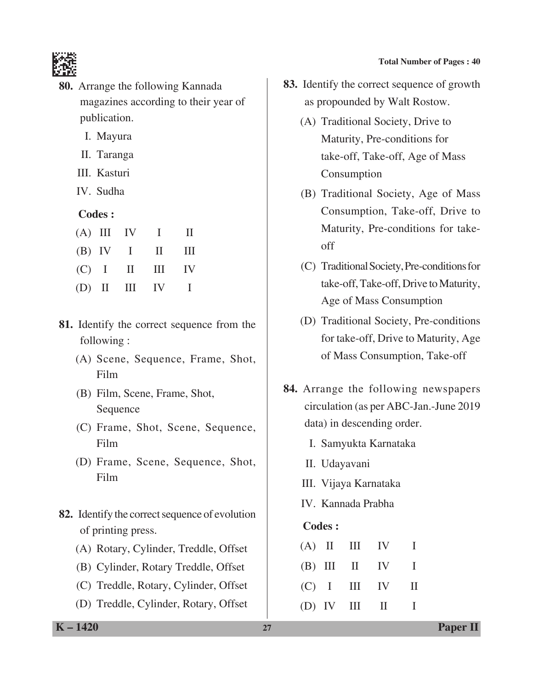

- **80.** Arrange the following Kannada magazines according to their year of publication.
	- I. Mayura
	- II. Taranga
	- III. Kasturi
	- IV. Sudha

# **Codes :**

|  | $(A)$ III IV I II |  |
|--|-------------------|--|
|  | $(B)$ IV I II III |  |
|  | $(C)$ I II III IV |  |
|  | (D) II III IV I   |  |

- **81.** Identify the correct sequence from the following :
	- (A) Scene, Sequence, Frame, Shot, Film
	- (B) Film, Scene, Frame, Shot, Sequence
	- (C) Frame, Shot, Scene, Sequence, Film
	- (D) Frame, Scene, Sequence, Shot, Film
- **82.** Identify the correct sequence of evolution of printing press.
	- (A) Rotary, Cylinder, Treddle, Offset
	- (B) Cylinder, Rotary Treddle, Offset
	- (C) Treddle, Rotary, Cylinder, Offset
	- (D) Treddle, Cylinder, Rotary, Offset
- **83.** Identify the correct sequence of growth as propounded by Walt Rostow.
	- (A) Traditional Society, Drive to Maturity, Pre-conditions for take-off, Take-off, Age of Mass Consumption
	- (B) Traditional Society, Age of Mass Consumption, Take-off, Drive to Maturity, Pre-conditions for takeoff
	- (C) Traditional Society, Pre-conditions for take-off, Take-off, Drive to Maturity, Age of Mass consumption
	- (D) Traditional society, Pre-conditions for take-off, Drive to Maturity, Age of Mass Consumption, Take-off
- **84.** Arrange the following newspapers circulation (as per ABC-Jan.-June 2019 data) in descending order.
	- I. Samyukta Karnataka
	- II. Udayavani
	- III. Vijaya Karnataka
	- IV. Kannada Prabha

# **Codes :**

|  |                 | $(A)$ II III IV   | л.           |
|--|-----------------|-------------------|--------------|
|  |                 | $(B)$ III II IV I |              |
|  |                 | $(C)$ I III IV    | H            |
|  | $(D)$ IV III II |                   | and a string |

**K – 1420 27 Paper II**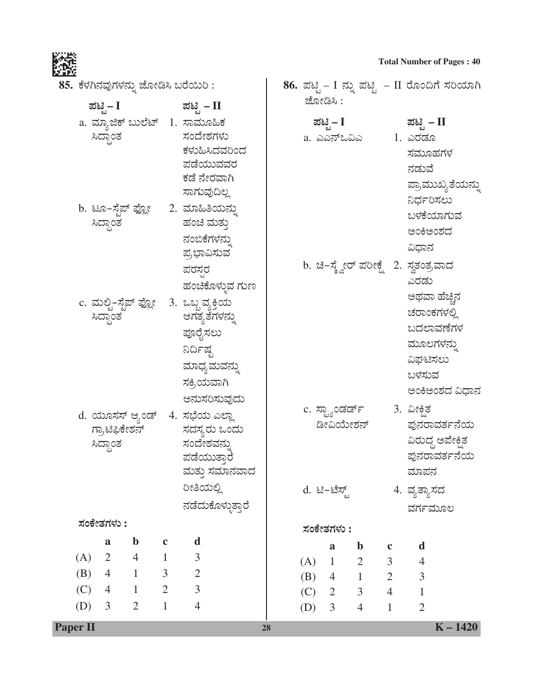**Total Number of Pages : 40**<br> **Total Number of Pages : 40**<br> **Total Number of Pages : 40** 

**86.** ಪಟ್ಟಿ – I ನ್ನು ಪಟ್ಟಿ – II ರೊಂದಿಗೆ ಸರಿಯಾಗಿ



| 85.  ಕೆಳಗಿನವುಗಳನ್ನು ಜೋಡಿಸಿ ಬರೆಯಿರಿ : |  |  |
|--------------------------------------|--|--|
|                                      |  |  |

|                 | ಪಟಿೖ– I                                                       |                |                             | ಪಟಿ ಸೆ  – II                                      |                                                              |    |                | ಜೋಡಿಸಿ :       |                                                 |                                  |                                          |                                                            |
|-----------------|---------------------------------------------------------------|----------------|-----------------------------|---------------------------------------------------|--------------------------------------------------------------|----|----------------|----------------|-------------------------------------------------|----------------------------------|------------------------------------------|------------------------------------------------------------|
|                 | a. ಮ್ಯಾಜಿಕ್ ಬುಲೆಟ್   1. ಸಾಮೂಹಿಕ<br>ಸಿದ್ಧಾಂತ                   |                |                             | ಸಂದೇಶಗಳು<br>ಸಾಗುವುದಿಲ್ಲ                           | ಕಳುಹಿಸಿದವರಿಂದ<br>ಪಡೆಯುವವರ<br>ಕಡೆ ನೇರವಾಗಿ                     |    |                | ಪಟ್ಟಿ – I      | a. ಎಎನ್ಒವಿಎ                                     |                                  | ಪಟ್ಟಿ – II<br>1. ಎರಡೂ<br>ಸಮೂಹಗಳ<br>ನಡುವೆ | ಪ್ರಾಮುಖ್ಯತೆಯನ್ನು                                           |
|                 | b. ಟೂ–ಸ್ಟೆಪ್ ಫ್ಲೋ      2.  ಮಾಹಿತಿಯನ್ನು<br>ಸಿದ್ಧಾಂತ            |                |                             | ಹಂಚಿ ಮತ್ತು<br>ನಂಬಿಕೆಗಳನ್ನು<br>ಪ್ರಭಾವಿಸುವ`<br>ಪರಸರ | ಹಂಚಿಕೊಳ್ಳುವ ಗುಣ                                              |    |                |                | b. ಚಿ–ಸ್ಕ್ವೇರ್ ಪರೀಕ್ಷ್ಗೆ 2. ಸ್ವತಂತ್ರವಾದ         |                                  | ನಿರ್ಧರಿಸಲು<br>ಅಂಕಿಅಂಶದ<br>ವಿಧಾನ<br>ಎರಡು  | ಬಳಕೆಯಾಗುವ                                                  |
|                 | c. ಮಲ್ಟಿ–ಸ್ಟೆಪ್ ಫ್ಲೋ    3.  ಒಬ್ಬ ವ್ಯಕ್ತಿಯ<br>ಸಿದ್ಧಾಂತ         |                |                             | ಪೂರೈಸಲು<br>ನಿರ್ದಿಷ್ಟ<br>ಸಕ್ರಿಯವಾಗಿ                | ಅಗತ್ಯತೆಗಳನ್ನು<br>ಮಾಧ್ಯಮವನ್ನು                                 |    |                |                |                                                 |                                  | ಮೂಲಗಳನ್ನು<br>ವಿಘಟಿಸಲು<br>ಬಳಸುವ           | ಅಥವಾ ಹೆಚ್ಚಿನ<br>ಚರಾಂಕಗಳಲ್ಲಿ<br>ಬದಲಾವಣೆಗಳ<br>ಅಂಕಿಅಂಶದ ವಿಧಾನ |
|                 | d. ಯೂಸಸ್ ಆ್ಯಂಡ್   4.  ಸಭೆಯ ಎಲ್ಲಾ<br>ಗ್ರಾಟಿಫಿಕೇಶನ್<br>ಸಿದ್ಧಾಂತ |                |                             | ಸಂದೇಶವನ್ನು<br>ರೀತಿಯಲ್ಲಿ                           | ಅನುಸರಿಸುವುದು<br>ಸದಸ್ಯರು ಒಂದು<br>ಪಡೆಯುತ್ತಾರೆ<br>ಮತ್ತು ಸಮಾನವಾದ |    | $d.$ ಟಿ−ಟೆಸ್ಟ್ |                | c. ಸ್ಟ್ಯಾಂಡರ್ಡ್         3. ವೀಕ್ಷಿತ<br>ಡೀವಿಯೇಶನ್ |                                  | ಮಾಪನ<br>4. ವ್ಯತ್ಯಾಸದ                     | ಪುನರಾವರ್ತನೆಯ<br>ವಿರುದ್ಧ ಅಪೇಕ್ಷಿತ<br>ಪುನರಾವರ್ತನೆಯ           |
|                 | ಸಂಕೇತಗಳು :                                                    |                |                             |                                                   | ನಡೆದುಕೊಳ್ಳುತ್ತಾರೆ                                            |    |                |                |                                                 |                                  | ವರ್ಗಮೂಲ                                  |                                                            |
|                 |                                                               | $\mathbf b$    |                             | d                                                 |                                                              |    |                | ಸಂಕೇತಗಳು :     |                                                 |                                  |                                          |                                                            |
| (A)             | a<br>$\overline{2}$                                           | $\overline{4}$ | $\mathbf c$<br>$\mathbf{1}$ | 3                                                 |                                                              |    |                | $\mathbf{a}$   | $\mathbf b$                                     | $\mathbf c$                      | $\mathbf d$                              |                                                            |
| (B)             | $\overline{4}$                                                | $\mathbf{1}$   | 3                           | $\overline{\phantom{a}}$                          |                                                              |    | (A)            | $\mathbf{1}$   | $\overline{2}$                                  | $\mathfrak{Z}$                   | $\overline{4}$                           |                                                            |
| (C)             | $\overline{4}$                                                | $\mathbf{1}$   | $\overline{2}$              | $\overline{3}$                                    |                                                              |    | (B)<br>(C)     | $\overline{2}$ | $4 \quad 1$<br>$\mathfrak{Z}$                   | $\overline{2}$<br>$\overline{4}$ | $\mathfrak{Z}$<br>$\mathbf{1}$           |                                                            |
| (D)             | $\mathfrak{Z}$                                                | $\overline{2}$ | $\mathbf{1}$                | $\overline{4}$                                    |                                                              |    | (D)            | $\overline{3}$ | $\overline{4}$                                  | $\mathbf{1}$                     | $\overline{2}$                           |                                                            |
| <b>Paper II</b> |                                                               |                |                             |                                                   |                                                              | 28 |                |                |                                                 |                                  |                                          | $K - 1420$                                                 |

 $\overline{\phantom{a}}$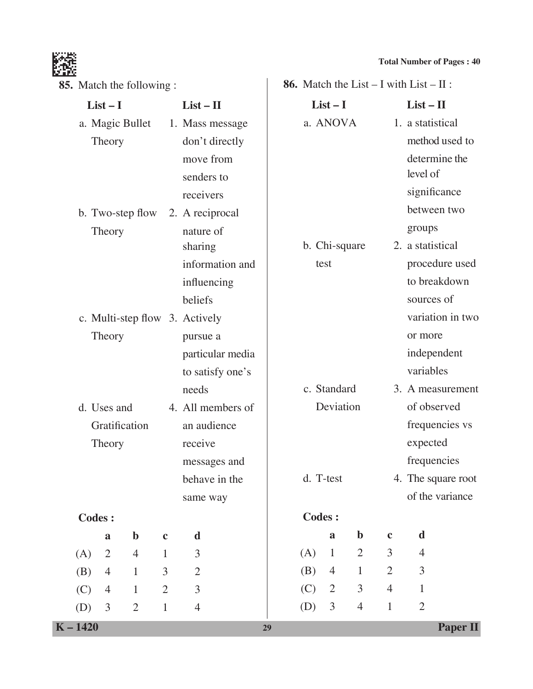

| <b>85.</b> Match the following : |                 |                  |                |                                |    |     |                |                |                | 86. Match the List $- I$ with List $- II$ : |                 |
|----------------------------------|-----------------|------------------|----------------|--------------------------------|----|-----|----------------|----------------|----------------|---------------------------------------------|-----------------|
|                                  | $List-I$        |                  |                | $List - II$                    |    |     | $List-I$       |                |                | $List - II$                                 |                 |
|                                  | a. Magic Bullet |                  |                | 1. Mass message                |    |     | a. ANOVA       |                |                | 1. a statistical                            |                 |
|                                  | Theory          |                  |                | don't directly                 |    |     |                |                |                | method used to                              |                 |
|                                  |                 |                  |                | move from                      |    |     |                |                |                | determine the                               |                 |
|                                  |                 |                  |                | senders to                     |    |     |                |                |                | level of                                    |                 |
|                                  |                 |                  |                | receivers                      |    |     |                |                |                | significance                                |                 |
|                                  |                 | b. Two-step flow |                | 2. A reciprocal                |    |     |                |                |                | between two                                 |                 |
|                                  | Theory          |                  |                | nature of                      |    |     |                |                |                | groups                                      |                 |
|                                  |                 |                  |                | sharing                        |    |     | b. Chi-square  |                |                | 2. a statistical                            |                 |
|                                  |                 |                  |                | information and                |    |     | test           |                |                | procedure used                              |                 |
|                                  |                 |                  |                | influencing                    |    |     |                |                |                | to breakdown                                |                 |
|                                  |                 |                  |                | beliefs                        |    |     |                |                |                | sources of                                  |                 |
|                                  |                 |                  |                | c. Multi-step flow 3. Actively |    |     |                |                |                | variation in two                            |                 |
|                                  | Theory          |                  |                | pursue a                       |    |     |                |                |                | or more                                     |                 |
|                                  |                 |                  |                | particular media               |    |     |                |                |                | independent                                 |                 |
|                                  |                 |                  |                | to satisfy one's               |    |     |                |                |                | variables                                   |                 |
|                                  |                 |                  |                | needs                          |    |     | c. Standard    |                |                | 3. A measurement                            |                 |
|                                  | d. Uses and     |                  |                | 4. All members of              |    |     | Deviation      |                |                | of observed                                 |                 |
|                                  | Gratification   |                  |                | an audience                    |    |     |                |                |                | frequencies vs                              |                 |
|                                  | Theory          |                  |                | receive                        |    |     |                |                |                | expected                                    |                 |
|                                  |                 |                  |                | messages and                   |    |     |                |                |                | frequencies                                 |                 |
|                                  |                 |                  |                | behave in the                  |    |     | d. T-test      |                |                | 4. The square root                          |                 |
|                                  |                 |                  |                | same way                       |    |     |                |                |                | of the variance                             |                 |
| <b>Codes:</b>                    |                 |                  |                |                                |    |     | <b>Codes:</b>  |                |                |                                             |                 |
|                                  | $\mathbf{a}$    | $\mathbf b$      | $\mathbf c$    | d                              |    |     | $\mathbf{a}$   | $\mathbf b$    | $\mathbf c$    | d                                           |                 |
| (A)                              | $\overline{2}$  | $\overline{4}$   | $\mathbf{1}$   | 3                              |    | (A) | $\mathbf{1}$   | $\overline{2}$ | $\mathfrak{Z}$ | $\overline{4}$                              |                 |
| (B)                              | $\overline{4}$  | $\mathbf{1}$     | $\overline{3}$ | $\sqrt{2}$                     |    | (B) | $\overline{4}$ | $\mathbf{1}$   | $\overline{2}$ | $\mathfrak{Z}$                              |                 |
| (C)                              | $\overline{4}$  | $\mathbf{1}$     | $\overline{2}$ | $\overline{3}$                 |    | (C) | $\overline{2}$ | 3              | $\overline{4}$ | $\mathbf{1}$                                |                 |
| (D)                              | $\mathfrak{Z}$  | $\overline{2}$   | $\mathbf{1}$   | $\overline{4}$                 |    | (D) | $\mathfrak{Z}$ | $\overline{4}$ | $\mathbf{1}$   | $\overline{2}$                              |                 |
| $K - 1420$                       |                 |                  |                |                                | 29 |     |                |                |                |                                             | <b>Paper II</b> |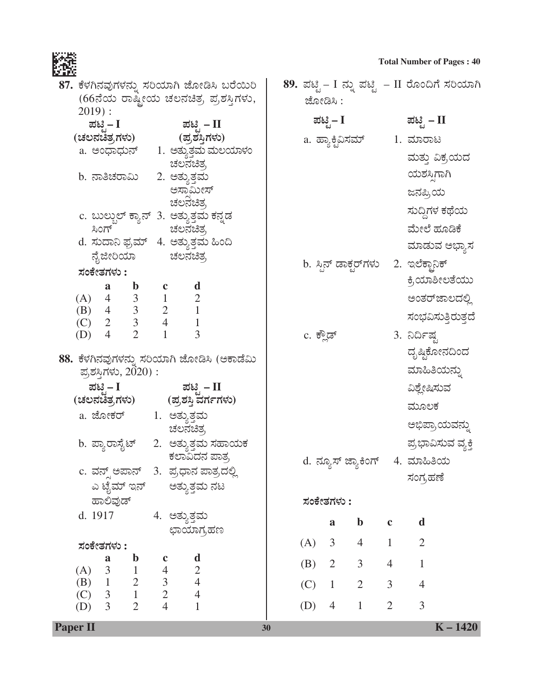**Total Number of Pages : 40**<br>**Total Number of Pages : 40**<br>References **89.** ಪಟ್ಟಿ – I ನ್ನು ಪಟ್ಟಿ – II ರೊಂದಿಗೆ ಸರಿಯಾಗಿ

| 87. ಕೆಳಗಿನವುಗಳನ್ನು ಸರಿಯಾಗಿ ಜೋಡಿಸಿ ಬರೆಯಿರಿ                                                                        | 89. ಪಟ್ಟಿ – I ನ್ನು ಪಟ್ಟಿ  – II ರೊಂದಿಗೆ ಸರಿಯಾಗಿ |                                |
|------------------------------------------------------------------------------------------------------------------|------------------------------------------------|--------------------------------|
| (66ನೆಯ ರಾಷ್ಟೀಯ ಚಲನಚಿತ್ರ ಪ್ರಶಸ್ತಿಗಳು,                                                                             | ಜೋಡಿಸಿ :                                       |                                |
| $2019$ :<br>ಪಟಿ – I<br>ಪಟಿ <i>–</i> II                                                                           | ಪಟ್ಟಿ – I                                      | ಪಟ್ಟಿ – II                     |
| (ಚಲನಚಿತ್ರಗಳು)<br>(ಪ್ರಶಸ್ತಿಗಳು)                                                                                   | a. ಹ್ಯಾಕ್ಟಿವಿಸಮ್                               | 1. ಮಾರಾಟ                       |
| a. ಅಂಧಾಧುನ್ 1. ಅತ್ತುತ್ತಮ ಮಲಯಾಳಂ                                                                                  |                                                |                                |
| ಚಲನಚಿತ್ರ                                                                                                         |                                                | ಮತ್ತು ವಿಕ್ರಯದ                  |
| b. ನಾತಿಚರಾಮಿ<br>2. ಅತ್ಯುತ್ತಮ                                                                                     |                                                | ಯಶಸಿಗಾಗಿ                       |
| ಅಸಾಮೀಸ್<br>ಚಲನೆಚಿತ್ರ                                                                                             |                                                | ಜನಪ್ರಿಯ                        |
| c. ಬುಲ್ಬುಲ್ ಕ್ಯಾನ್  3.  ಅತ್ಯುತ್ತಮ ಕನ್ನಡ                                                                          |                                                | ಸುದ್ದಿಗಳ ಕಥೆಯ                  |
| ಸಿಂಗ್ ಚಲನಚಿತ್ರ                                                                                                   |                                                | ಮೇಲೆ ಹೂಡಿಕೆ                    |
| d. ಸುದಾನಿ ಫ್ರಮ್   4. ಅತ್ಯುತ್ತಮ ಹಿಂದಿ                                                                             |                                                | ಮಾಡುವ ಅಭ್ಯಾಸ                   |
| ನೈಜೀರಿಯಾ ಚಲನಚಿತ್ರ                                                                                                | b. ಸ್ಪಿನ್ ಡಾಕ್ಟರ್ <b>ಗಳು</b> 2. ಇಲೆಕ್ಟಾನಿಕ್    |                                |
| ಸಂಕೇತಗಳು :                                                                                                       |                                                | ಕ್ರಿಯಾಶೀಲತೆಯು                  |
| d<br>$\mathbf{b}$<br>$\mathbf c$<br>a                                                                            |                                                | ಅಂತರ್ಜಾಲದಲ್ಲಿ                  |
| (A) $\begin{array}{ccc} 4 & 3 & 1 & 2 \\ (B) & 4 & 3 & 2 & 1 \\ (C) & 2 & 3 & 4 & 1 \end{array}$                 |                                                | ಸಂಭವಿಸುತ್ತಿರುತ್ತದೆ             |
| $\overline{3}$<br>$\overline{2}$<br>$(D)$ 4                                                                      | c. ಕ್ಲೌಡ್                                      | 3. ನಿರ್ದಿಷ್ಟ                   |
|                                                                                                                  |                                                | ದೃಷ್ಠಿಕೋನದಿಂದ                  |
| 88. ಕೆಳಗಿನವುಗಳನ್ನು ಸರಿಯಾಗಿ ಜೋಡಿಸಿ (ಅಕಾಡೆಮಿ<br>ಪ್ರಶಸ್ತಿಗಳು, 2020) :                                               |                                                | ಮಾಹಿತಿಯನ್ನು                    |
| ಪಟಿ – I<br>ಪಟಿ  – II                                                                                             |                                                | ವಿಶ್ಲೇಷಿಸುವ                    |
| (ಚಲನಚಿತ್ರಗಳು) (ಪ್ರಶಸ್ತಿ ವರ್ಗಗಳು)                                                                                 |                                                | ಮೂಲಕ                           |
| a. ಜೋಕರ್ 1. ಅತ್ಯುತ್ತಮ<br>ಚಲನಚಿತ್ರ                                                                                |                                                | ಅಭಿಪ್ರಾಯವನ್ನು                  |
| b. ಪ್ಯಾರಾಸೈಟ್     2.   ಅತ್ಯುತ್ತಮ ಸಹಾಯಕ                                                                           |                                                | ಪ್ರಭಾವಿಸುವ ವ್ಯಕ್ತಿ             |
| ಕಲಾವಿದನ ಪಾತ್ರ                                                                                                    |                                                |                                |
| c. ವನ್ಸ್ ಅಪಾನ್   3.  ಪ್ರಧಾನ ಪಾತ್ರದಲ್ಲಿ                                                                           | d. ನ್ಯೂಸ್ ಜ್ಯಾಕಿಂಗ್    4.  ಮಾಹಿತಿಯ             |                                |
| ಎ ಟೈಮ್ ಇನ್<br>ಅತ್ಯುತ್ತಮ ನಟ                                                                                       |                                                | ಸಂಗ್ರಹಣೆ                       |
| ಹಾಲಿವುಡ್                                                                                                         | ಸಂಕೇತಗಳು :                                     |                                |
| d. 1917<br>4. ಅತ್ಯುತ್ತಮ                                                                                          | $\mathbf b$<br>a                               | d<br>$\mathbf c$               |
| ಛಾಯಾಗ್ರಹಣ<br>ಸಂಕೇತಗಳು :                                                                                          | $\mathfrak{Z}$<br>(A)<br>$\overline{4}$        | $\overline{2}$<br>$\mathbf{1}$ |
| $\mathbf b$<br>$\mathbf d$<br>a<br>$\mathbf c$                                                                   |                                                |                                |
| $\overline{\mathbf{3}}$<br>$\begin{array}{c} 2 \\ 4 \end{array}$<br>(A)                                          | 2<br>$\mathfrak{Z}$<br>(B)                     | $\overline{4}$<br>$\mathbf{1}$ |
| $\begin{array}{ccc} 1 & 4 \\ 2 & 3 \\ 1 & 2 \end{array}$<br>$(B)$ 1<br>$\overline{\mathbf{3}}$<br>$\overline{4}$ | (C)<br>$\overline{2}$<br>$\mathbf{1}$          | 3<br>$\overline{4}$            |
| (C)<br>$\overline{4}$<br>$\overline{2}$<br>$\overline{3}$<br>(D)<br>$\mathbf{1}$                                 | (D)<br>$\mathbf{1}$<br>$\overline{4}$          | 3<br>$\overline{2}$            |
| Paper II<br>30                                                                                                   |                                                | $K - 1420$                     |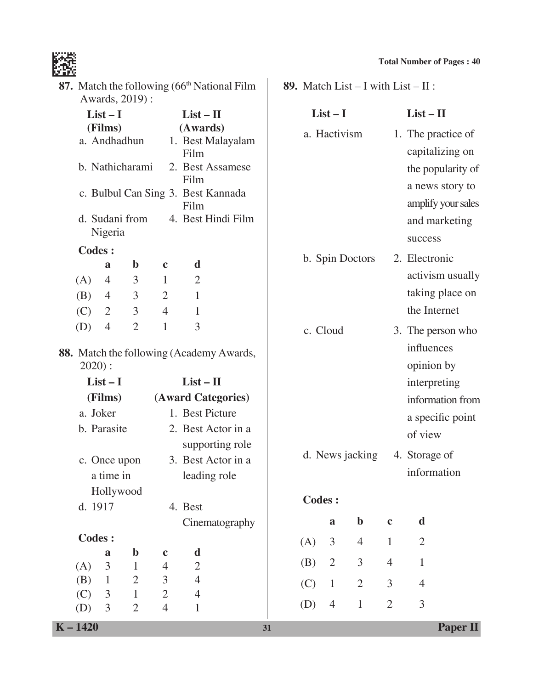

**89.** Match List – I with List – II :

| 87. Match the following (66 <sup>th</sup> National Film |
|---------------------------------------------------------|
| Awards, 2019):                                          |

**List – I List – II (Films) (Awards)** a. Andhadhun 1. Best Malayalam Film b. Nathicharami 2. Best Assamese Film c. Bulbul Can Sing 3. Best Kannada Film d. Sudani from 4. Best Hindi Film Nigeria  **Codes : a b c d** (A) 4 3 1 2 (B) 4 3 2 1 (C) 2 3 4 1 (D) 4 2 1 3 **88.** Match the following (Academy Awards, 2020) : **List – I List – II (Films) (Award Categories)** a. Joker 1. Best Picture b. Parasite 2. Best Actor in a supporting role c. Once upon 3. Best Actor in a a time in leading role Hollywood d. 1917 4. Best Cinematography  **Codes : a b c d**  $(A)$  3 1 4 2 (B) 1 2 3 4 (C) 3 1 2 4  $List-I$   $List-II$ a. Hactivism 1. The practice of capitalizing on the popularity of a news story to amplify your sales and marketing success b. Spin Doctors 2. Electronic activism usually taking place on the Internet c. Cloud 3. The person who influences opinion by interpreting information from a specific point of view d. News jacking 4. Storage of information  **Codes : a b c d**  $(A)$  3 4 1 2 (B) 2 3 4 1 (C) 1 2 3 4

(D) 3 2 4 1

**K – 1420 31 Paper II**

(D) 4 1 2 3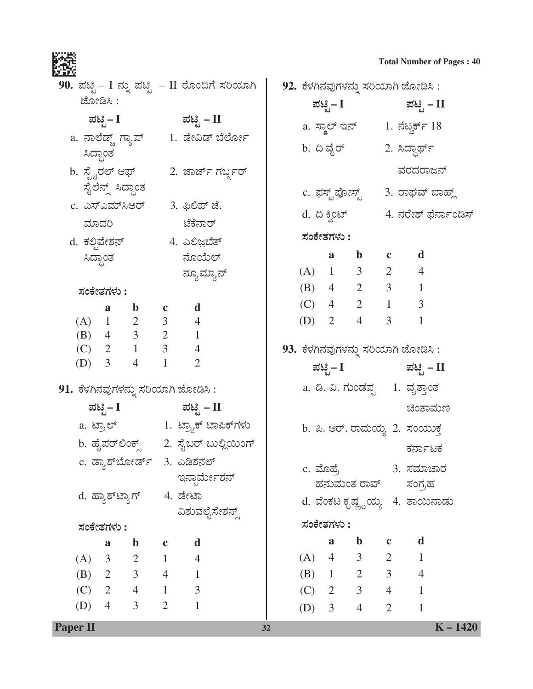| 20 L.X                                        |                                                  |             |                              |  |                 |              |                              |                           |                                      |  |  |
|-----------------------------------------------|--------------------------------------------------|-------------|------------------------------|--|-----------------|--------------|------------------------------|---------------------------|--------------------------------------|--|--|
| 90. ಪಟ್ಟಿ – I ನ್ನು ಪಟ್ಟಿ – II ರೊಂದಿಗೆ ಸರಿಯಾಗಿ |                                                  |             |                              |  |                 |              |                              |                           | 92. ಕೆಳಗಿನವುಗಳನ್ನು ಸರಿಯಾಗಿ ಜೋಡಿಸಿ :  |  |  |
| ಜೋಡಿಸಿ :                                      |                                                  |             |                              |  |                 |              | ಪಟ್ಟಿ – $\mathbf{I}$         |                           | ಪಟ್ಟಿ – II                           |  |  |
|                                               | ಪಟ್ಟಿ– I ಪಟ್ಟಿ – II                              |             |                              |  |                 |              |                              |                           |                                      |  |  |
| a. ನಾಲೆಡ್ಜ್ ಗ್ಯಾಪ್       1. ಡೇವಿಡ್ ಬೆರ್ಲೋ     |                                                  |             |                              |  |                 |              |                              |                           |                                      |  |  |
| ಸಿದ್ಧಾಂತ                                      |                                                  |             |                              |  |                 |              | b. ದಿ ವೈರ್                   |                           | 2. ಸಿದ್ಧಾರ್ಥ್                        |  |  |
| b. ಸ್ಪೈರಲ್ ಆಫ್         2. ಜಾರ್ಜ್ ಗರ್ಬ್ಡರ್     |                                                  |             |                              |  |                 |              |                              |                           | ವರದರಾಜನ್                             |  |  |
|                                               | ಸೈಲೆನ್ಸ್ ಸಿದ್ಧಾಂತ                                |             |                              |  | c. ಫಸ್ಟ್ ಪೋಸ್ಟ್ |              |                              |                           | 3. ರಾಘವ್ ಬಾಹ್ಲ್                      |  |  |
|                                               |                                                  |             | c. ಎಸ್ಎಮ್ಸಿಆರ್ 3. ಫಿಲಿಪ್ ಜೆ. |  |                 |              |                              |                           | 4. ನರೇಶ್ ಫೆರ್ನಾಂಡಿಸ್                 |  |  |
| ಮಾದರಿ                                         |                                                  |             | ಟೆಕೆನಾರ್                     |  | d. ದಿ ಕ್ವಿಂಟ್   |              |                              |                           |                                      |  |  |
| d. ಕಲ್ಪಿವೇಶನ್                4. ಎಲಿಜ಼ಬೆತ್     |                                                  |             |                              |  |                 | ಸಂಕೇತಗಳು :   |                              |                           |                                      |  |  |
| ಸಿದ್ಧಾಂತ                                      |                                                  |             | ನೊಯೆಲ್                       |  |                 | a            |                              | $\mathbf{b}$ $\mathbf{c}$ | d                                    |  |  |
|                                               |                                                  |             | ನ್ಯೂಮ್ಯಾನ್                   |  |                 |              | $(A)$ 1 3 2 4                |                           |                                      |  |  |
| ಸಂಕೇತಗಳು :                                    |                                                  |             |                              |  |                 |              | (B) 4 2 3 1                  |                           |                                      |  |  |
| a                                             | b c d                                            |             |                              |  |                 |              | (C) $4$ 2 1 3                |                           |                                      |  |  |
|                                               |                                                  |             |                              |  |                 |              | (D) $2 \t 4$                 | 3 <sup>7</sup>            | $\mathbf{1}$                         |  |  |
|                                               | (A) $1$ 2 3 4<br>(B) $4$ 3 2 1<br>(C) 2 1 3 4    |             |                              |  |                 |              |                              |                           | 93. ಕೆಳಗಿನವುಗಳನ್ನು ಸರಿಯಾಗಿ ಜೋಡಿಸಿ :  |  |  |
| (D) $3 \t 4$                                  | $\overline{1}$                                   |             | $\overline{2}$               |  |                 |              |                              |                           |                                      |  |  |
|                                               |                                                  |             |                              |  |                 |              |                              |                           | ಪಟ್ಟಿ– I ಪಟ್ಟಿ – II                  |  |  |
| 91. ಕೆಳಗಿನವುಗಳನ್ನು ಸರಿಯಾಗಿ ಜೋಡಿಸಿ :           |                                                  |             |                              |  |                 |              |                              |                           | a. ಡಿ. ವಿ. ಗುಂಡಪ್ಪ      1.  ವೃತ್ತಾಂತ |  |  |
|                                               | ಪಟ್ಟಿ– I ಪಟ್ಟಿ – II                              |             |                              |  |                 |              |                              |                           | ಚಿಂತಾಮಣಿ                             |  |  |
|                                               | a. ಟ್ರಾಲ್                  1. ಟ್ರ್ಯಾಕ್ ಟಾಪಿಕ್ಗಳು |             |                              |  |                 |              |                              |                           | b. ಪಿ. ಆರ್. ರಾಮಯ್ಯ 2. ಸಂಯುಕ್ತ        |  |  |
|                                               | b. ಹೈಪರ್ಲಿಂಕ್ಸ್      2. ಸೈಬರ್ ಬುಲ್ಲಿಯಿಂಗ್        |             |                              |  |                 |              |                              |                           | ಕರ್ನಾಟಕ                              |  |  |
|                                               | c. ಡ್ಯಾಶ್ <i>ಬೋರ್ಡ್ 3. ಎಡಿ</i> ಶನಲ್              |             |                              |  |                 |              | c. ಮೊಹ್ರೆ                    |                           | 3. ಸಮಾಚಾರ                            |  |  |
|                                               |                                                  |             | ಇನ್ಫಾರ್ಮೇಶನ್                 |  |                 |              |                              |                           | ಹನುಮಂತ ರಾವ್ ಸಂಗ್ರಹ                   |  |  |
|                                               | d. ಹ್ಯಾಶ್ಟ್ಯಾಗ್       4. ಡೇಟಾ                    |             |                              |  |                 |              |                              |                           | d. ವೆಂಕಟ ಕೃಷ್ಣೖಯ್ಯ 4. ತಾಯಿನಾಡು       |  |  |
|                                               |                                                  |             | ವಿಶುವಲೈಸೇಶನ್ಸ್               |  |                 |              |                              |                           |                                      |  |  |
| ಸಂಕೇತಗಳು :                                    |                                                  |             |                              |  |                 | ಸಂಕೇತಗಳು :   |                              |                           |                                      |  |  |
| a                                             | $\mathbf b$                                      | $\mathbf c$ | $\mathbf d$                  |  |                 | $\mathbf{a}$ | $\mathbf b$                  | $\mathbf c$               | d                                    |  |  |
| (A) 3                                         | $2 \t 1$<br>(B) 2 3 4 1                          |             | $\overline{4}$               |  | $(A)$ 4         |              | $3 \t 2 \t 1$<br>(B) 1 2 3 4 |                           |                                      |  |  |
|                                               | $(C)$ 2 4 1 3                                    |             |                              |  |                 |              | $(C)$ 2 3 4                  |                           | $\mathbf{1}$                         |  |  |
| (D)<br>$\overline{4}$                         | $\mathfrak{Z}$                                   |             | 2 1                          |  |                 |              |                              |                           |                                      |  |  |
|                                               |                                                  |             |                              |  |                 | (D) $3$      | $4 \quad$                    | $\overline{2}$            | $\mathbf{1}$                         |  |  |

Paper II

 $K - 1420$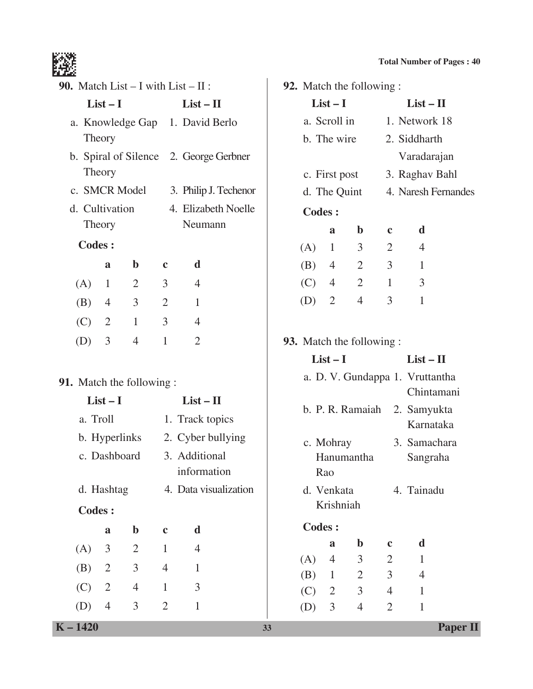**List – I List – II**

1. Network 18

| 90. Match List $- I$ with List $- II$ : |                |                |                              |                                 | 92. Match the following : |               |                  |                               |                           |                |                      |
|-----------------------------------------|----------------|----------------|------------------------------|---------------------------------|---------------------------|---------------|------------------|-------------------------------|---------------------------|----------------|----------------------|
| $List-I$                                |                |                | $List - II$                  | $List-I$                        |                           |               |                  | $List - II$                   |                           |                |                      |
| a. Knowledge Gap 1. David Berlo         |                |                |                              | a. Scroll in                    |                           |               |                  |                               | 1. Network 1              |                |                      |
|                                         | Theory         |                |                              |                                 |                           | b. The wire   |                  |                               |                           |                | 2. Siddharth         |
| b. Spiral of Silence 2. George Gerbner  |                |                |                              |                                 |                           |               |                  |                               |                           | Varadaraj      |                      |
| Theory                                  |                |                |                              |                                 | c. First post             |               |                  |                               | 3. Raghav B               |                |                      |
|                                         | c. SMCR Model  |                |                              |                                 | 3. Philip J. Techenor     | d. The Quint  |                  |                               | 4. Naresh Fer             |                |                      |
|                                         | d. Cultivation |                |                              | 4. Elizabeth Noelle             |                           | <b>Codes:</b> |                  |                               |                           |                |                      |
|                                         | Theory         |                |                              | Neumann                         |                           |               |                  | a                             | $\mathbf b$               | $\mathbf c$    | $\mathbf d$          |
|                                         | <b>Codes:</b>  |                |                              |                                 |                           |               | (A)              | $\mathbf{1}$                  | 3 <sup>7</sup>            | 2              | $\overline{4}$       |
|                                         | $\mathbf{a}$   | $\mathbf b$    | $\mathbf c$                  | d                               |                           |               | (B)              | $\overline{4}$                | $\overline{2}$            | $\mathfrak{Z}$ | $\mathbf{1}$         |
| (A)                                     | $\mathbf{1}$   | $\overline{2}$ | $\mathfrak{Z}$               | $\overline{4}$                  |                           |               | (C)              | $\overline{4}$                | $\overline{2}$            | $\mathbf{1}$   | $\mathfrak{Z}$       |
| (B)                                     | $\overline{4}$ | 3              | $\overline{2}$               | $\mathbf{1}$                    |                           |               | (D)              | 2                             | $\overline{4}$            | 3              | $\mathbf{1}$         |
| (C)                                     | 2              | $\mathbf{1}$   | $\overline{3}$               | $\overline{4}$                  |                           |               |                  |                               |                           |                |                      |
| (D)                                     | $\mathfrak{Z}$ | $\overline{4}$ | $\mathbf{1}$                 | $\overline{2}$                  |                           |               |                  |                               | 93. Match the following : |                |                      |
|                                         |                |                |                              |                                 |                           |               |                  | $List-I$                      |                           |                | $List - II$          |
| 91. Match the following :               |                |                |                              |                                 |                           |               |                  | a. D. V. Gundappa 1. Vruttant |                           |                |                      |
|                                         | $List-I$       |                | $List - II$                  |                                 |                           |               |                  |                               |                           | Chintam        |                      |
|                                         | a. Troll       |                | 1. Track topics              |                                 |                           |               | b. P. R. Ramaiah |                               |                           |                | 2. Samyuk<br>Karnata |
|                                         |                |                |                              | b. Hyperlinks 2. Cyber bullying |                           |               |                  | c. Mohray                     |                           |                | 3. Samach            |
|                                         | c. Dashboard   |                | 3. Additional<br>information |                                 | Hanumantha<br>Rao         |               |                  |                               | Sangrah                   |                |                      |
|                                         | d. Hashtag     |                |                              | 4. Data visualization           |                           |               |                  | d. Venkata                    |                           |                | 4. Tainadu           |
|                                         | <b>Codes:</b>  |                |                              |                                 |                           |               |                  | Krishniah                     |                           |                |                      |
|                                         | $\mathbf{a}$   | $\mathbf b$    | $\mathbf c$                  | d                               |                           |               | <b>Codes:</b>    |                               |                           |                |                      |
| (A)                                     | 3              | $\overline{2}$ | $\mathbf{1}$                 | $\overline{4}$                  |                           |               |                  | a                             | $\mathbf b$               | $\mathbf c$    | d                    |
| (B)                                     | $\overline{2}$ | 3              | $\overline{4}$               | $\mathbf{1}$                    |                           |               | (A)              | $\overline{4}$                | $\mathfrak{Z}$            | $\overline{2}$ | $\mathbf{1}$         |
| (C)                                     | $\overline{2}$ | $\overline{4}$ | $\mathbf{1}$                 | 3                               |                           |               | (B)              | $\mathbf{1}$                  | $\overline{2}$            | 3              | $\overline{4}$       |
|                                         |                |                |                              |                                 |                           |               | (C)              | $\overline{2}$                | $\mathfrak{Z}$            | $\overline{4}$ | $\mathbf{1}$         |

(D) 4 3 2 1

|                           |                |                | Varadarajan                     |  |  |  |  |
|---------------------------|----------------|----------------|---------------------------------|--|--|--|--|
| c. First post             |                |                | 3. Raghav Bahl                  |  |  |  |  |
| d. The Quint              |                |                | 4. Naresh Fernandes             |  |  |  |  |
| <b>Codes:</b>             |                |                |                                 |  |  |  |  |
| a                         | $\mathbf b$    | $\mathbf c$    | d                               |  |  |  |  |
| $\mathbf{1}$<br>(A)       | 3              | $\overline{2}$ | $\overline{4}$                  |  |  |  |  |
| $(B)$ 4                   | $\overline{2}$ | $\mathfrak{Z}$ | $\mathbf{1}$                    |  |  |  |  |
| $(C)$ 4                   | 2              | $\mathbf{1}$   | 3                               |  |  |  |  |
| $\overline{2}$<br>(D)     | $\overline{4}$ | 3              | $\mathbf{1}$                    |  |  |  |  |
|                           |                |                |                                 |  |  |  |  |
| 93. Match the following : |                |                |                                 |  |  |  |  |
| $List-I$                  |                |                |                                 |  |  |  |  |
|                           |                |                | $List - II$                     |  |  |  |  |
|                           |                |                | a. D. V. Gundappa 1. Vruttantha |  |  |  |  |
|                           |                |                | Chintamani                      |  |  |  |  |
| b. P. R. Ramaiah          |                |                | 2. Samyukta                     |  |  |  |  |
|                           |                |                | Karnataka                       |  |  |  |  |
| c. Mohray                 |                |                | 3. Samachara                    |  |  |  |  |
| Hanumantha                |                |                | Sangraha                        |  |  |  |  |
| Rao                       |                |                |                                 |  |  |  |  |
| d. Venkata                |                |                | 4. Tainadu                      |  |  |  |  |
| Krishniah                 |                |                |                                 |  |  |  |  |
| <b>Codes:</b>             |                |                |                                 |  |  |  |  |

(D) 3 4 2 1

I I

**K – 1420 33 Paper II**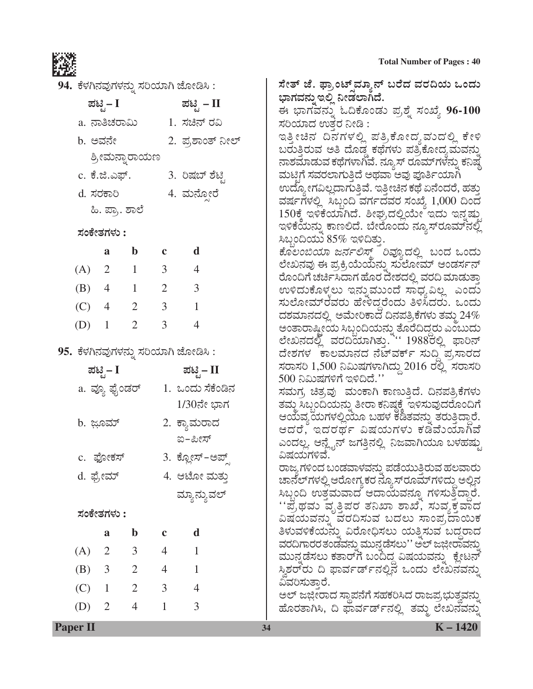ಸೇತ್ ಜೆ. ಫ್ರಾಂಟ್ಸ್ಐ್ಯಾನ್ ಬರೆದ ವರದಿಯ ಒಂದು

ಈ ಭಾಗವನ್ನು ಓದಿಕೊಂಡು ಪ್ರಶ್ನೆ ಸಂಖ್ಯೆ 96-100

ಇತ್ತೀಚಿನ ದಿನಗಳಲ್ಲಿ ಪತ್ರಿಕೋದ್ಯವುದಲ್ಲಿ ಕೇಳಿ

ಬರುತ್ತಿರುವ ಅತಿ ದೊಡ್ಡ ಕಥೆಗಳು ಪತ್ರಿಕೋದ್ಯಮವನ್ನು ನಾಶಮಾಡುವ ಕಥೆಗಳಾಗಿವೆ. ನ್ಯೂಸ್ ರೂಮ್ಗಳನ್ನು ಕನಿಷ್ಠ ಮಟ್ಟಿಗೆ ಸವರಲಾಗುತ್ತಿದೆ ಅಥವಾ ಅವು ಪೂರ್ತಿಯಾಗಿ ಉದ್ಯೋಗವಿಲ್ಲದಾಗುತ್ತಿವೆ. ಇತ್ತೀಚಿನ ಕಥೆ ಏನೆಂದರೆ, ಹತ್ತು ವರ್ಷಗಳಲ್ಲಿ ಸಿಬ್ಬಂದಿ ವರ್ಗದವರ ಸಂಖ್ಯೆ 1,000 ದಿಂದ 150ಕ್ಕೆ ಇಳಿಕೆಯಾಗಿದೆ. ಶೀಘ್ರದಲ್ಲಿಯೇ ಇದು ಇನ್ನಷ್ತು ಇಳಿಕೆಯನ್ನು ಕಾಣಲಿದೆ. ಬೇರೊಂದು ನ್ಯೂಸ್ರೂಮ್ನಲ್ಲಿ

*ಕೊಲಂಬಿಯಾ ಜರ್ನಲಿಸ್ಟ್* ರಿವ್ಯೂದಲ್ಲಿ ಬಂದ ಒಂದು ಲೇಖನವು ಈ ಪ್ರಕ್ರಿಯೆಯನ್ನು ಸುಲೋಮ್ ಆಂಡರ್ಸನ್ ರೊಂದಿಗೆ ಚರ್ಚಿಸಿದಾಗ ಹೊರ ದೇಶದಲ್ಲಿ ವರದಿ ಮಾಡುತ್ತಾ ಉಳಿದುಕೊಳ್ಳಲು ಇನ್ನುಮುಂದೆ ಸಾಧ್ಯವಿಲ್ಲ ಎಂದು ಸುಲೋಮ್ರೆವರು ಹೇಳಿದ್ದರೆಂದು ತಿಳಿಸಿದರು. ಒಂದು ದಶಮಾನದಲ್ಲಿ ಅಮೇರಿಕಾದ ದಿನಪತ್ರಿಕೆಗಳು ತಮ್ಮ $\,24\%$ 

ಅಂತಾರಾಷ್ಟ್ರೀಯ ಸಿಬ್ಬಂದಿಯನ್ನು ತೊರೆದಿದ್ದರು ಎಂಬುದು<br>ಲೇಖನದಲ್ಲಿ ವರದಿಯಾಗಿತ್ತು. '' 1988ರಲ್ಲಿ ಫಾರಿನ್

ದೇಶಗಳ ಕಾಲಮಾನದ ನೆಟ್ವರ್ಕ್ ಸುದಿ ಪ,ಸಾರದ

ಭಾಗವನ್ನು ಇಲ್ಲಿ ನೀಡಲಾಗಿದೆ.

ಸಿಬ್ಬಂದಿಯು  $85\%$  ಇಳಿದಿತ್ತು.

ಸರಿಯಾದ ಉತ್ತರ ನೀಡಿ :



94. ಕೆಳಗಿನವುಗಳನ್ನು ಸರಿಯಾಗಿ ಜೋಡಿಸಿ :

| ಪಟ್ಟಿ – I      | ಪಟ್ಟಿ – II       |
|----------------|------------------|
| a. ನಾತಿಚರಾಮಿ   | 1. ಸಚಿನ್ ರವಿ     |
| b. ಅವನೇ        | 2. ಪ್ರಶಾಂತ್ ನೀಲ್ |
| ಶ್ರೀಮನ್ನಾರಾಯಣ  |                  |
| c. ಕೆ.ಜಿ.ಎಫ್.  | 3. ರಿಷಬ್ ಶೆಟ್ರಿ  |
| d. ಸರಕಾರಿ      | 4. ಮನ್ಸೋರೆ       |
| ಹಿ. ಪ್ರಾ. ಶಾಲೆ |                  |
| ಸಂಕೇತಗಳು :     |                  |

|     | a              | b | $\mathbf c$    | d |
|-----|----------------|---|----------------|---|
| (A) | 2              | 1 | 3              | 4 |
| (B) | 4              | 1 | $\overline{2}$ | 3 |
| (C) | $\overline{4}$ | 2 | 3              | 1 |
| (D) | 1              | 2 | 3              | 4 |

95. ಕೆಳಗಿನವುಗಳನ್ನು ಸರಿಯಾಗಿ ಜೋಡಿಸಿ :

| a. ವ್ಯೂ ಫೈಂಡರ್<br>b. ಜೂಮ್<br>c. ಫೋಕಸ್<br>d. ಫ್ರೇಮ್ |                | ಪಟಿ  – II<br>1. ಒಂದು ಸೆಕೆಂಡಿನ<br>1/30ನೇ ಭಾಗ<br>2. ಕ್ಯಾಮರಾದ<br>ಐ-ಪೀಸ್<br>3. ಕ್ಲೋಸ್-ಅಪ್<br>4. ಆಟೋ ಮತು<br>ಮ್ಯಾನ್ಯುವಲ್ | ಸರಾಸರಿ 1,500 ನಿಮಿಷಗಳಾಗಿದ್ದು 2016 ರಲ್ಲಿ ಸರಾಸರಿ<br>500 ನಿಮಿಷಗಳಿಗೆ ಇಳಿದಿದೆ.''<br>ಸಮಗ, ಚಿತ್ರವು  ಮಂಕಾಗಿ ಕಾಣುತ್ತಿದೆ. ದಿನಪತ್ರಿಕೆಗಳು<br>ತಮ್ಮ ಸಿಬ್ಬಂದಿಯನ್ನು ತೀರಾ ಕನಿಷ್ಠಕ್ಕೆ ಇಳಿಸುವುದರೊಂದಿಗೆ<br>ಆಯವ್ಯಯಗಳಲ್ಲಿಯೂ ಬಹಳ ಕಡಿತವನ್ನು ತರುತ್ತಿದ್ದಾರೆ.<br>ಆದರೆ, ಇದರರ್ಥ ವಿಷಯಗಳು ಕಡಿವೆುಯಾಗಿವೆ<br>ಎಂದಲ್ಲ. ಆನ್ಲೈನ್ ಜಗತ್ತಿನಲ್ಲಿ ನಿಜವಾಗಿಯೂ ಬಳಹಷು<br>ವಿಷಯಗಳಿವೆ.<br>ರಾಜ್ಯಗಳಿಂದ ಬಂಡವಾಳವನ್ನು ಪಡೆಯುತಿರುವ ಹಲವಾರು<br>ಚಾನೆಲ್ಗಳಲ್ಲಿ ಆರೋಗ್ಯಕರ ನ್ಯೂಸ್ ರೂಮ್ಗಳಿದ್ದು ಅಲ್ಲಿನ<br>ಸಿಬ್ಬಂದಿ ಉತ್ತಮವಾದ ಆದಾಯವನ್ನೂ ಗಳಿಸುತ್ತಿದ್ದಾರೆ. |
|----------------------------------------------------|----------------|--------------------------------------------------------------------------------------------------------------------|------------------------------------------------------------------------------------------------------------------------------------------------------------------------------------------------------------------------------------------------------------------------------------------------------------------------------------------------------------------------------------------------------------------------------------------------------------------------------------|
| ಸಂಕೇತಗಳು :                                         |                |                                                                                                                    | ''ಪ್ರೆಥಮ ವೃತ್ತಿಪರ ತನಿಖಾ ಶಾಖೆ, ಸುವ್ಯಕ್ತವಾದ<br>ವಿಷಯವನ್ನು ವರದಿಸುವ ಬದಲು ಸಾಂಪ್ರದಾಯಿಕ                                                                                                                                                                                                                                                                                                                                                                                                    |
| $\mathbf b$<br>a                                   |                | d                                                                                                                  | ತಿಳುವಳಿಕೆಯನ್ನು ವಿರೋಧಿಸಲು ಯತ್ನಿಸುವ ಬದ್ಧರಾದ                                                                                                                                                                                                                                                                                                                                                                                                                                          |
| $\mathfrak{Z}$<br>$\overline{2}$<br>(A)            | $\overline{4}$ |                                                                                                                    | ವರದಿಗಾರರತಂಡವನ್ನು ಮುನ್ನಡೆಸಲು'' ಅಲ್ ಜಜ್ಜೀರಾವನ್ನು<br>ಮುನ್ನಡೆಸಲು ಕತಾರ್ $\vec{n}$ ಬಂದಿದ್ದ ವಿಷಯವನ್ನು ಕ್ಲೇಟನ್                                                                                                                                                                                                                                                                                                                                                                             |
| $\overline{2}$<br>(B)<br>3                         | $\overline{4}$ |                                                                                                                    | ಸ್ಥಿಶರ್ರು ದಿ ಫಾರ್ವರ್ಡ್ನಲ್ಲಿನ ಒಂದು ಲೇಖನವನ್ನು                                                                                                                                                                                                                                                                                                                                                                                                                                        |
| (C)<br>$\overline{2}$<br>$\mathbf{1}$              | 3              | $\overline{4}$                                                                                                     | ವಿವರಿಸುತಾರೆ.                                                                                                                                                                                                                                                                                                                                                                                                                                                                       |
| (D)<br>$\overline{2}$<br>4                         |                | 3                                                                                                                  | ಅಲ್ ಜಜ್ಲೀರಾದ ಸ್ಥಾಪನೆಗೆ ಸಹಕರಿಸಿದ ರಾಜಪ್ರಭುತ್ವವನ್ನು<br>ಹೊರತಾಗಿಸಿ, ದಿ ಫಾರ್ವರ್ಡ್ನಲ್ಲಿ ತಮ್ಮ ಲೇಖನವನ್ನು                                                                                                                                                                                                                                                                                                                                                                                    |
|                                                    |                |                                                                                                                    |                                                                                                                                                                                                                                                                                                                                                                                                                                                                                    |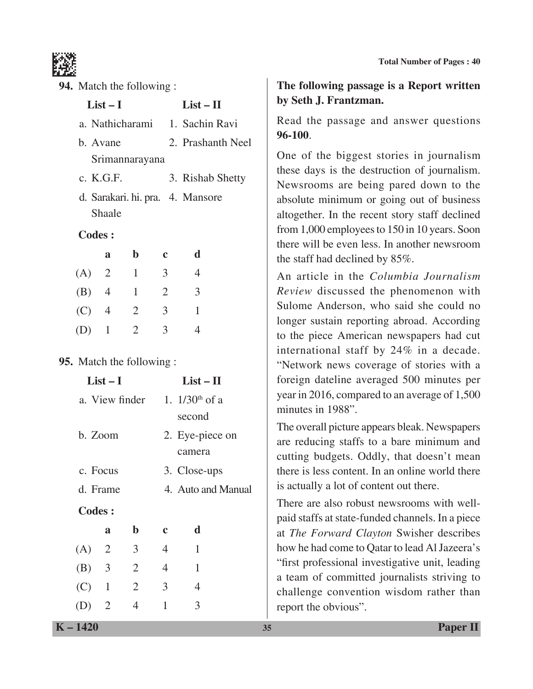

| 94. Match the following :        |                                                          |                 |                |                           | The following passage is a Report written                                                                                               |  |  |  |  |
|----------------------------------|----------------------------------------------------------|-----------------|----------------|---------------------------|-----------------------------------------------------------------------------------------------------------------------------------------|--|--|--|--|
|                                  | $List-I$                                                 | $List - II$     |                |                           | by Seth J. Frantzman.                                                                                                                   |  |  |  |  |
|                                  |                                                          | a. Nathicharami |                | 1. Sachin Ravi            | Read the passage and answer questions                                                                                                   |  |  |  |  |
|                                  | 2. Prashanth Neel<br>b. Avane<br>Srimannarayana          |                 |                |                           | 96-100.<br>One of the biggest stories in journalism                                                                                     |  |  |  |  |
|                                  | c. K.G.F.                                                |                 |                | 3. Rishab Shetty          | these days is the destruction of journalism.<br>Newsrooms are being pared down to the                                                   |  |  |  |  |
|                                  | d. Sarakari. hi. pra. 4. Mansore<br>Shaale               |                 |                |                           | absolute minimum or going out of business<br>altogether. In the recent story staff declined                                             |  |  |  |  |
| <b>Codes:</b>                    |                                                          |                 |                |                           | from 1,000 employees to 150 in 10 years. Soon                                                                                           |  |  |  |  |
|                                  | a                                                        | $\mathbf b$     | $\mathbf c$    | d                         | there will be even less. In another newsroom<br>the staff had declined by 85%.                                                          |  |  |  |  |
| (A)                              | $\overline{2}$                                           | $\mathbf{1}$    | 3              | $\overline{4}$            | An article in the Columbia Journalism                                                                                                   |  |  |  |  |
| (B)                              | $\overline{4}$                                           | $\mathbf{1}$    | $\overline{2}$ | 3                         | Review discussed the phenomenon with                                                                                                    |  |  |  |  |
| (C)                              | $\overline{4}$                                           | $\overline{2}$  | 3              | $\mathbf{1}$              | Sulome Anderson, who said she could no                                                                                                  |  |  |  |  |
| (D)                              | $\mathbf{1}$                                             | $\overline{2}$  | 3              | $\overline{4}$            | longer sustain reporting abroad. According<br>to the piece American newspapers had cut                                                  |  |  |  |  |
|                                  |                                                          |                 |                |                           | international staff by 24% in a decade.                                                                                                 |  |  |  |  |
| <b>95.</b> Match the following : |                                                          |                 |                |                           | "Network news coverage of stories with a                                                                                                |  |  |  |  |
|                                  | $List - II$<br>$List-I$                                  |                 |                |                           | foreign dateline averaged 500 minutes per                                                                                               |  |  |  |  |
|                                  | 1. $1/30$ <sup>th</sup> of a<br>a. View finder<br>second |                 |                |                           | year in 2016, compared to an average of 1,500<br>minutes in 1988".                                                                      |  |  |  |  |
|                                  | b. Zoom                                                  |                 |                | 2. Eye-piece on<br>camera | The overall picture appears bleak. Newspapers<br>are reducing staffs to a bare minimum and<br>cutting budgets. Oddly, that doesn't mean |  |  |  |  |
|                                  | c. Focus                                                 |                 |                | 3. Close-ups              | there is less content. In an online world there                                                                                         |  |  |  |  |
|                                  | d. Frame                                                 |                 |                | 4. Auto and Manual        | is actually a lot of content out there.                                                                                                 |  |  |  |  |
| <b>Codes:</b>                    |                                                          |                 |                |                           | There are also robust newsrooms with well-<br>paid staffs at state-funded channels. In a piece                                          |  |  |  |  |
|                                  | a                                                        | $\mathbf b$     | $\mathbf c$    | d                         | at The Forward Clayton Swisher describes                                                                                                |  |  |  |  |
| (A)                              | $\overline{2}$                                           | 3               | $\overline{4}$ | $\mathbf{1}$              | how he had come to Qatar to lead Al Jazeera's                                                                                           |  |  |  |  |
| (B)                              | 3                                                        | $\overline{2}$  | 4              | $\mathbf{1}$              | "first professional investigative unit, leading                                                                                         |  |  |  |  |
| (C)                              | $\mathbf{1}$                                             | $\overline{2}$  | 3              | $\overline{4}$            | a team of committed journalists striving to<br>challenge convention wisdom rather than                                                  |  |  |  |  |

(D) 2 4 1 3

report the obvious".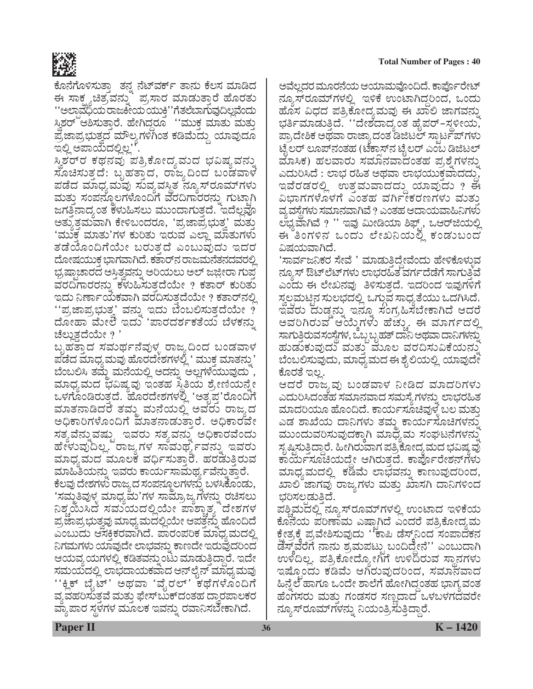

ಕೊನೆಗೊಳಿಸುತ್ತಾ ತನ್ನ ನೆಟ್ವರ್ಕ್ ತಾನು ಕೆಲಸ ಮಾಡಿದ ಈ ಸಾಕ್ಷ್ಯಚಿತ್ರವನ್ನು ಪ್ರಸಾರ ಮಾಡುತ್ತಾರೆ ಹೊರತು ''ಅಲಾವೆಧಿಯ ರಾಜಕೀಯ ಯುಕ್ತಿ''ಗೆತಲೆಬಾಗುವುದಿಲ್ಲವೆಂದು ಸ್ತಿಶರ್ ಆಶಿಸುತ್ತಾರೆ. ಹೇಗಿದ್ದರೂ ''ಮುಕ್ತ ಮಾತು ಮತ್ತು ಪ್ರಜಾಪ್ರಭುತ್ತದ ಮೌಲ್ಯಗಳಿಗಿಂತ ಕಡಿಮೆದ್ದು ಯಾವುದೂ ಇಲ್ಲಿ ಅಪಾಯದಲ್ಲಿಲ್ಲ''.

ಸ್ವಿಶರ್ರ ಕಥನವು ಪತ್ರಿಕೋದ್ಯವುದ ಭವಿಷ್ಯವನ್ನು ಸೊಚಿಸುತ್ತದೆ: ಬೃಹತ್ತಾದ, ರಾಜ್ಯದಿಂದ ಬಂಡವಾಳ ಪಡೆದ ಮಾಧ್ಯಮವು ಸುವ್ಯವಸ್ಥಿತ ನ್ಯೂಸ್ರೂಮ್ಗಳು ಮತ್ತು ಸಂಪನ್ಮೂಲಗಳೊಂದಿಗೆ ವರದಿಗಾರರನ್ನು ಗುಟ್ಟಾಗಿ ಜಗತ್ತಿನಾದ್ಯಂತ ಕಳುಹಿಸಲು ಮುಂದಾಗುತ್ತದೆ. ಇದೆಲ್ಲವೊ ಅತ್ತುತ್ತಮವಾಗಿ ಕೇಳಿಬಂದರೂ, 'ಪ್ರಜಾಪ್ರಭುತ್ತ' ಮತ್ತು 'ಮುಕ ಮಾತು'ಗಳ ಕುರಿತು ಇರುವ ಎಲ್ಲಾ ಮಾತುಗಳು ತಡೆಯೊಂದಿಗೆಯೇ ಬರುತ್ತದೆ ಎಂಬುವುದು ಇದರ ದೋಷಯುಕ ಭಾಗವಾಗಿದೆ. ಕತಾರ್ನ ರಾಜಮನೆತನದವರಲ್ಲಿ ಭ್ರಷ್ಯಾಚಾರದ ಅಸ್ತಿತ್ವವನ್ನು ಅರಿಯಲು ಅಲ್ ಜಜ಼ೀರಾ ಗುಪ್ತ ವರದಿಗಾರರನ್ನು ಕಳುಹಿಸುತ್ತದೆಯೇ ? ಕತಾರ್ ಕುರಿತು ಇದು ನಿರ್ಣಾಯಕವಾಗಿ ವರದಿಸುತ್ತದೆಯೇ ? ಕತಾರ್ನಲ್ಲಿ ''ಪ್ರಜಾಪ್ರಭುತ್ವ' ವನ್ನು ಇದು ಬೆಂಬಲಿಸುತ್ತದೆಯೇ ? ದೋಹಾ ಮೇಲೆ ಇದು 'ಪಾರದರ್ಶಕತೆಯ ಬೆಳಕನ್ನು ಚೆಲ್ತುತದೆಯೇ ? '

ಬೃಹತ್ತಾದ ಸಮರ್ಥನೆವುಳ್ಳ ರಾಜ್ಯದಿಂದ ಬಂಡವಾಳ ಪಡೆದ ಮಾಧ್ಯಮವು ಹೊರದೇಶಗಳಲ್ಲಿ ' ಮುಕ್ತ ಮಾತನ್ನು' ಬೆಂಬಲಿಸಿ ತಮ್ಮ ಮನೆಯಲ್ಲಿ ಅದನ್ನು ಅಲ್ಲಗಳೆಯುವುದು , ಮಾಧ್ಯಮದ ಭವಿಷ್ಯವು ಇಂತಹ ಸ್ಥಿತಿಯ ಶ್ರೇಣಿಯನ್ನೇ ಒಳಗೊಂಡಿರುತ್ತದೆ. ಹೊರದೇಶಗಳಲ್ಲಿ 'ಅತೃಪ್ತ'ರೊಂದಿಗೆ ಮಾತನಾಡಿದರೆ ತಮ್ಮ ಮನೆಯಲ್ಲಿ ಅವರು ರಾಜ್ಯದ ಅಧಿಕಾರಿಗಳೊಂದಿಗೆ ಮಾತನಾಡುತ್ತಾರೆ. ಅಧಿಕಾರವೇ ಸತ್ಯವೆನ್ನುವಷ್ಟು ಇವರು ಸತ್ಯವನ್ನು ಅಧಿಕಾರವೆಂದು<br>ಹೇಳುವುದಿಲ್ಲ. ರಾಜ್ಯಗಳ ಸಾಮರ್ಥ್ಯವನ್ನು ಇವರು ಮಾಧ್ಯಮದ ಮೂಲಕೆ ವರ್ಧಿಸುತ್ತಾರೆ. ಹರಡುತ್ತಿರುವ

ಮಾಹಿತಿಯನ್ನು ಇವರು ಕಾರ್ಯಸಾಮರ್ಥ್ಯವೆನ್ನುತ್ತಾರೆ. ಕೆಲವು ದೇಶಗಳು ರಾಜ್ಯದ ಸಂಪನ್ಮೂಲಗಳನ್ನು ಬಳಸಿಕೊಂಡು, 'ಸಮ್ಮತಿವುಳ್ಳ ಮಾಧ್ಯಮ'ಗಳ ಸಾಮ್ರಾಜ್ಯಗಳನ್ನು ರಚಿಸಲು ನಿಶ್ತಯಿಸಿದೆ ಸಮಯದಲ್ಲಿಯೇ ಪಾಶ್ತಾತ್ಮ ದೇಶಗಳ ಪ್ರಜಾಪ್ರಭುತ್ವವು ಮಾಧ್ಯಮದಲ್ಲಿಯೇ ಆಪತ್ತನ್ನು ಹೊಂದಿದೆ ಎಂಬುದು ಆಸಕ್ತಿಕರವಾಗಿದೆ. ಪಾರಂಪರಿಕ ಮಾಧ್ಯಮದಲ್ಲಿ ನಿಗಮಗಳು ಯಾವುದೇ ಲಾಭವನ್ನು ಕಾಣದೇ ಇರುವುದರಿಂದ ಆಯವ್ಯಯಗಳಲ್ಲಿ ಕಡಿತವನ್ನುಂಟು ಮಾಡುತ್ತಿದ್ದಾರೆ. ಇದೇ ಸಮಯದಲ್ಲಿ ಲಾಭದಾಯಕವಾದ ಆನ್ಲೈನ್ ಮಾಧ್ಯಮವು<br>''ಕ್ಲಿಕ್ ಬೈಟ್' ಅಥವಾ 'ವೈರಲ್' ಕಥೆಗಳೊಂದಿಗೆ ವ್ಯವಹರಿಸುತ್ತವೆ ಮತ್ತು ಫೇಸ್ಬುಕ್ ದಂತಹ ದ್ವಾರಪಾಲಕರ ವ್ಯಾಪಾರ ಸ್ಥಳಗಳ ಮೂಲಕ ಇವನ್ನು ರವಾನಿಸಬೇಕಾಗಿದೆ.

ಅವೆಲ್ಲದರ ಮೂರನೆಯ ಆಯಾಮವೊಂದಿದೆ. ಕಾರ್ಪೊರೇಟ್ ನ್ಯೂಸ್ ರೂಮ್ ಗಳಲ್ಲಿ ಇಳಿಕೆ ಉಂಟಾಗಿದ್ದರಿಂದ, ಒಂದು ಹೊಸ ವಿಧದ ಪತ್ರಿಕೋದ್ತಮವು ಈ ಖಾಲಿ ಜಾಗವನ್ನು ಭರ್ತಿಮಾಡುತ್ತಿದೆ. ''ದೇಶದಾದ್ಯಂತ ಹೈಪರ್–ಸ್ಥಳೀಯ, ಪ್ರಾದೇಶಿಕ ಅಥವಾ ರಾಜ್ಯಾದಂತ ಡಿಜಿಟಲ್ ಸ್ಫಾರ್ಟಪ್ಗಳು ಟೈಲರ್ ಲೂಪ್ನಂತಹ (ಟೆಕ್ಷಾಸ್ನ ಟೈಲರ್ ಎಂಬ ಡಿಜಿಟಲ್ ಮಾಸಿಕ) ಹಲವಾರು ಸಮಾನವಾದಂತಹ ಪ್ರಶೈಗಳನ್ನು ಎದುರಿಸಿದೆ : ಲಾಭ ರಹಿತ ಅಥವಾ ಲಾಭಯುಕ್ಷವಾದದ್ದು ಇವೆರಡರಲ್ಲಿ ಉತ್ತಮವಾದದ್ದು ಯಾವುದು ? ಈ ವಿಭಾಗಗಳೊಳಗೆ ಎಂತಹ ವರ್ಗೀಕರಣಗಳು ಮತು ವ್ಯವಸೆಗಳು ಸಮಾನವಾಗಿವೆ ? ಎಂತಹ ಆದಾಯವಾಹಿನಿಗಳು ಲಭ್ಯವಾಗಿವೆ ? '' ಇವು ಮೀಡಿಯಾ ಶಿಫ್ , ಒಆರ್ಜಿಯಲ್ಲಿ ಈ ತಿಂಗಳಿನ ಒಂದು ಲೇಖನಿಯಲ್ಲಿ ಕಂಡುಬಂದ ವಿಷಯವಾಗಿದೆ.

'ಸಾರ್ವಜನಿಕರ ಸೇವೆ ' ಮಾಡುತ್ತಿದ್ದೇವೆಂದು ಹೇಳಿಕೊಳ್ಳುವ ನ್ಯೂಸ್ ಔಟ್ಲೆಟ್ಗಳು ಲಾಭರಹಿತ ವರ್ಗದೆಡೆಗೆ ಸಾಗುತ್ತಿವೆ ಎಂದು ಈ ಲೇಖನವು ತಿಳಿಸುತ್ತದೆ. ಇದರಿಂದ ಇವುಗಳಿಗೆ ಸ್ವಲ್ಪಮಟ್ಟಿನ ಸುಲಭದಲ್ಲಿ ಒಗ್ಗುವ ಸಾಧ್ಯತೆಯು ಒದಗಿಸಿದೆ. ಇವರು ದುಡ್ಡನ್ನು ಇನ್ನೂ ಸಂಗ್ರಹಿಸಬೇಕಾಗಿದೆ ಆದರೆ ಅವರಿಗಿರುವ ಆಯ್ಕೆಗಳು ಹೆಚ್ಚು. ಈ ಮಾರ್ಗದಲ್ಲಿ ಸಾಗುತ್ತಿರುವ ಸಂಸ್ಥೆಗಳ, ಒಬ್ಬಬ್ಬಹತ್ ದಾನಿ ಅಥವಾ ದಾನಿಗಳನ್ನು ಹುಡುಕುವುದು ಮತ್ತು ಮೂಲ ವರದಿಸುವಿಕೆಯನ್ನು ಬೆಂಬಲಿಸುವುದು, ಮಾಧ್ಯಮದ ಈ ಶೈಲಿಯಲ್ಲಿ ಯಾವುದೇ ಕೊರತೆ ಇಲ್ಲ.

ಆದರೆ ರಾಜ್ಯವು ಬಂಡವಾಳ ನೀಡಿದ ಮಾದರಿಗಳು ಎದುರಿಸಿದಂತಹ ಸಮಾನವಾದ ಸಮಸ್ಯೆಗಳನ್ನು ಲಾಭರಹಿತ ಮಾದರಿಯೂ ಹೊಂದಿದೆ. ಕಾರ್ಯಸೂಚಿವುಳ್ಳ ಬಲ ಮತ್ತು ಎಡ ಶಾಖೆಯ ದಾನಿಗಳು ತಮ್ಮ ಕಾರ್ಯಸೂಚಿಗಳನ್ನು ಮುಂದುವರಿಸುವುದಕ್ಕಾಗಿ ಮಾಧ್ಯಮ ಸಂಘಟನೆಗಳನ್ನು ಸೃಷ್ಟಿಸುತ್ತಿದ್ದಾರೆ. ಹೀಗಿರುವಾಗ ಪತ್ರಿಕೋದ್ಯಮದ ಭವಿಷ್ಯವು ಕಾರ್ಯಸೂಚಿಯದ್ದೇ ಆಗಿರುತ್ತದೆ. ಕಾರ್ಪೊರೇಶನ್ಗಳು ಮಾಧ್ಯಮದಲ್ಲಿ ಕಡಿಮೆ ಲಾಭವನ್ನು ಕಾಣುವುದರಿಂದ, ಖಾಲಿ ಜಾಗವು ರಾಜ್ಯಗಳು ಮತ್ತು ಖಾಸಗಿ ದಾನಿಗಳಿಂದ ಭರಿಸಲಡುತಿದೆ.

ಪಶ್ಚಿಮದಲ್ಲಿ ನ್ಯೂಸ್ರೂಮ್ಗಳಲ್ಲಿ ಉಂಟಾದ ಇಳಿಕೆಯ ಕೊನೆಯ ಪರಿಣಾಮ ಎಷ್ತಾಗಿದೆ ಎಂದರೆ ಪತ್ರಿಕೋದ್ತಮ ಕ್ಷೇತ್ರಕ್ಕೆ ಪ್ರವೇಶಿಸುವುದು ''ಕಾಪಿ ಡೆಸ್ತ್ನಾಂದ ಸಂಪಾದಕನ ಡೆಸ್ತ್ರರೆಗೆ ನಾನು ಶ್ರಮಪಟ್ಟು ಬಂದಿದ್ದೇನೆ'' ಎಂಬುದಾಗಿ ಉಳಿದಿಲ್ಲ. ಪತಿ,ಕೋದ್ಯೋಗಿಗೆ ಉಳಿದಿರುವ ಸ್ಥಾನಗಳು ಇಷ್ರೊಂದು ಕಡಿಮೆ ಆಗಿರುವುದರಿಂದ, ಸಮಾನವಾದ ಹಿನ್ನೆಲೆ ಹಾಗೂ ಒಂದೇ ಶಾಲೆಗೆ ಹೋಗಿದಂತಹ ಭಾಗ ವಂತ ಹೆಂಗಸರು ಮತ್ತು ಗಂಡಸರ ಸಣ್ಣದಾದ ಒಳಬಳಗದವರೇ ನ್ಯೂಸ್ ರೂಮ್ ಗಳನ್ನು ನಿಯಂತ್ರಿಸುತ್ತಿದ್ದಾರೆ.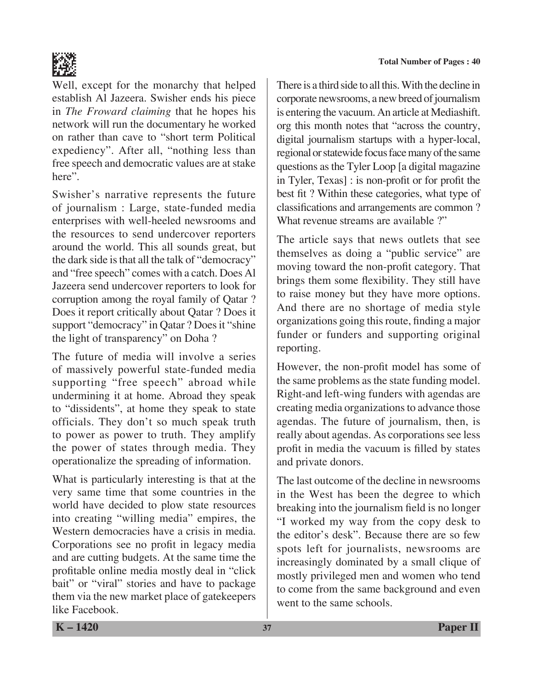

Well, except for the monarchy that helped establish Al Jazeera. Swisher ends his piece in *The Froward claiming* that he hopes his network will run the documentary he worked on rather than cave to "short term Political expediency". After all, "nothing less than free speech and democratic values are at stake here".

Swisher's narrative represents the future of journalism : Large, state-funded media enterprises with well-heeled newsrooms and the resources to send undercover reporters around the world. This all sounds great, but the dark side is that all the talk of "democracy" and "free speech" comes with a catch. Does Al Jazeera send undercover reporters to look for corruption among the royal family of Qatar ? Does it report critically about Qatar ? Does it support "democracy" in Qatar ? Does it "shine the light of transparency" on Doha ?

The future of media will involve a series of massively powerful state-funded media supporting "free speech" abroad while undermining it at home. Abroad they speak to "dissidents", at home they speak to state officials. They don't so much speak truth to power as power to truth. They amplify the power of states through media. They operationalize the spreading of information.

What is particularly interesting is that at the very same time that some countries in the world have decided to plow state resources into creating "willing media" empires, the Western democracies have a crisis in media. Corporations see no profit in legacy media and are cutting budgets. At the same time the profitable online media mostly deal in "click bait" or "viral" stories and have to package them via the new market place of gatekeepers like Facebook.

There is a third side to all this. With the decline in corporate newsrooms, a new breed of journalism is entering the vacuum. An article at Mediashift. org this month notes that "across the country, digital journalism startups with a hyper-local, regional or statewide focus face many of the same questions as the Tyler Loop [a digital magazine in Tyler, Texas] : is non-profit or for profit the best fit ? Within these categories, what type of classifications and arrangements are common ? What revenue streams are available ?"

The article says that news outlets that see themselves as doing a "public service" are moving toward the non-profit category. That brings them some flexibility. They still have to raise money but they have more options. And there are no shortage of media style organizations going this route, finding a major funder or funders and supporting original reporting.

However, the non-profit model has some of the same problems as the state funding model. Right-and left-wing funders with agendas are creating media organizations to advance those agendas. The future of journalism, then, is really about agendas. As corporations see less profit in media the vacuum is filled by states and private donors.

The last outcome of the decline in newsrooms in the West has been the degree to which breaking into the journalism field is no longer "I worked my way from the copy desk to the editor's desk". Because there are so few spots left for journalists, newsrooms are increasingly dominated by a small clique of mostly privileged men and women who tend to come from the same background and even went to the same schools.

**K – 1420 37 Paper II**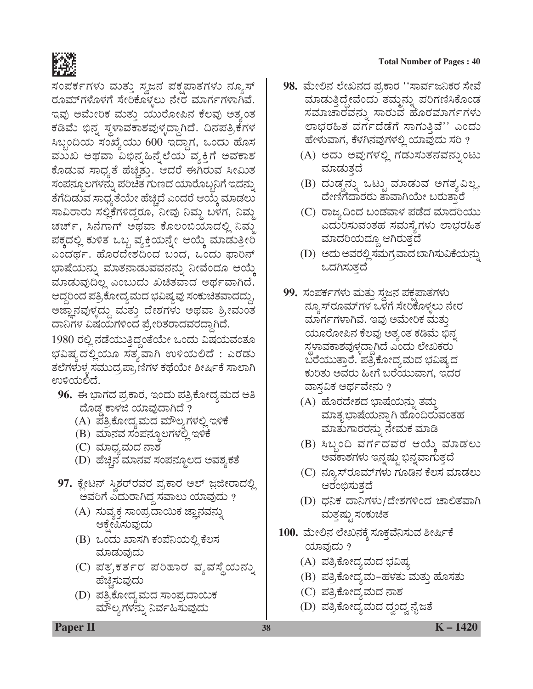

ಸಂಪರ್ಕಗಳು ಮತ್ತು ಸ್ವಜನ ಪಕೃಪಾತಗಳು ನ್ಯೂಸ್ ರೂಮ್ಗಳೊಳಗೆ ಸೇರಿಕೊಳ್ಳಲು ನೇರ ಮಾರ್ಗಗಳಾಗಿವೆ. ಇವು ಅಮೇರಿಕ ಮತ್ತು ಯುರೋಪಿನ ಕೆಲವು ಅತ್ತಂತ ಕಡಿಮೆ ಭಿನೃ ಸ್ಥಳಾವಕಾಶವುಳ್ಳದ್ದಾಗಿದೆ. ದಿನಪತ್ರಿಕೆಗಳ ಸಿಬ್ಬಂದಿಯ ಸಂಖ್ಯೆಯು 600 ಇದ್ದಾಗ, ಒಂದು ಹೊಸ ಮುಖ ಅಥವಾ ವಿಭಿನೃಹಿನ್ನೆಲೆಯ ವ್ಯಕ್ತಿಗೆ ಅವಕಾಶ ಕೊಡುವ ಸಾಧ್ಯತೆ ಹೆಚ್ಚಿತ್ತು. ಆದರೆ ಈಗಿರುವ ಸೀಮಿತ ಸಂಪನ್ಮೂಲಗಳನ್ನು ಪರಿಚಿತ ಗುಣದ ಯಾರೊಬ್ಬನಿಗೆ ಇದನ್ನು ತೆಗೆದಿಡುವ ಸಾಧ್ಯತೆಯೇ ಹೆಚ್ಚಿದೆ ಎಂದರೆ ಆಯ್ಕೆ ಮಾಡಲು ಸಾವಿರಾರು ಸಲ್ಲಿಕೆಗಳಿದ್ದರೂ, ನೀವು ನಿಮ್ಮ ಬಳಗ, ನಿಮ್ಮ ಚರ್ಚ್, ಸಿನೆಗಾಗ್ ಅಥವಾ ಕೊಲಂಬಿಯಾದಲ್ಲಿ ನಿಮ್ಮ ಪಕ್ಕದಲ್ಲಿ ಕುಳಿತ ಒಬ್ಬ ವ್ಯಕ್ತಿಯನ್ನೇ ಆಯ್ಕೆ ಮಾಡುತ್ತೀರಿ ಎಂದರ್ಥ. ಹೊರದೇಶದಿಂದ ಬಂದ, ಒಂದು ಫಾರಿನ್ ಭಾಷೆಯನ್ನು ಮಾತನಾಡುವವನನ್ನು ನೀವೆಂದೂ ಆಯ್ಕೆ ಮಾಡುವುದಿಲ್ಲ ಎಂಬುದು ಖಚಿತವಾದ ಅರ್ಥವಾಗಿದೆ. ಆದ್ದರಿಂದ ಪತ್ರಿಕೋದ್ಯಮದ ಭವಿಷ್ಯವು ಸಂಕುಚಿತವಾದದ್ದು, ಅಜ್ಞಾನವುಳ್ಳದ್ದು ಮತ್ತು ದೇಶಗಳು ಅಥವಾ ಶ್ರೀಮಂತ ದಾನಿಗಳ ವಿಷಯಗಳಿಂದ ಪ್ರೇರಿತರಾದವರದ್ದಾಗಿದೆ.

1980 ರಲ್ಲಿ ನಡೆಯುತ್ತಿದ್ದಂತೆಯೇ ಒಂದು ವಿಷಯವಂತೂ ಭವಿಷ್ಯದಲ್ಲಿಯೂ ಸತ್ಯವಾಗಿ ಉಳಿಯಲಿದೆ : ಎರಡು ತಲೆಗಳುಳ್ಳ ಸಮುದ್ರಪಾ,ಣಿಗಳ ಕಥೆಯೇ ಶೀರ್ಷಿಕೆ ಸಾಲಾಗಿ ಉಳಿಯಲಿದೆ.

- 96. ಈ ಭಾಗದ ಪ್ರಕಾರ, ಇಂದು ಪತ್ರಿಕೋದ್ಯಮದ ಅತಿ ದೊಡ್ಡ ಕಾಳಜಿ ಯಾವುದಾಗಿದೆ ?
	- (A) ಪತ್ರಿಕೋದ್ಯಮದ ಮೌಲ್ಯಗಳಲ್ಲಿ ಇಳಿಕೆ
	- (B) ಮಾನವ ಸಂಪನ್ಮೂಲಗಳಲ್ಲಿ ಇಳಿಕೆ
	- (C) ಮಾಧ್ಯಮದ ನಾಶ
	- (D) ಹೆಚ್ಚಿನ ಮಾನವ ಸಂಪನ್ಮೂಲದ ಅವಶ್ಯಕತೆ
- 97. ಕ್ಷೇಟನ್ ಸ್ವಿಶರ್ರವರ ಪ್ರಕಾರ ಅಲ್ ಜ಼ಜೀರಾದಲ್ಲಿ ಅವರಿಗೆ ಎದುರಾಗಿದ್ದ ಸವಾಲು ಯಾವುದು ?
	- (A) ಸುವ್ಯಕ್ತ ಸಾಂಪ್ರದಾಯಿಕ ಜ್ಞಾನವನ್ನು ಆಕ್ಷೇಪಿಸುವುದು
	- (B) ಒಂದು ಖಾಸಗಿ ಕಂಪೆನಿಯಲ್ಲಿ ಕೆಲಸ ಮಾಡುವುದು
	- (C) ಪತ್ರಕರ್ತರ ಪರಿಹಾರ ವ್ಯವಸ್ಥೆಯನ್ನು ಹೆಚ್ಚಿಸುವುದು
	- (D) ಪತ್ರಿಕೋದ್ಯಮದ ಸಾಂಪ್ರದಾಯಿಕ ಮೌಲ್ಯಗಳನ್ನು ನಿರ್ವಹಿಸುವುದು

#### **Total Number of Pages: 40**

- 98. ಮೇಲಿನ ಲೇಖನದ ಪ್ರಕಾರ ''ಸಾರ್ವಜನಿಕರ ಸೇವೆ ಮಾಡುತ್ತಿದ್ದೇವೆಂದು ತಮ್ಮನ್ನು ಪರಿಗಣಿಸಿಕೊಂಡ ಸಮಾಚಾರವನ್ನು ಸಾರುವ ಹೊರಮಾರ್ಗಗಳು ಲಾಭರಹಿತ ವರ್ಗದೆಡೆಗೆ ಸಾಗುತ್ತಿವೆ'' ಎಂದು ಹೇಳುವಾಗ, ಕೆಳಗಿನವುಗಳಲ್ಲಿ ಯಾವುದು ಸರಿ ?
	- (A) ಅದು ಅವುಗಳಲ್ಲಿ ಗಡುಸುತನವನ್ನುಂಟು ಮಾಡುತ್ತದೆ
	- (B) ದುಡ್ಡನ್ನು ಒಟ್ಟು ಮಾಡುವ ಅಗತ್ಯವಿಲ್ಲ, ದೇಣಿಗೆದಾರರು ತಾವಾಗಿಯೇ ಬರುತ್ತಾರೆ
	- (C) ರಾಜ್ಯದಿಂದ ಬಂಡವಾಳ ಪಡೆದ ಮಾದರಿಯು ಎದುರಿಸುವಂತಹ ಸಮಸ್ಯೆಗಳು ಲಾಭರಹಿತ ಮಾದರಿಯದ್ದೂ ಆಗಿರುತ್ತದೆ
	- (D) ಅದು ಅವರಲ್ಲಿ ಸಮಗ್ರವಾದ ಬಾಗಿಸುವಿಕೆಯನ್ನು ಒದಗಿಸುತ್ತದೆ
- 99. ಸಂಪರ್ಕಗಳು ಮತ್ತು ಸ್ತಜನ ಪಕ್ಷಪಾತಗಳು ನ್ಯೂಸ್ರೂಮ್ಗಳ ಒಳಗೆ ಸೇರಿಕೊಳ್ಳಲು ನೇರ ಮಾರ್ಗಗಳಾಗಿವೆ. ಇವು ಅಮೇರಿಕ ಮತ್ತು ಯೂರೋಪಿನ ಕೆಲವು ಅತ್ಯಂತ ಕಡಿಮೆ ಭಿನ್ನ ಸ್ಥಳಾವಕಾಶವುಳ್ಳದ್ದಾಗಿದೆ ಎಂದು ಲೇಖಕರು ಬರೆಯುತ್ತಾರೆ. ಪತ್ರಿಕೋದ್ಯಮದ ಭವಿಷ್ಯದ ಕುರಿತು ಅವರು ಹೀಗೆ ಬರೆಯುವಾಗ, ಇದರ ವಾಸವಿಕ ಅರ್ಥವೇನು ?
	- (A) ಹೊರದೇಶದ ಭಾಷೆಯನ್ನು ತಮ್ಮ ಮಾತೃಭಾಷೆಯನ್ನಾಗಿ ಹೊಂದಿರುವಂತಹ ಮಾತುಗಾರರನ್ನು ನೇಮಕ ಮಾಡಿ
	- (B) ಸಿಬ್ಬಂದಿ ವರ್ಗದವರ ಆಯ್ತೆ ಮಾಡಲು ಅವಕಾಶಗಳು ಇನ್ನಷ್ಟು ಭಿನ್ನವಾಗುತ್ತದೆ
	- (C) ನ್ಯೂಸ್**ರೂಮ್**ಗಳು ಗೂಡಿನ ಕೆಲಸ ಮಾಡಲು ಆರಂಭಿಸುತ್ತದೆ
	- (D) ಧನಿಕ ದಾನಿಗಳು/ದೇಶಗಳಿಂದ ಚಾಲಿತವಾಗಿ ಮತ್ತಷ್ಟು ಸಂಕುಚಿತ
- 100. ಮೇಲಿನ ಲೇಖನಕ್ಕೆ ಸೂಕ್ತವೆನಿಸುವ ಶೀರ್ಷಿಕೆ ಯಾವುದು ?
	- (A) ಪತ್ರಿಕೋದ್ಯಮದ ಭವಿಷ್ಯ
	- (B) ಪತ್ರಿಕೋದ್ಯಮ–ಹಳತು ಮತ್ತು ಹೊಸತು
	- (C) ಪತ್ರಿಕೋದ್ಯಮದ ನಾಶ
	- (D) ಪತ್ರಿಕೋದ್ಯಮದ ದ್ವಂದ್ವ ನೈಜತೆ

**Paper II** 

 $K - 1420$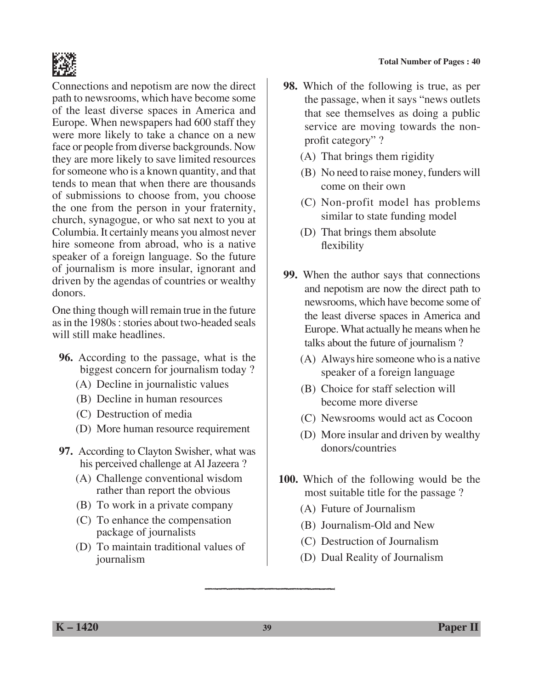

Connections and nepotism are now the direct path to newsrooms, which have become some of the least diverse spaces in America and Europe. When newspapers had 600 staff they were more likely to take a chance on a new face or people from diverse backgrounds. Now they are more likely to save limited resources for someone who is a known quantity, and that tends to mean that when there are thousands of submissions to choose from, you choose the one from the person in your fraternity, church, synagogue, or who sat next to you at Columbia. It certainly means you almost never hire someone from abroad, who is a native speaker of a foreign language. So the future of journalism is more insular, ignorant and driven by the agendas of countries or wealthy donors.

One thing though will remain true in the future as in the 1980s : stories about two-headed seals will still make headlines.

- **96.** According to the passage, what is the biggest concern for journalism today ?
	- (A) Decline in journalistic values
	- (B) Decline in human resources
	- (C) Destruction of media
	- (D) More human resource requirement
- **97.** According to Clayton Swisher, what was his perceived challenge at Al Jazeera ?
	- (A) Challenge conventional wisdom rather than report the obvious
	- (B) To work in a private company
	- (C) To enhance the compensation package of journalists
	- (D) To maintain traditional values of journalism
- **98.** Which of the following is true, as per the passage, when it says "news outlets that see themselves as doing a public service are moving towards the nonprofit category" ?
	- (A) That brings them rigidity
	- (B) No need to raise money, funders will come on their own
	- (C) Non-profit model has problems similar to state funding model
	- (D) That brings them absolute flexibility
- **99.** When the author says that connections and nepotism are now the direct path to newsrooms, which have become some of the least diverse spaces in America and Europe. What actually he means when he talks about the future of journalism ?
	- (A) Always hire someone who is a native speaker of a foreign language
	- (B) Choice for staff selection will become more diverse
	- (C) Newsrooms would act as Cocoon
	- (D) More insular and driven by wealthy donors/countries
- **100.** Which of the following would be the most suitable title for the passage ?
	- (A) Future of Journalism
	- (B) Journalism-Old and New
	- (C) Destruction of Journalism
	- (D) Dual Reality of Journalism